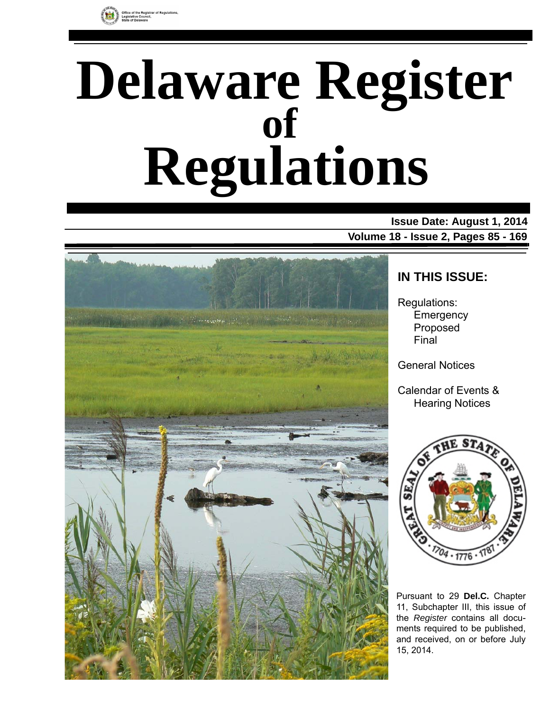

# **Delaware Register Regulations of**

### **Issue Date: August 1, 2014 Volume 18 - Issue 2, Pages 85 - 169**



### **IN THIS ISSUE:**

Regulations: **Emergency** Proposed Final

General Notices

Calendar of Events & Hearing Notices



Pursuant to 29 **Del.C.** Chapter 11, Subchapter III, this issue of the *Register* contains all documents required to be published, and received, on or before July 15, 2014.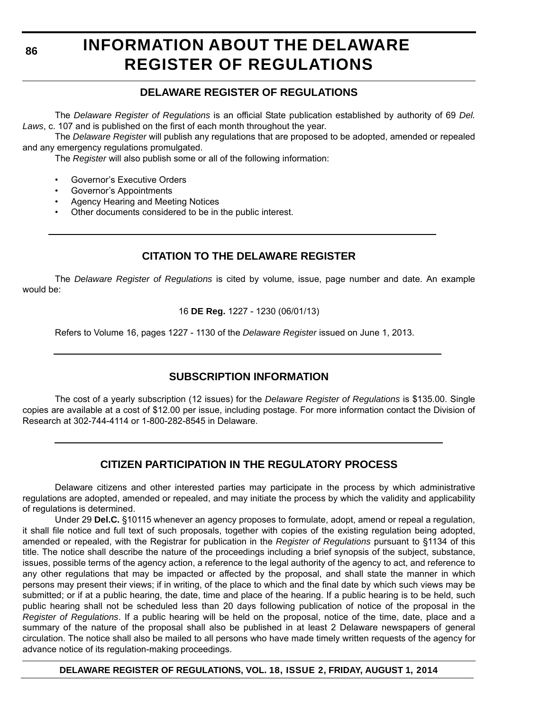# **INFORMATION ABOUT THE DELAWARE REGISTER OF REGULATIONS**

### **DELAWARE REGISTER OF REGULATIONS**

The *Delaware Register of Regulations* is an official State publication established by authority of 69 *Del. Laws*, c. 107 and is published on the first of each month throughout the year.

The *Delaware Register* will publish any regulations that are proposed to be adopted, amended or repealed and any emergency regulations promulgated.

The *Register* will also publish some or all of the following information:

- Governor's Executive Orders
- Governor's Appointments
- Agency Hearing and Meeting Notices
- Other documents considered to be in the public interest.

### **CITATION TO THE DELAWARE REGISTER**

The *Delaware Register of Regulations* is cited by volume, issue, page number and date. An example would be:

16 **DE Reg.** 1227 - 1230 (06/01/13)

Refers to Volume 16, pages 1227 - 1130 of the *Delaware Register* issued on June 1, 2013.

### **SUBSCRIPTION INFORMATION**

The cost of a yearly subscription (12 issues) for the *Delaware Register of Regulations* is \$135.00. Single copies are available at a cost of \$12.00 per issue, including postage. For more information contact the Division of Research at 302-744-4114 or 1-800-282-8545 in Delaware.

### **CITIZEN PARTICIPATION IN THE REGULATORY PROCESS**

Delaware citizens and other interested parties may participate in the process by which administrative regulations are adopted, amended or repealed, and may initiate the process by which the validity and applicability of regulations is determined.

Under 29 **Del.C.** §10115 whenever an agency proposes to formulate, adopt, amend or repeal a regulation, it shall file notice and full text of such proposals, together with copies of the existing regulation being adopted, amended or repealed, with the Registrar for publication in the *Register of Regulations* pursuant to §1134 of this title. The notice shall describe the nature of the proceedings including a brief synopsis of the subject, substance, issues, possible terms of the agency action, a reference to the legal authority of the agency to act, and reference to any other regulations that may be impacted or affected by the proposal, and shall state the manner in which persons may present their views; if in writing, of the place to which and the final date by which such views may be submitted; or if at a public hearing, the date, time and place of the hearing. If a public hearing is to be held, such public hearing shall not be scheduled less than 20 days following publication of notice of the proposal in the *Register of Regulations*. If a public hearing will be held on the proposal, notice of the time, date, place and a summary of the nature of the proposal shall also be published in at least 2 Delaware newspapers of general circulation. The notice shall also be mailed to all persons who have made timely written requests of the agency for advance notice of its regulation-making proceedings.

**DELAWARE REGISTER OF REGULATIONS, VOL. 18, ISSUE 2, FRIDAY, AUGUST 1, 2014**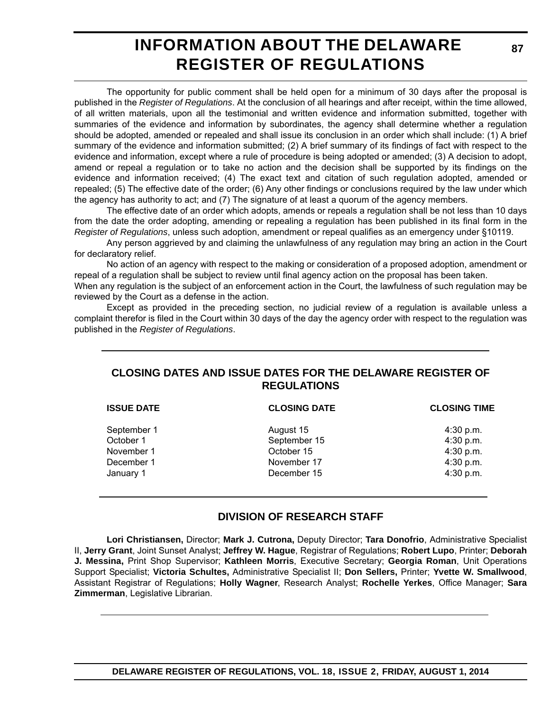# **INFORMATION ABOUT THE DELAWARE REGISTER OF REGULATIONS**

The opportunity for public comment shall be held open for a minimum of 30 days after the proposal is published in the *Register of Regulations*. At the conclusion of all hearings and after receipt, within the time allowed, of all written materials, upon all the testimonial and written evidence and information submitted, together with summaries of the evidence and information by subordinates, the agency shall determine whether a regulation should be adopted, amended or repealed and shall issue its conclusion in an order which shall include: (1) A brief summary of the evidence and information submitted; (2) A brief summary of its findings of fact with respect to the evidence and information, except where a rule of procedure is being adopted or amended; (3) A decision to adopt, amend or repeal a regulation or to take no action and the decision shall be supported by its findings on the evidence and information received; (4) The exact text and citation of such regulation adopted, amended or repealed; (5) The effective date of the order; (6) Any other findings or conclusions required by the law under which the agency has authority to act; and (7) The signature of at least a quorum of the agency members.

The effective date of an order which adopts, amends or repeals a regulation shall be not less than 10 days from the date the order adopting, amending or repealing a regulation has been published in its final form in the *Register of Regulations*, unless such adoption, amendment or repeal qualifies as an emergency under §10119.

Any person aggrieved by and claiming the unlawfulness of any regulation may bring an action in the Court for declaratory relief.

No action of an agency with respect to the making or consideration of a proposed adoption, amendment or repeal of a regulation shall be subject to review until final agency action on the proposal has been taken.

When any regulation is the subject of an enforcement action in the Court, the lawfulness of such regulation may be reviewed by the Court as a defense in the action.

Except as provided in the preceding section, no judicial review of a regulation is available unless a complaint therefor is filed in the Court within 30 days of the day the agency order with respect to the regulation was published in the *Register of Regulations*.

### **CLOSING DATES AND ISSUE DATES FOR THE DELAWARE REGISTER OF REGULATIONS**

| <b>ISSUE DATE</b> | <b>CLOSING DATE</b> | <b>CLOSING TIME</b> |
|-------------------|---------------------|---------------------|
| September 1       | August 15           | $4:30$ p.m.         |
| October 1         | September 15        | 4:30 p.m.           |
| November 1        | October 15          | 4:30 p.m.           |
| December 1        | November 17         | 4:30 p.m.           |
| January 1         | December 15         | 4:30 p.m.           |
|                   |                     |                     |

### **DIVISION OF RESEARCH STAFF**

**Lori Christiansen,** Director; **Mark J. Cutrona,** Deputy Director; **Tara Donofrio**, Administrative Specialist II, **Jerry Grant**, Joint Sunset Analyst; **Jeffrey W. Hague**, Registrar of Regulations; **Robert Lupo**, Printer; **Deborah J. Messina,** Print Shop Supervisor; **Kathleen Morris**, Executive Secretary; **Georgia Roman**, Unit Operations Support Specialist; **Victoria Schultes,** Administrative Specialist II; **Don Sellers,** Printer; **Yvette W. Smallwood**, Assistant Registrar of Regulations; **Holly Wagner**, Research Analyst; **Rochelle Yerkes**, Office Manager; **Sara Zimmerman**, Legislative Librarian.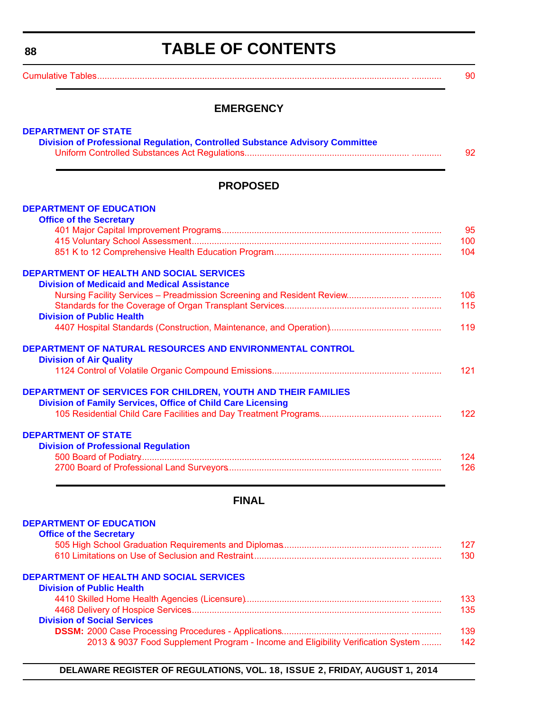# **TABLE OF CONTENTS**

<span id="page-3-0"></span>[Cumulative Tables............................................................................................................................. ............ 90](#page-5-0)

### **EMERGENCY**

| <b>PROPOSED</b>                                                      |  |
|----------------------------------------------------------------------|--|
| <b>DEPARTMENT OF EDUCATION</b>                                       |  |
| <b>Office of the Secretary</b>                                       |  |
|                                                                      |  |
|                                                                      |  |
|                                                                      |  |
| <b>DEPARTMENT OF HEALTH AND SOCIAL SERVICES</b>                      |  |
| <b>Division of Medicaid and Medical Assistance</b>                   |  |
|                                                                      |  |
|                                                                      |  |
| <b>Division of Public Health</b>                                     |  |
|                                                                      |  |
| DEPARTMENT OF NATURAL RESOURCES AND ENVIRONMENTAL CONTROL            |  |
| <b>Division of Air Quality</b>                                       |  |
|                                                                      |  |
| <b>DEPARTMENT OF SERVICES FOR CHILDREN, YOUTH AND THEIR FAMILIES</b> |  |
| <b>Division of Family Services, Office of Child Care Licensing</b>   |  |
|                                                                      |  |
|                                                                      |  |
| <b>DEPARTMENT OF STATE</b>                                           |  |
| <b>Division of Professional Regulation</b>                           |  |
|                                                                      |  |
|                                                                      |  |

### **FINAL**

| <b>DEPARTMENT OF EDUCATION</b>                                                   |     |  |
|----------------------------------------------------------------------------------|-----|--|
| <b>Office of the Secretary</b>                                                   |     |  |
|                                                                                  | 127 |  |
|                                                                                  | 130 |  |
| <b>DEPARTMENT OF HEALTH AND SOCIAL SERVICES</b>                                  |     |  |
| <b>Division of Public Health</b>                                                 |     |  |
|                                                                                  | 133 |  |
|                                                                                  | 135 |  |
| <b>Division of Social Services</b>                                               |     |  |
|                                                                                  | 139 |  |
| 2013 & 9037 Food Supplement Program - Income and Eligibility Verification System | 142 |  |

**DELAWARE REGISTER OF REGULATIONS, VOL. 18, ISSUE 2, FRIDAY, AUGUST 1, 2014**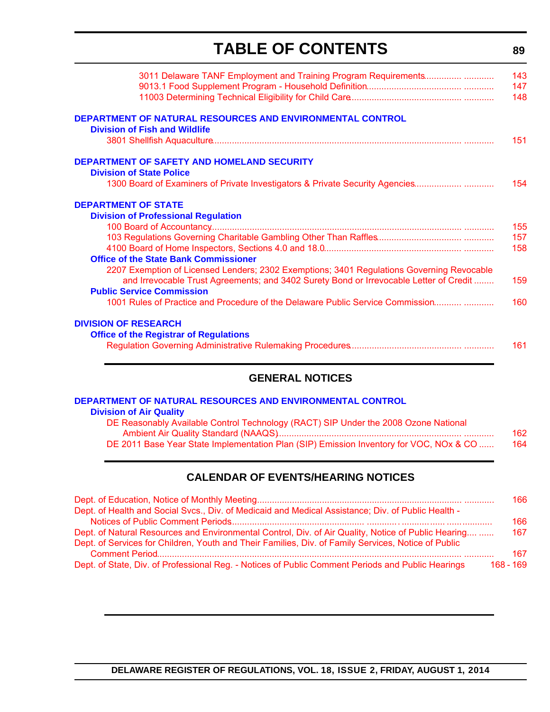# **TABLE OF CONTENTS**

**89**

| 3011 Delaware TANF Employment and Training Program Requirements                                          | 143<br>147<br>148 |
|----------------------------------------------------------------------------------------------------------|-------------------|
| <b>DEPARTMENT OF NATURAL RESOURCES AND ENVIRONMENTAL CONTROL</b><br><b>Division of Fish and Wildlife</b> |                   |
|                                                                                                          | 151               |
| <b>DEPARTMENT OF SAFETY AND HOMELAND SECURITY</b>                                                        |                   |
| <b>Division of State Police</b>                                                                          |                   |
| 1300 Board of Examiners of Private Investigators & Private Security Agencies                             | 154               |
| <b>DEPARTMENT OF STATE</b>                                                                               |                   |
| <b>Division of Professional Regulation</b>                                                               |                   |
|                                                                                                          | 155               |
|                                                                                                          | 157               |
|                                                                                                          | 158               |
| <b>Office of the State Bank Commissioner</b>                                                             |                   |
| 2207 Exemption of Licensed Lenders; 2302 Exemptions; 3401 Regulations Governing Revocable                |                   |
| and Irrevocable Trust Agreements; and 3402 Surety Bond or Irrevocable Letter of Credit                   | 159               |
| <b>Public Service Commission</b>                                                                         |                   |
| 1001 Rules of Practice and Procedure of the Delaware Public Service Commission                           | 160               |
|                                                                                                          |                   |
| <b>DIVISION OF RESEARCH</b>                                                                              |                   |
| <b>Office of the Registrar of Regulations</b>                                                            |                   |
|                                                                                                          | 161               |

### **GENERAL NOTICES**

**Division of Air Quality**

| DE Reasonably Available Control Technology (RACT) SIP Under the 2008 Ozone National    |     |
|----------------------------------------------------------------------------------------|-----|
|                                                                                        | 162 |
| DE 2011 Base Year State Implementation Plan (SIP) Emission Inventory for VOC, NOx & CO | 164 |

### **CALENDAR OF EVENTS/HEARING NOTICES**

|                                                                                                     | 166         |
|-----------------------------------------------------------------------------------------------------|-------------|
| Dept. of Health and Social Svcs., Div. of Medicaid and Medical Assistance; Div. of Public Health -  |             |
|                                                                                                     | 166         |
| Dept. of Natural Resources and Environmental Control, Div. of Air Quality, Notice of Public Hearing | 167         |
| Dept. of Services for Children, Youth and Their Families, Div. of Family Services, Notice of Public |             |
|                                                                                                     | 167         |
| Dept. of State, Div. of Professional Reg. - Notices of Public Comment Periods and Public Hearings   | $168 - 169$ |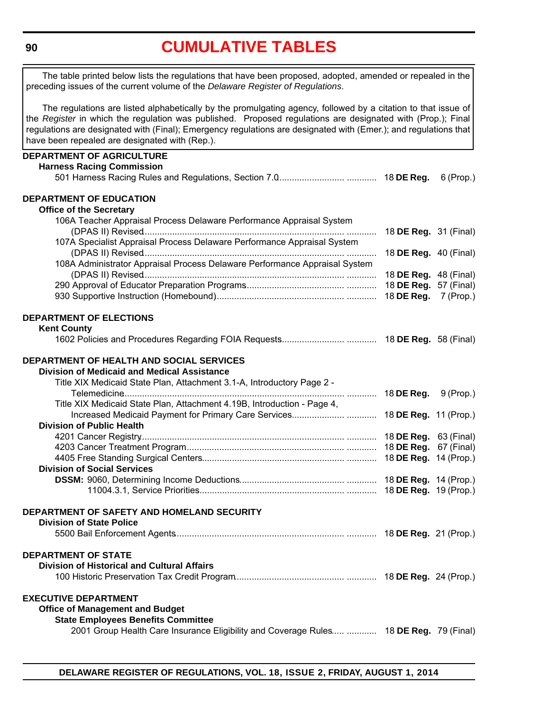# **[CUMULATIVE TABLES](#page-3-0)**

<span id="page-5-0"></span>The table printed below lists the regulations that have been proposed, adopted, amended or repealed in the preceding issues of the current volume of the *Delaware Register of Regulations*.

The regulations are listed alphabetically by the promulgating agency, followed by a citation to that issue of the *Register* in which the regulation was published. Proposed regulations are designated with (Prop.); Final regulations are designated with (Final); Emergency regulations are designated with (Emer.); and regulations that have been repealed are designated with (Rep.).

| <b>DEPARTMENT OF AGRICULTURE</b>                                                       |                              |  |
|----------------------------------------------------------------------------------------|------------------------------|--|
| <b>Harness Racing Commission</b>                                                       |                              |  |
|                                                                                        |                              |  |
| <b>DEPARTMENT OF EDUCATION</b>                                                         |                              |  |
| <b>Office of the Secretary</b>                                                         |                              |  |
| 106A Teacher Appraisal Process Delaware Performance Appraisal System                   |                              |  |
|                                                                                        | 18 <b>DE Reg.</b> 31 (Final) |  |
| 107A Specialist Appraisal Process Delaware Performance Appraisal System                |                              |  |
| 108A Administrator Appraisal Process Delaware Performance Appraisal System             | 18 <b>DE Reg.</b> 40 (Final) |  |
|                                                                                        | 18 <b>DE Reg.</b> 48 (Final) |  |
|                                                                                        | 18 DE Reg. 57 (Final)        |  |
|                                                                                        | 18 DE Reg. 7 (Prop.)         |  |
| <b>DEPARTMENT OF ELECTIONS</b>                                                         |                              |  |
| <b>Kent County</b>                                                                     |                              |  |
|                                                                                        |                              |  |
| DEPARTMENT OF HEALTH AND SOCIAL SERVICES                                               |                              |  |
| <b>Division of Medicaid and Medical Assistance</b>                                     |                              |  |
| Title XIX Medicaid State Plan, Attachment 3.1-A, Introductory Page 2 -                 |                              |  |
|                                                                                        |                              |  |
| Title XIX Medicaid State Plan, Attachment 4.19B, Introduction - Page 4,                |                              |  |
|                                                                                        |                              |  |
| <b>Division of Public Health</b>                                                       |                              |  |
|                                                                                        |                              |  |
|                                                                                        |                              |  |
| <b>Division of Social Services</b>                                                     |                              |  |
|                                                                                        |                              |  |
|                                                                                        |                              |  |
| DEPARTMENT OF SAFETY AND HOMELAND SECURITY                                             |                              |  |
| <b>Division of State Police</b>                                                        |                              |  |
|                                                                                        |                              |  |
| <b>DEPARTMENT OF STATE</b>                                                             |                              |  |
| <b>Division of Historical and Cultural Affairs</b>                                     |                              |  |
|                                                                                        |                              |  |
| <b>EXECUTIVE DEPARTMENT</b>                                                            |                              |  |
| <b>Office of Management and Budget</b><br><b>State Employees Benefits Committee</b>    |                              |  |
| 2001 Group Health Care Insurance Eligibility and Coverage Rules  18 DE Reg. 79 (Final) |                              |  |
|                                                                                        |                              |  |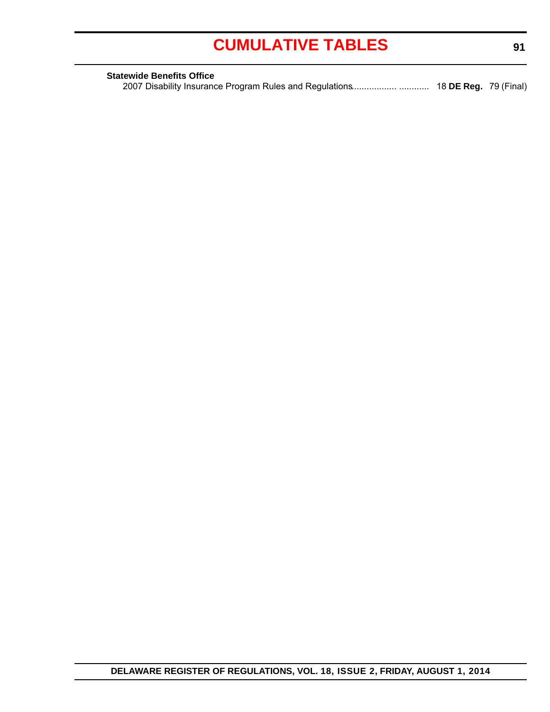# **[CUMULATIVE TABLES](#page-3-0)**

| <b>Statewide Benefits Office</b> |  |
|----------------------------------|--|
|                                  |  |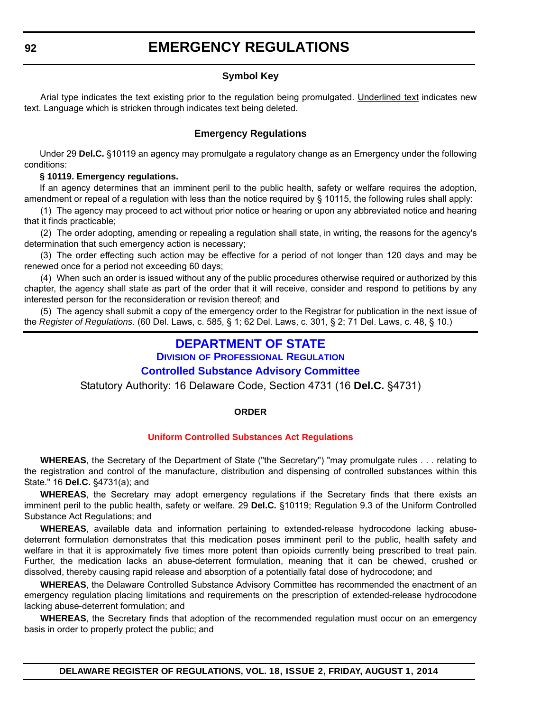### **Symbol Key**

<span id="page-7-0"></span>Arial type indicates the text existing prior to the regulation being promulgated. Underlined text indicates new text. Language which is stricken through indicates text being deleted.

#### **Emergency Regulations**

Under 29 **Del.C.** §10119 an agency may promulgate a regulatory change as an Emergency under the following conditions:

#### **§ 10119. Emergency regulations.**

If an agency determines that an imminent peril to the public health, safety or welfare requires the adoption, amendment or repeal of a regulation with less than the notice required by § 10115, the following rules shall apply:

(1) The agency may proceed to act without prior notice or hearing or upon any abbreviated notice and hearing that it finds practicable;

(2) The order adopting, amending or repealing a regulation shall state, in writing, the reasons for the agency's determination that such emergency action is necessary;

(3) The order effecting such action may be effective for a period of not longer than 120 days and may be renewed once for a period not exceeding 60 days;

(4) When such an order is issued without any of the public procedures otherwise required or authorized by this chapter, the agency shall state as part of the order that it will receive, consider and respond to petitions by any interested person for the reconsideration or revision thereof; and

(5) The agency shall submit a copy of the emergency order to the Registrar for publication in the next issue of the *Register of Regulations*. (60 Del. Laws, c. 585, § 1; 62 Del. Laws, c. 301, § 2; 71 Del. Laws, c. 48, § 10.)

### **[DEPARTMENT OF STATE](http://dpr.delaware.gov/)**

**DIVISION OF PROFESSIONAL REGULATION**

#### **Controlled Substance Advisory Committee**

Statutory Authority: 16 Delaware Code, Section 4731 (16 **Del.C.** §4731)

#### **ORDER**

#### **[Uniform Controlled Substances Act Regulations](#page-3-0)**

**WHEREAS**, the Secretary of the Department of State ("the Secretary") "may promulgate rules . . . relating to the registration and control of the manufacture, distribution and dispensing of controlled substances within this State." 16 **Del.C.** §4731(a); and

**WHEREAS**, the Secretary may adopt emergency regulations if the Secretary finds that there exists an imminent peril to the public health, safety or welfare. 29 **Del.C.** §10119; Regulation 9.3 of the Uniform Controlled Substance Act Regulations; and

**WHEREAS**, available data and information pertaining to extended-release hydrocodone lacking abusedeterrent formulation demonstrates that this medication poses imminent peril to the public, health safety and welfare in that it is approximately five times more potent than opioids currently being prescribed to treat pain. Further, the medication lacks an abuse-deterrent formulation, meaning that it can be chewed, crushed or dissolved, thereby causing rapid release and absorption of a potentially fatal dose of hydrocodone; and

**WHEREAS**, the Delaware Controlled Substance Advisory Committee has recommended the enactment of an emergency regulation placing limitations and requirements on the prescription of extended-release hydrocodone lacking abuse-deterrent formulation; and

**WHEREAS**, the Secretary finds that adoption of the recommended regulation must occur on an emergency basis in order to properly protect the public; and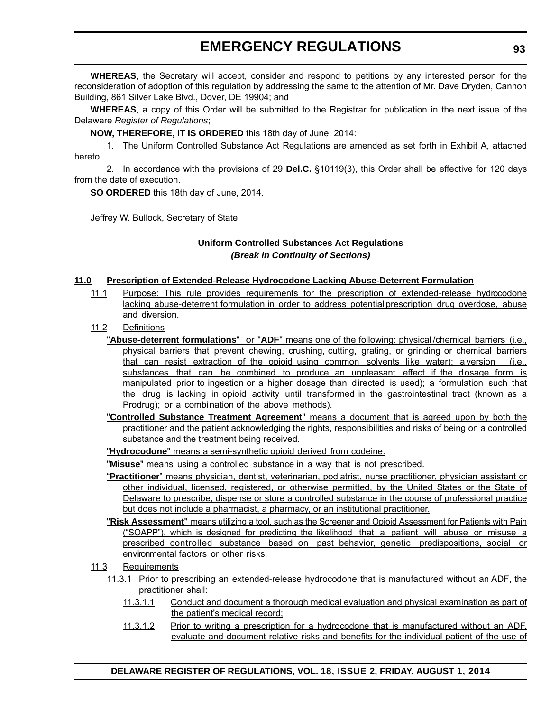### **EMERGENCY REGULATIONS**

**WHEREAS**, the Secretary will accept, consider and respond to petitions by any interested person for the reconsideration of adoption of this regulation by addressing the same to the attention of Mr. Dave Dryden, Cannon Building, 861 Silver Lake Blvd., Dover, DE 19904; and

**WHEREAS**, a copy of this Order will be submitted to the Registrar for publication in the next issue of the Delaware *Register of Regulations*;

**NOW, THEREFORE, IT IS ORDERED** this 18th day of June, 2014:

1. The Uniform Controlled Substance Act Regulations are amended as set forth in Exhibit A, attached hereto.

2. In accordance with the provisions of 29 **Del.C.** §10119(3), this Order shall be effective for 120 days from the date of execution.

**SO ORDERED** this 18th day of June, 2014.

Jeffrey W. Bullock, Secretary of State

#### **Uniform Controlled Substances Act Regulations** *(Break in Continuity of Sections)*

#### **11.0 Prescription of Extended-Release Hydrocodone Lacking Abuse-Deterrent Formulation**

- 11.1 Purpose: This rule provides requirements for the prescription of extended-release hydrocodone lacking abuse-deterrent formulation in order to address potential prescription drug overdose, abuse and diversion.
- 11.2 Definitions
	- "**Abuse-deterrent formulations**" or "**ADF**" means one of the following: physical /chemical barriers (i.e., physical barriers that prevent chewing, crushing, cutting, grating, or grinding or chemical barriers that can resist extraction of the opioid using common solvents like water); a version (i.e., substances that can be combined to produce an unpleasant effect if the dosage form is manipulated prior to ingestion or a higher dosage than directed is used); a formulation such that the drug is lacking in opioid activity until transformed in the gastrointestinal tract (known as a Prodrug); or a combination of the above methods).
	- "**Controlled Substance Treatment Agreement**" means a document that is agreed upon by both the practitioner and the patient acknowledging the rights, responsibilities and risks of being on a controlled substance and the treatment being received.

"**Hydrocodone**" means a semi-synthetic opioid derived from codeine.

"**Misuse**" means using a controlled substance in a way that is not prescribed.

- "**Practitioner**" means physician, dentist, veterinarian, podiatrist, nurse practitioner, physician assistant or other individual, licensed, registered, or otherwise permitted, by the United States or the State of Delaware to prescribe, dispense or store a controlled substance in the course of professional practice but does not include a pharmacist, a pharmacy, or an institutional practitioner.
- "**Risk Assessment**" means utilizing a tool, such as the Screener and Opioid Assessment for Patients with Pain ("SOAPP"), which is designed for predicting the likelihood that a patient will abuse or misuse a prescribed controlled substance based on past behavior, genetic predispositions, social or environmental factors or other risks.

#### 11.3 Requirements

- 11.3.1 Prior to prescribing an extended-release hydrocodone that is manufactured without an ADF, the practitioner shall:
	- 11.3.1.1 Conduct and document a thorough medical evaluation and physical examination as part of the patient's medical record;
	- 11.3.1.2 Prior to writing a prescription for a hydrocodone that is manufactured without an ADF, evaluate and document relative risks and benefits for the individual patient of the use of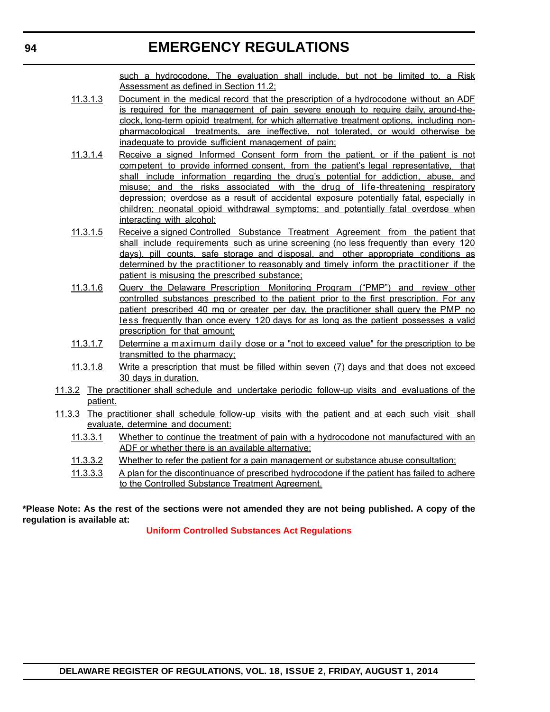### **EMERGENCY REGULATIONS**

such a hydrocodone. The evaluation shall include, but not be limited to, a Risk Assessment as defined in Section 11.2;

- 11.3.1.3 Document in the medical record that the prescription of a hydrocodone without an ADF is required for the management of pain severe enough to require daily, around-theclock, long-term opioid treatment, for which alternative treatment options, including nonpharmacological treatments, are ineffective, not tolerated, or would otherwise be inadequate to provide sufficient management of pain;
- 11.3.1.4 Receive a signed Informed Consent form from the patient, or if the patient is not competent to provide informed consent, from the patient's legal representative, that shall include information regarding the drug's potential for addiction, abuse, and misuse; and the risks associated with the drug of life-threatening respiratory depression; overdose as a result of accidental exposure potentially fatal, especially in children; neonatal opioid withdrawal symptoms; and potentially fatal overdose when interacting with alcohol;
- 11.3.1.5 Receive a signed Controlled Substance Treatment Agreement from the patient that shall include requirements such as urine screening (no less frequently than every 120 days), pill counts, safe storage and disposal, and other appropriate conditions as determined by the practitioner to reasonably and timely inform the practitioner if the patient is misusing the prescribed substance;
- 11.3.1.6 Query the Delaware Prescription Monitoring Program ("PMP") and review other controlled substances prescribed to the patient prior to the first prescription. For any patient prescribed 40 mg or greater per day, the practitioner shall query the PMP no less frequently than once every 120 days for as long as the patient possesses a valid prescription for that amount;
- 11.3.1.7 Determine a maximum daily dose or a "not to exceed value" for the prescription to be transmitted to the pharmacy;
- 11.3.1.8 Write a prescription that must be filled within seven (7) days and that does not exceed 30 days in duration.
- 11.3.2 The practitioner shall schedule and undertake periodic follow-up visits and evaluations of the patient.
- 11.3.3 The practitioner shall schedule follow-up visits with the patient and at each such visit shall evaluate, determine and document:
	- 11.3.3.1 Whether to continue the treatment of pain with a hydrocodone not manufactured with an ADF or whether there is an available alternative;
	- 11.3.3.2 Whether to refer the patient for a pain management or substance abuse consultation;
	- 11.3.3.3 A plan for the discontinuance of prescribed hydrocodone if the patient has failed to adhere to the Controlled Substance Treatment Agreement.

#### **\*Please Note: As the rest of the sections were not amended they are not being published. A copy of the regulation is available at:**

**[Uniform Controlled Substances Act Regulations](http://regulations.delaware.gov/register/august2014/emergency/18 DE Reg 92 08-01-14.htm)**

```
94
```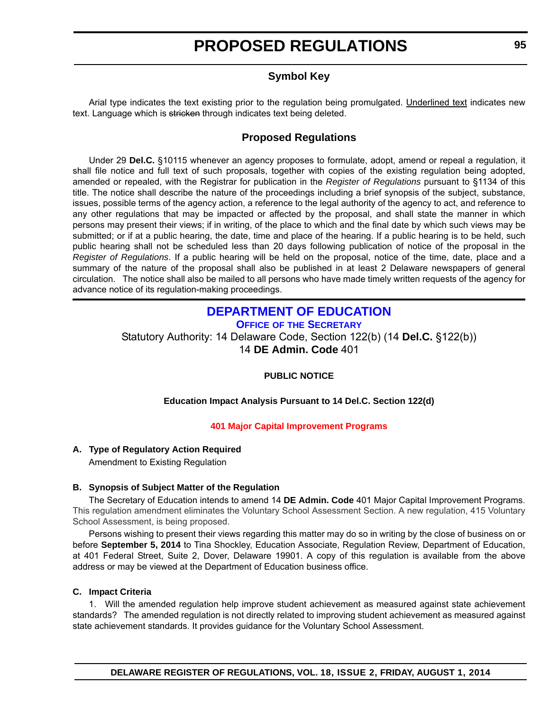### **Symbol Key**

<span id="page-10-0"></span>Arial type indicates the text existing prior to the regulation being promulgated. Underlined text indicates new text. Language which is stricken through indicates text being deleted.

### **Proposed Regulations**

Under 29 **Del.C.** §10115 whenever an agency proposes to formulate, adopt, amend or repeal a regulation, it shall file notice and full text of such proposals, together with copies of the existing regulation being adopted, amended or repealed, with the Registrar for publication in the *Register of Regulations* pursuant to §1134 of this title. The notice shall describe the nature of the proceedings including a brief synopsis of the subject, substance, issues, possible terms of the agency action, a reference to the legal authority of the agency to act, and reference to any other regulations that may be impacted or affected by the proposal, and shall state the manner in which persons may present their views; if in writing, of the place to which and the final date by which such views may be submitted; or if at a public hearing, the date, time and place of the hearing. If a public hearing is to be held, such public hearing shall not be scheduled less than 20 days following publication of notice of the proposal in the *Register of Regulations*. If a public hearing will be held on the proposal, notice of the time, date, place and a summary of the nature of the proposal shall also be published in at least 2 Delaware newspapers of general circulation. The notice shall also be mailed to all persons who have made timely written requests of the agency for advance notice of its regulation-making proceedings.

### **[DEPARTMENT OF EDUCATION](http://www.doe.k12.de.us/)**

**OFFICE OF THE SECRETARY**

Statutory Authority: 14 Delaware Code, Section 122(b) (14 **Del.C.** §122(b)) 14 **DE Admin. Code** 401

#### **PUBLIC NOTICE**

#### **Education Impact Analysis Pursuant to 14 Del.C. Section 122(d)**

#### **[401 Major Capital Improvement Programs](#page-3-0)**

### **A. Type of Regulatory Action Required**

Amendment to Existing Regulation

#### **B. Synopsis of Subject Matter of the Regulation**

The Secretary of Education intends to amend 14 **DE Admin. Code** 401 Major Capital Improvement Programs. This regulation amendment eliminates the Voluntary School Assessment Section. A new regulation, 415 Voluntary School Assessment, is being proposed.

Persons wishing to present their views regarding this matter may do so in writing by the close of business on or before **September 5, 2014** to Tina Shockley, Education Associate, Regulation Review, Department of Education, at 401 Federal Street, Suite 2, Dover, Delaware 19901. A copy of this regulation is available from the above address or may be viewed at the Department of Education business office.

#### **C. Impact Criteria**

1. Will the amended regulation help improve student achievement as measured against state achievement standards? The amended regulation is not directly related to improving student achievement as measured against state achievement standards. It provides guidance for the Voluntary School Assessment.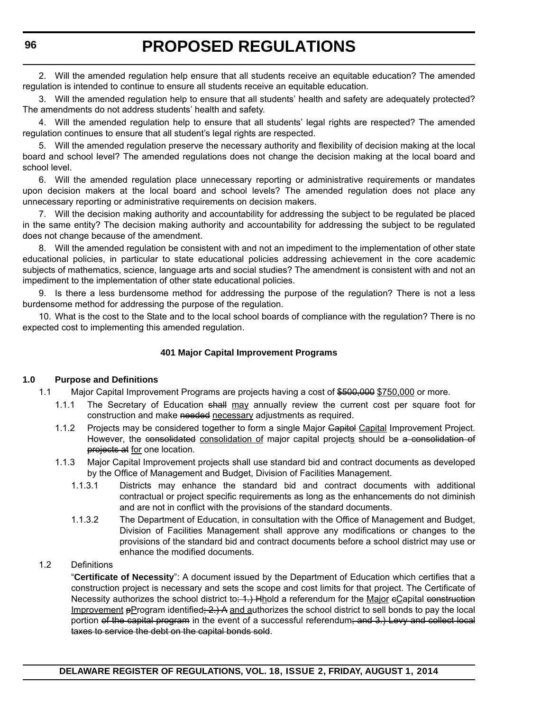2. Will the amended regulation help ensure that all students receive an equitable education? The amended regulation is intended to continue to ensure all students receive an equitable education.

3. Will the amended regulation help to ensure that all students' health and safety are adequately protected? The amendments do not address students' health and safety.

4. Will the amended regulation help to ensure that all students' legal rights are respected? The amended regulation continues to ensure that all student's legal rights are respected.

5. Will the amended regulation preserve the necessary authority and flexibility of decision making at the local board and school level? The amended regulations does not change the decision making at the local board and school level.

6. Will the amended regulation place unnecessary reporting or administrative requirements or mandates upon decision makers at the local board and school levels? The amended regulation does not place any unnecessary reporting or administrative requirements on decision makers.

7. Will the decision making authority and accountability for addressing the subject to be regulated be placed in the same entity? The decision making authority and accountability for addressing the subject to be regulated does not change because of the amendment.

8. Will the amended regulation be consistent with and not an impediment to the implementation of other state educational policies, in particular to state educational policies addressing achievement in the core academic subjects of mathematics, science, language arts and social studies? The amendment is consistent with and not an impediment to the implementation of other state educational policies.

9. Is there a less burdensome method for addressing the purpose of the regulation? There is not a less burdensome method for addressing the purpose of the regulation.

10. What is the cost to the State and to the local school boards of compliance with the regulation? There is no expected cost to implementing this amended regulation.

#### **401 Major Capital Improvement Programs**

#### **1.0 Purpose and Definitions**

- 1.1 Major Capital Improvement Programs are projects having a cost of \$500,000 \$750,000 or more.
	- 1.1.1 The Secretary of Education shall may annually review the current cost per square foot for construction and make needed necessary adjustments as required.
	- 1.1.2 Projects may be considered together to form a single Major Gapital Capital Improvement Project. However, the consolidated consolidation of major capital projects should be a consolidation of projects at for one location.
	- 1.1.3 Major Capital Improvement projects shall use standard bid and contract documents as developed by the Office of Management and Budget, Division of Facilities Management.
		- 1.1.3.1 Districts may enhance the standard bid and contract documents with additional contractual or project specific requirements as long as the enhancements do not diminish and are not in conflict with the provisions of the standard documents.
		- 1.1.3.2 The Department of Education, in consultation with the Office of Management and Budget, Division of Facilities Management shall approve any modifications or changes to the provisions of the standard bid and contract documents before a school district may use or enhance the modified documents.

#### 1.2 Definitions

"**Certificate of Necessity**": A document issued by the Department of Education which certifies that a construction project is necessary and sets the scope and cost limits for that project. The Certificate of Necessity authorizes the school district to: 4.) Hhold a referendum for the Major eCapital construction Improvement  $\beta$ Program identified;  $2$ .) A and authorizes the school district to sell bonds to pay the local portion of the capital program in the event of a successful referendum; and 3.) Levy and collect local taxes to service the debt on the capital bonds sold.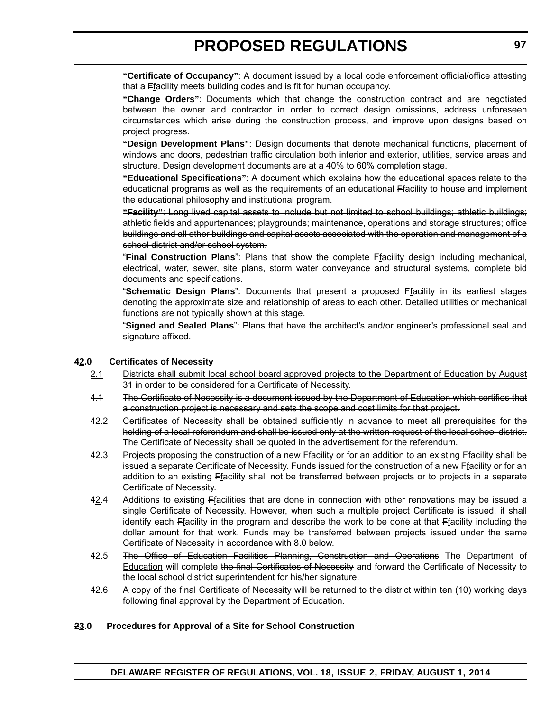**"Certificate of Occupancy"**: A document issued by a local code enforcement official/office attesting that a Ffacility meets building codes and is fit for human occupancy.

**"Change Orders"**: Documents which that change the construction contract and are negotiated between the owner and contractor in order to correct design omissions, address unforeseen circumstances which arise during the construction process, and improve upon designs based on project progress.

**"Design Development Plans"**: Design documents that denote mechanical functions, placement of windows and doors, pedestrian traffic circulation both interior and exterior, utilities, service areas and structure. Design development documents are at a 40% to 60% completion stage.

**"Educational Specifications"**: A document which explains how the educational spaces relate to the educational programs as well as the requirements of an educational Ffacility to house and implement the educational philosophy and institutional program.

**"Facility"**: Long lived capital assets to include but not limited to school buildings; athletic buildings; athletic fields and appurtenances; playgrounds; maintenance, operations and storage structures; office buildings and all other buildings and capital assets associated with the operation and management of a school district and/or school system.

"**Final Construction Plans**": Plans that show the complete Ffacility design including mechanical, electrical, water, sewer, site plans, storm water conveyance and structural systems, complete bid documents and specifications.

"**Schematic Design Plans**": Documents that present a proposed Ffacility in its earliest stages denoting the approximate size and relationship of areas to each other. Detailed utilities or mechanical functions are not typically shown at this stage.

"**Signed and Sealed Plans**": Plans that have the architect's and/or engineer's professional seal and signature affixed.

#### **42.0 Certificates of Necessity**

- 2.1 Districts shall submit local school board approved projects to the Department of Education by August 31 in order to be considered for a Certificate of Necessity.
- 4.1 The Certificate of Necessity is a document issued by the Department of Education which certifies that a construction project is necessary and sets the scope and cost limits for that project.
- 42.2 Gertificates of Necessity shall be obtained sufficiently in advance to meet all prerequisites for the holding of a local referendum and shall be issued only at the written request of the local school district. The Certificate of Necessity shall be quoted in the advertisement for the referendum.
- 42.3 Projects proposing the construction of a new Ffacility or for an addition to an existing Ffacility shall be issued a separate Certificate of Necessity. Funds issued for the construction of a new Ffacility or for an addition to an existing Ffacility shall not be transferred between projects or to projects in a separate Certificate of Necessity.
- $42.4$  Additions to existing  $E$  facilities that are done in connection with other renovations may be issued a single Certificate of Necessity. However, when such a multiple project Certificate is issued, it shall identify each Ffacility in the program and describe the work to be done at that Ffacility including the dollar amount for that work. Funds may be transferred between projects issued under the same Certificate of Necessity in accordance with 8.0 below.
- 42.5 The Office of Education Facilities Planning, Construction and Operations The Department of Education will complete the final Certificates of Necessity and forward the Certificate of Necessity to the local school district superintendent for his/her signature.
- 42.6 A copy of the final Certificate of Necessity will be returned to the district within ten (10) working days following final approval by the Department of Education.

#### **23.0 Procedures for Approval of a Site for School Construction**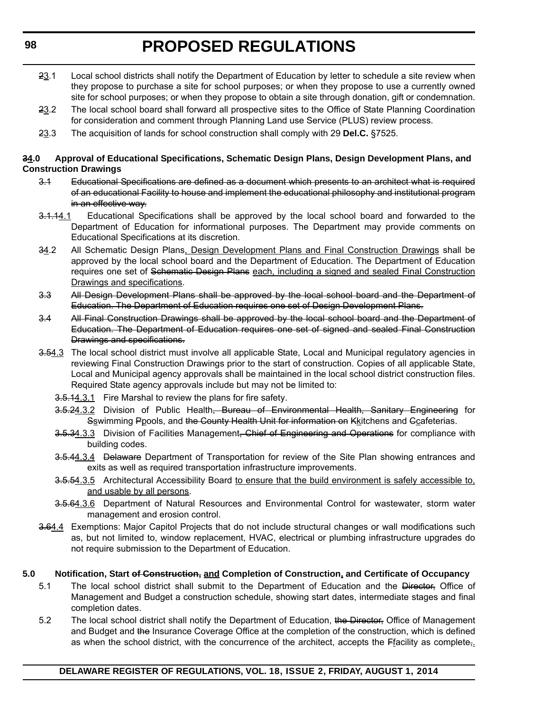- 23.1 Local school districts shall notify the Department of Education by letter to schedule a site review when they propose to purchase a site for school purposes; or when they propose to use a currently owned site for school purposes; or when they propose to obtain a site through donation, gift or condemnation.
- 23.2 The local school board shall forward all prospective sites to the Office of State Planning Coordination for consideration and comment through Planning Land use Service (PLUS) review process.
- 23.3 The acquisition of lands for school construction shall comply with 29 **Del.C.** §7525.

#### **34.0 Approval of Educational Specifications, Schematic Design Plans, Design Development Plans, and Construction Drawings**

- 3.1 Educational Specifications are defined as a document which presents to an architect what is required of an educational Facility to house and implement the educational philosophy and institutional program in an effective way.
- 3.1.14.1 Educational Specifications shall be approved by the local school board and forwarded to the Department of Education for informational purposes. The Department may provide comments on Educational Specifications at its discretion.
- 34.2 All Schematic Design Plans, Design Development Plans and Final Construction Drawings shall be approved by the local school board and the Department of Education. The Department of Education requires one set of Schematic Design Plans each, including a signed and sealed Final Construction Drawings and specifications.
- 3.3 All Design Development Plans shall be approved by the local school board and the Department of Education. The Department of Education requires one set of Design Development Plans.
- 3.4 All Final Construction Drawings shall be approved by the local school board and the Department of Education. The Department of Education requires one set of signed and sealed Final Construction Drawings and specifications.
- 3.54.3 The local school district must involve all applicable State, Local and Municipal regulatory agencies in reviewing Final Construction Drawings prior to the start of construction. Copies of all applicable State, Local and Municipal agency approvals shall be maintained in the local school district construction files. Required State agency approvals include but may not be limited to:
	- 3.5.14.3.1 Fire Marshal to review the plans for fire safety.
	- 3.5.24.3.2 Division of Public Health, Bureau of Environmental Health, Sanitary Engineering for Sswimming Ppools, and the County Health Unit for information on Kkitchens and Ccafeterias.
	- 3.5.34.3.3 Division of Facilities Management, Chief of Engineering and Operations for compliance with building codes.
	- 3.5.44.3.4 Delaware Department of Transportation for review of the Site Plan showing entrances and exits as well as required transportation infrastructure improvements.
	- 3.5.54.3.5 Architectural Accessibility Board to ensure that the build environment is safely accessible to, and usable by all persons.
	- 3.5.64.3.6 Department of Natural Resources and Environmental Control for wastewater, storm water management and erosion control.
- 3.64.4 Exemptions: Major Capitol Projects that do not include structural changes or wall modifications such as, but not limited to, window replacement, HVAC, electrical or plumbing infrastructure upgrades do not require submission to the Department of Education.

#### **5.0 Notification, Start of Construction, and Completion of Construction, and Certificate of Occupancy**

- 5.1 The local school district shall submit to the Department of Education and the Director. Office of Management and Budget a construction schedule, showing start dates, intermediate stages and final completion dates.
- 5.2 The local school district shall notify the Department of Education, the Director, Office of Management and Budget and the Insurance Coverage Office at the completion of the construction, which is defined as when the school district, with the concurrence of the architect, accepts the  $F_1$  acility as complete<sub> $\frac{1}{2}$ </sub>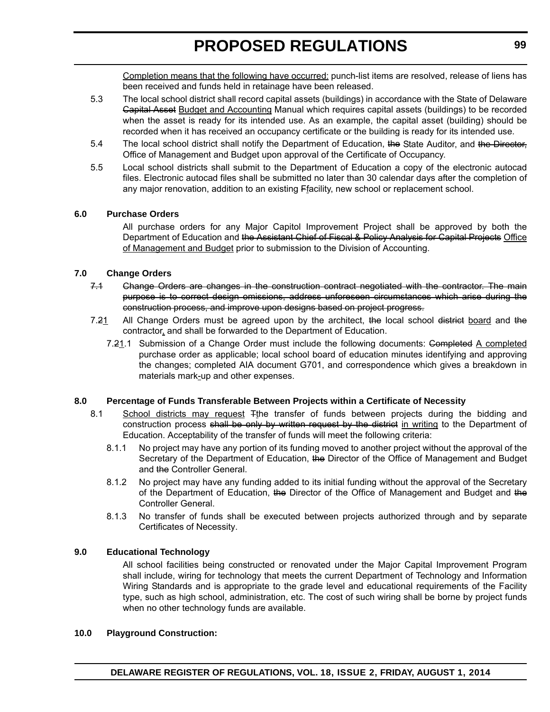Completion means that the following have occurred: punch-list items are resolved, release of liens has been received and funds held in retainage have been released.

- 5.3 The local school district shall record capital assets (buildings) in accordance with the State of Delaware Capital Asset Budget and Accounting Manual which requires capital assets (buildings) to be recorded when the asset is ready for its intended use. As an example, the capital asset (building) should be recorded when it has received an occupancy certificate or the building is ready for its intended use.
- 5.4 The local school district shall notify the Department of Education, the State Auditor, and the Director, Office of Management and Budget upon approval of the Certificate of Occupancy.
- 5.5 Local school districts shall submit to the Department of Education a copy of the electronic autocad files. Electronic autocad files shall be submitted no later than 30 calendar days after the completion of any major renovation, addition to an existing Ffacility, new school or replacement school.

#### **6.0 Purchase Orders**

All purchase orders for any Major Capitol Improvement Project shall be approved by both the Department of Education and the Assistant Chief of Fiscal & Policy Analysis for Capital Projects Office of Management and Budget prior to submission to the Division of Accounting.

#### **7.0 Change Orders**

- 7.1 Change Orders are changes in the construction contract negotiated with the contractor. The main purpose is to correct design omissions, address unforeseen circumstances which arise during the construction process, and improve upon designs based on project progress.
- 7.21 All Change Orders must be agreed upon by the architect, the local school district board and the contractor, and shall be forwarded to the Department of Education.
	- 7.21.1 Submission of a Change Order must include the following documents: Completed A completed purchase order as applicable; local school board of education minutes identifying and approving the changes; completed AIA document G701, and correspondence which gives a breakdown in materials mark-up and other expenses.

#### **8.0 Percentage of Funds Transferable Between Projects within a Certificate of Necessity**

- 8.1 School districts may request Tthe transfer of funds between projects during the bidding and construction process shall be only by written request by the district in writing to the Department of Education. Acceptability of the transfer of funds will meet the following criteria:
	- 8.1.1 No project may have any portion of its funding moved to another project without the approval of the Secretary of the Department of Education, the Director of the Office of Management and Budget and the Controller General.
	- 8.1.2 No project may have any funding added to its initial funding without the approval of the Secretary of the Department of Education, the Director of the Office of Management and Budget and the Controller General.
	- 8.1.3 No transfer of funds shall be executed between projects authorized through and by separate Certificates of Necessity.

#### **9.0 Educational Technology**

All school facilities being constructed or renovated under the Major Capital Improvement Program shall include, wiring for technology that meets the current Department of Technology and Information Wiring Standards and is appropriate to the grade level and educational requirements of the Facility type, such as high school, administration, etc. The cost of such wiring shall be borne by project funds when no other technology funds are available.

#### **10.0 Playground Construction:**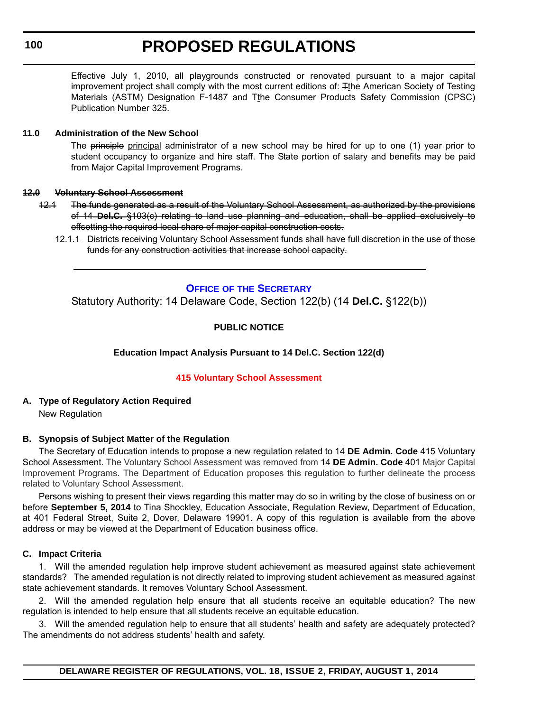<span id="page-15-0"></span>Effective July 1, 2010, all playgrounds constructed or renovated pursuant to a major capital improvement project shall comply with the most current editions of: Tthe American Society of Testing Materials (ASTM) Designation F-1487 and Tthe Consumer Products Safety Commission (CPSC) Publication Number 325.

#### **11.0 Administration of the New School**

The principle principal administrator of a new school may be hired for up to one (1) year prior to student occupancy to organize and hire staff. The State portion of salary and benefits may be paid from Major Capital Improvement Programs.

#### **12.0 Voluntary School Assessment**

- 12.1 The funds generated as a result of the Voluntary School Assessment, as authorized by the provisions of 14 **Del.C.** §103(c) relating to land use planning and education, shall be applied exclusively to offsetting the required local share of major capital construction costs.
	- 12.1.1 Districts receiving Voluntary School Assessment funds shall have full discretion in the use of those funds for any construction activities that increase school capacity.

#### **OFFICE OF [THE SECRETARY](http://www.doe.k12.de.us/)**

Statutory Authority: 14 Delaware Code, Section 122(b) (14 **Del.C.** §122(b))

### **PUBLIC NOTICE**

#### **Education Impact Analysis Pursuant to 14 Del.C. Section 122(d)**

#### **[415 Voluntary School Assessment](#page-3-0)**

**A. Type of Regulatory Action Required** New Regulation

#### **B. Synopsis of Subject Matter of the Regulation**

The Secretary of Education intends to propose a new regulation related to 14 **DE Admin. Code** 415 Voluntary School Assessment. The Voluntary School Assessment was removed from 14 **DE Admin. Code** 401 Major Capital Improvement Programs. The Department of Education proposes this regulation to further delineate the process related to Voluntary School Assessment.

Persons wishing to present their views regarding this matter may do so in writing by the close of business on or before **September 5, 2014** to Tina Shockley, Education Associate, Regulation Review, Department of Education, at 401 Federal Street, Suite 2, Dover, Delaware 19901. A copy of this regulation is available from the above address or may be viewed at the Department of Education business office.

#### **C. Impact Criteria**

1. Will the amended regulation help improve student achievement as measured against state achievement standards? The amended regulation is not directly related to improving student achievement as measured against state achievement standards. It removes Voluntary School Assessment.

2. Will the amended regulation help ensure that all students receive an equitable education? The new regulation is intended to help ensure that all students receive an equitable education.

3. Will the amended regulation help to ensure that all students' health and safety are adequately protected? The amendments do not address students' health and safety.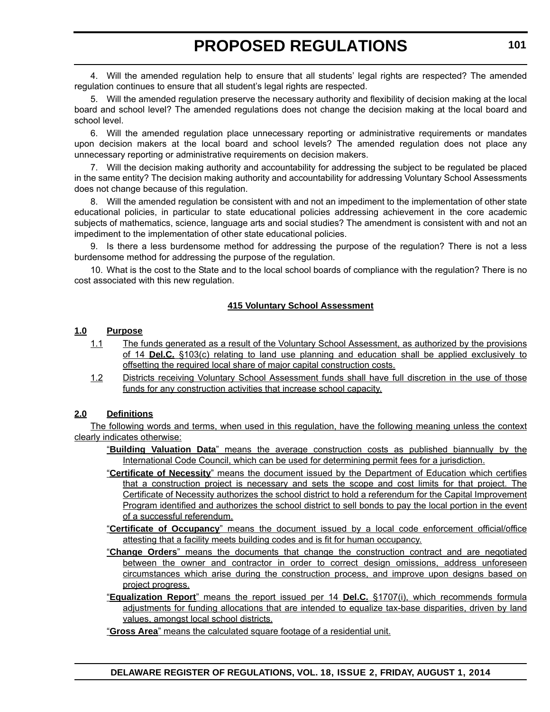4. Will the amended regulation help to ensure that all students' legal rights are respected? The amended regulation continues to ensure that all student's legal rights are respected.

5. Will the amended regulation preserve the necessary authority and flexibility of decision making at the local board and school level? The amended regulations does not change the decision making at the local board and school level.

6. Will the amended regulation place unnecessary reporting or administrative requirements or mandates upon decision makers at the local board and school levels? The amended regulation does not place any unnecessary reporting or administrative requirements on decision makers.

7. Will the decision making authority and accountability for addressing the subject to be regulated be placed in the same entity? The decision making authority and accountability for addressing Voluntary School Assessments does not change because of this regulation.

8. Will the amended regulation be consistent with and not an impediment to the implementation of other state educational policies, in particular to state educational policies addressing achievement in the core academic subjects of mathematics, science, language arts and social studies? The amendment is consistent with and not an impediment to the implementation of other state educational policies.

9. Is there a less burdensome method for addressing the purpose of the regulation? There is not a less burdensome method for addressing the purpose of the regulation.

10. What is the cost to the State and to the local school boards of compliance with the regulation? There is no cost associated with this new regulation.

#### **415 Voluntary School Assessment**

#### **1.0 Purpose**

- 1.1 The funds generated as a result of the Voluntary School Assessment, as authorized by the provisions of 14 **Del.C.** §103(c) relating to land use planning and education shall be applied exclusively to offsetting the required local share of major capital construction costs.
- 1.2 Districts receiving Voluntary School Assessment funds shall have full discretion in the use of those funds for any construction activities that increase school capacity.

#### **2.0 Definitions**

The following words and terms, when used in this regulation, have the following meaning unless the context clearly indicates otherwise:

- "**Building Valuation Data**" means the average construction costs as published biannually by the International Code Council, which can be used for determining permit fees for a jurisdiction.
- "**Certificate of Necessity**" means the document issued by the Department of Education which certifies that a construction project is necessary and sets the scope and cost limits for that project. The Certificate of Necessity authorizes the school district to hold a referendum for the Capital Improvement Program identified and authorizes the school district to sell bonds to pay the local portion in the event of a successful referendum.
- "**Certificate of Occupancy**" means the document issued by a local code enforcement official/office attesting that a facility meets building codes and is fit for human occupancy.
- "**Change Orders**" means the documents that change the construction contract and are negotiated between the owner and contractor in order to correct design omissions, address unforeseen circumstances which arise during the construction process, and improve upon designs based on project progress.
- "**Equalization Report**" means the report issued per 14 **Del.C.** §1707(i), which recommends formula adjustments for funding allocations that are intended to equalize tax-base disparities, driven by land values, amongst local school districts.

"**Gross Area**" means the calculated square footage of a residential unit.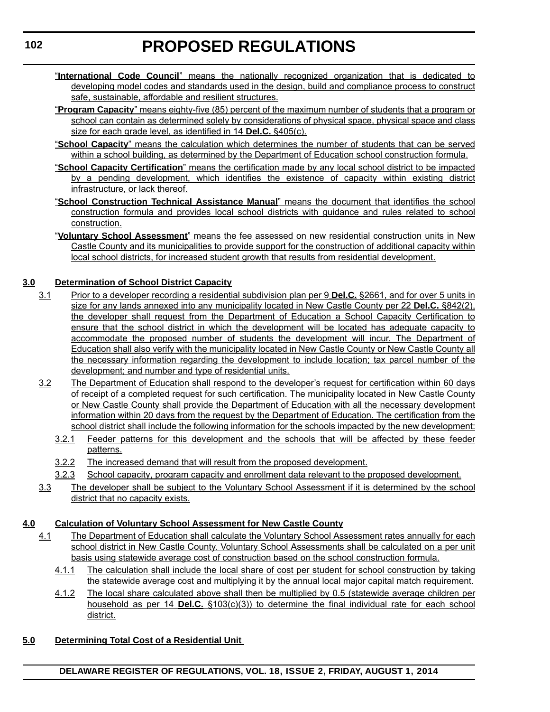- "**International Code Council**" means the nationally recognized organization that is dedicated to developing model codes and standards used in the design, build and compliance process to construct safe, sustainable, affordable and resilient structures.
- "**Program Capacity**" means eighty-five (85) percent of the maximum number of students that a program or school can contain as determined solely by considerations of physical space, physical space and class size for each grade level, as identified in 14 **Del.C.** §405(c).
- "**School Capacity**" means the calculation which determines the number of students that can be served within a school building, as determined by the Department of Education school construction formula.
- "**School Capacity Certification**" means the certification made by any local school district to be impacted by a pending development, which identifies the existence of capacity within existing district infrastructure, or lack thereof.
- "**School Construction Technical Assistance Manual**" means the document that identifies the school construction formula and provides local school districts with guidance and rules related to school construction.
- "**Voluntary School Assessment**" means the fee assessed on new residential construction units in New Castle County and its municipalities to provide support for the construction of additional capacity within local school districts, for increased student growth that results from residential development.

### **3.0 Determination of School District Capacity**

- 3.1 Prior to a developer recording a residential subdivision plan per 9 **Del.C.** §2661, and for over 5 units in size for any lands annexed into any municipality located in New Castle County per 22 **Del.C.** §842(2), the developer shall request from the Department of Education a School Capacity Certification to ensure that the school district in which the development will be located has adequate capacity to accommodate the proposed number of students the development will incur. The Department of Education shall also verify with the municipality located in New Castle County or New Castle County all the necessary information regarding the development to include location; tax parcel number of the development; and number and type of residential units.
- 3.2 The Department of Education shall respond to the developer's request for certification within 60 days of receipt of a completed request for such certification. The municipality located in New Castle County or New Castle County shall provide the Department of Education with all the necessary development information within 20 days from the request by the Department of Education. The certification from the school district shall include the following information for the schools impacted by the new development:
	- 3.2.1 Feeder patterns for this development and the schools that will be affected by these feeder patterns.
	- 3.2.2 The increased demand that will result from the proposed development.
	- 3.2.3 School capacity, program capacity and enrollment data relevant to the proposed development.
- 3.3 The developer shall be subject to the Voluntary School Assessment if it is determined by the school district that no capacity exists.

### **4.0 Calculation of Voluntary School Assessment for New Castle County**

- 4.1 The Department of Education shall calculate the Voluntary School Assessment rates annually for each school district in New Castle County. Voluntary School Assessments shall be calculated on a per unit basis using statewide average cost of construction based on the school construction formula.
	- 4.1.1 The calculation shall include the local share of cost per student for school construction by taking the statewide average cost and multiplying it by the annual local major capital match requirement.
	- 4.1.2 The local share calculated above shall then be multiplied by 0.5 (statewide average children per household as per 14 **Del.C.** §103(c)(3)) to determine the final individual rate for each school district.

### **5.0 Determining Total Cost of a Residential Unit**

**DELAWARE REGISTER OF REGULATIONS, VOL. 18, ISSUE 2, FRIDAY, AUGUST 1, 2014**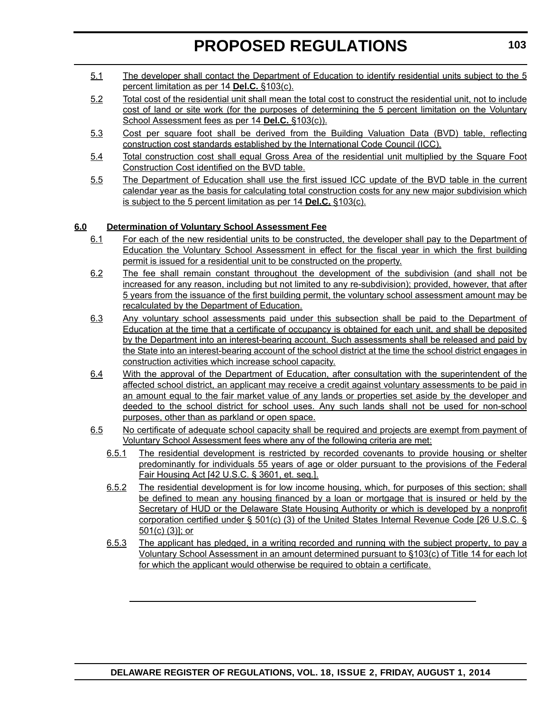- 5.1 The developer shall contact the Department of Education to identify residential units subject to the 5 percent limitation as per 14 **Del.C.** §103(c).
- 5.2 Total cost of the residential unit shall mean the total cost to construct the residential unit, not to include cost of land or site work (for the purposes of determining the 5 percent limitation on the Voluntary School Assessment fees as per 14 **Del.C.** §103(c)).
- 5.3 Cost per square foot shall be derived from the Building Valuation Data (BVD) table, reflecting construction cost standards established by the International Code Council (ICC).
- 5.4 Total construction cost shall equal Gross Area of the residential unit multiplied by the Square Foot Construction Cost identified on the BVD table.
- 5.5 The Department of Education shall use the first issued ICC update of the BVD table in the current calendar year as the basis for calculating total construction costs for any new major subdivision which is subject to the 5 percent limitation as per 14 **Del.C.** §103(c).

#### **6.0 Determination of Voluntary School Assessment Fee**

- 6.1 For each of the new residential units to be constructed, the developer shall pay to the Department of Education the Voluntary School Assessment in effect for the fiscal year in which the first building permit is issued for a residential unit to be constructed on the property.
- 6.2 The fee shall remain constant throughout the development of the subdivision (and shall not be increased for any reason, including but not limited to any re-subdivision); provided, however, that after 5 years from the issuance of the first building permit, the voluntary school assessment amount may be recalculated by the Department of Education.
- 6.3 Any voluntary school assessments paid under this subsection shall be paid to the Department of Education at the time that a certificate of occupancy is obtained for each unit, and shall be deposited by the Department into an interest-bearing account. Such assessments shall be released and paid by the State into an interest-bearing account of the school district at the time the school district engages in construction activities which increase school capacity.
- 6.4 With the approval of the Department of Education, after consultation with the superintendent of the affected school district, an applicant may receive a credit against voluntary assessments to be paid in an amount equal to the fair market value of any lands or properties set aside by the developer and deeded to the school district for school uses. Any such lands shall not be used for non-school purposes, other than as parkland or open space.
- 6.5 No certificate of adequate school capacity shall be required and projects are exempt from payment of Voluntary School Assessment fees where any of the following criteria are met:
	- 6.5.1 The residential development is restricted by recorded covenants to provide housing or shelter predominantly for individuals 55 years of age or older pursuant to the provisions of the Federal Fair Housing Act [42 U.S.C. § 3601, et. seq.].
	- 6.5.2 The residential development is for low income housing, which, for purposes of this section; shall be defined to mean any housing financed by a loan or mortgage that is insured or held by the Secretary of HUD or the Delaware State Housing Authority or which is developed by a nonprofit corporation certified under § 501(c) (3) of the United States Internal Revenue Code [26 U.S.C. § 501(c) (3)]; or
	- 6.5.3 The applicant has pledged, in a writing recorded and running with the subject property, to pay a Voluntary School Assessment in an amount determined pursuant to §103(c) of Title 14 for each lot for which the applicant would otherwise be required to obtain a certificate.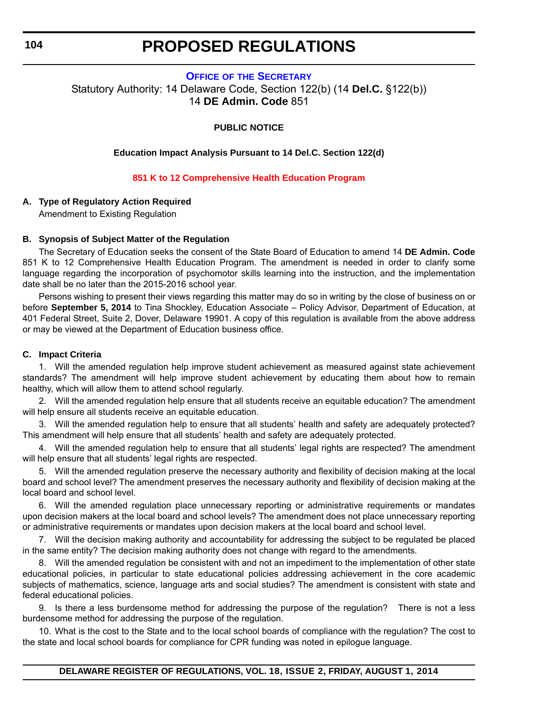#### **OFFICE OF [THE SECRETARY](http://www.doe.k12.de.us/)**

<span id="page-19-0"></span>Statutory Authority: 14 Delaware Code, Section 122(b) (14 **Del.C.** §122(b)) 14 **DE Admin. Code** 851

#### **PUBLIC NOTICE**

#### **Education Impact Analysis Pursuant to 14 Del.C. Section 122(d)**

#### **[851 K to 12 Comprehensive Health Education Program](#page-3-0)**

#### **A. Type of Regulatory Action Required**

Amendment to Existing Regulation

#### **B. Synopsis of Subject Matter of the Regulation**

The Secretary of Education seeks the consent of the State Board of Education to amend 14 **DE Admin. Code** 851 K to 12 Comprehensive Health Education Program. The amendment is needed in order to clarify some language regarding the incorporation of psychomotor skills learning into the instruction, and the implementation date shall be no later than the 2015-2016 school year.

Persons wishing to present their views regarding this matter may do so in writing by the close of business on or before **September 5, 2014** to Tina Shockley, Education Associate – Policy Advisor, Department of Education, at 401 Federal Street, Suite 2, Dover, Delaware 19901. A copy of this regulation is available from the above address or may be viewed at the Department of Education business office.

#### **C. Impact Criteria**

1. Will the amended regulation help improve student achievement as measured against state achievement standards? The amendment will help improve student achievement by educating them about how to remain healthy, which will allow them to attend school regularly.

2. Will the amended regulation help ensure that all students receive an equitable education? The amendment will help ensure all students receive an equitable education.

3. Will the amended regulation help to ensure that all students' health and safety are adequately protected? This amendment will help ensure that all students' health and safety are adequately protected.

4. Will the amended regulation help to ensure that all students' legal rights are respected? The amendment will help ensure that all students' legal rights are respected.

5. Will the amended regulation preserve the necessary authority and flexibility of decision making at the local board and school level? The amendment preserves the necessary authority and flexibility of decision making at the local board and school level.

6. Will the amended regulation place unnecessary reporting or administrative requirements or mandates upon decision makers at the local board and school levels? The amendment does not place unnecessary reporting or administrative requirements or mandates upon decision makers at the local board and school level.

7. Will the decision making authority and accountability for addressing the subject to be regulated be placed in the same entity? The decision making authority does not change with regard to the amendments.

8. Will the amended regulation be consistent with and not an impediment to the implementation of other state educational policies, in particular to state educational policies addressing achievement in the core academic subjects of mathematics, science, language arts and social studies? The amendment is consistent with state and federal educational policies.

9. Is there a less burdensome method for addressing the purpose of the regulation? There is not a less burdensome method for addressing the purpose of the regulation.

10. What is the cost to the State and to the local school boards of compliance with the regulation? The cost to the state and local school boards for compliance for CPR funding was noted in epilogue language.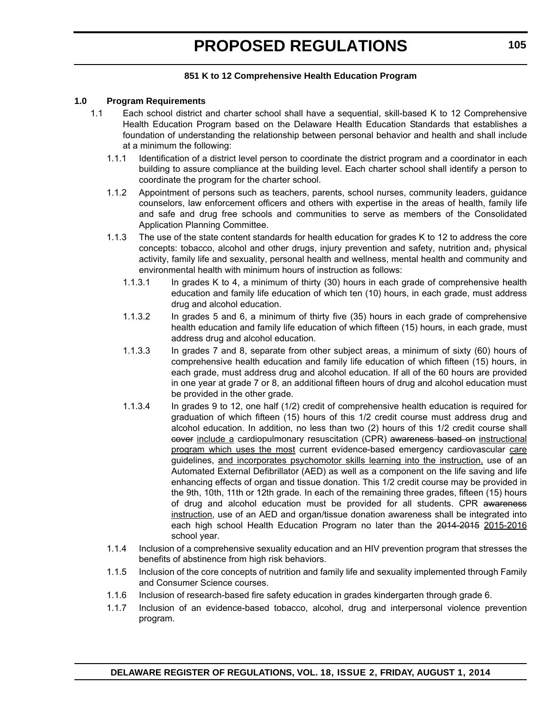#### **851 K to 12 Comprehensive Health Education Program**

#### **1.0 Program Requirements**

- 1.1 Each school district and charter school shall have a sequential, skill-based K to 12 Comprehensive Health Education Program based on the Delaware Health Education Standards that establishes a foundation of understanding the relationship between personal behavior and health and shall include at a minimum the following:
	- 1.1.1 Identification of a district level person to coordinate the district program and a coordinator in each building to assure compliance at the building level. Each charter school shall identify a person to coordinate the program for the charter school.
	- 1.1.2 Appointment of persons such as teachers, parents, school nurses, community leaders, guidance counselors, law enforcement officers and others with expertise in the areas of health, family life and safe and drug free schools and communities to serve as members of the Consolidated Application Planning Committee.
	- 1.1.3 The use of the state content standards for health education for grades K to 12 to address the core concepts: tobacco, alcohol and other drugs, injury prevention and safety, nutrition and, physical activity, family life and sexuality, personal health and wellness, mental health and community and environmental health with minimum hours of instruction as follows:
		- 1.1.3.1 In grades K to 4, a minimum of thirty (30) hours in each grade of comprehensive health education and family life education of which ten (10) hours, in each grade, must address drug and alcohol education.
		- 1.1.3.2 In grades 5 and 6, a minimum of thirty five (35) hours in each grade of comprehensive health education and family life education of which fifteen (15) hours, in each grade, must address drug and alcohol education.
		- 1.1.3.3 In grades 7 and 8, separate from other subject areas, a minimum of sixty (60) hours of comprehensive health education and family life education of which fifteen (15) hours, in each grade, must address drug and alcohol education. If all of the 60 hours are provided in one year at grade 7 or 8, an additional fifteen hours of drug and alcohol education must be provided in the other grade.
		- 1.1.3.4 In grades 9 to 12, one half (1/2) credit of comprehensive health education is required for graduation of which fifteen (15) hours of this 1/2 credit course must address drug and alcohol education. In addition, no less than two (2) hours of this 1/2 credit course shall eover include a cardiopulmonary resuscitation (CPR) awareness based on instructional program which uses the most current evidence-based emergency cardiovascular care guidelines, and incorporates psychomotor skills learning into the instruction, use of an Automated External Defibrillator (AED) as well as a component on the life saving and life enhancing effects of organ and tissue donation. This 1/2 credit course may be provided in the 9th, 10th, 11th or 12th grade. In each of the remaining three grades, fifteen (15) hours of drug and alcohol education must be provided for all students. CPR awareness instruction, use of an AED and organ/tissue donation awareness shall be integrated into each high school Health Education Program no later than the 2014-2015 2015-2016 school year.
	- 1.1.4 Inclusion of a comprehensive sexuality education and an HIV prevention program that stresses the benefits of abstinence from high risk behaviors.
	- 1.1.5 Inclusion of the core concepts of nutrition and family life and sexuality implemented through Family and Consumer Science courses.
	- 1.1.6 Inclusion of research-based fire safety education in grades kindergarten through grade 6.
	- 1.1.7 Inclusion of an evidence-based tobacco, alcohol, drug and interpersonal violence prevention program.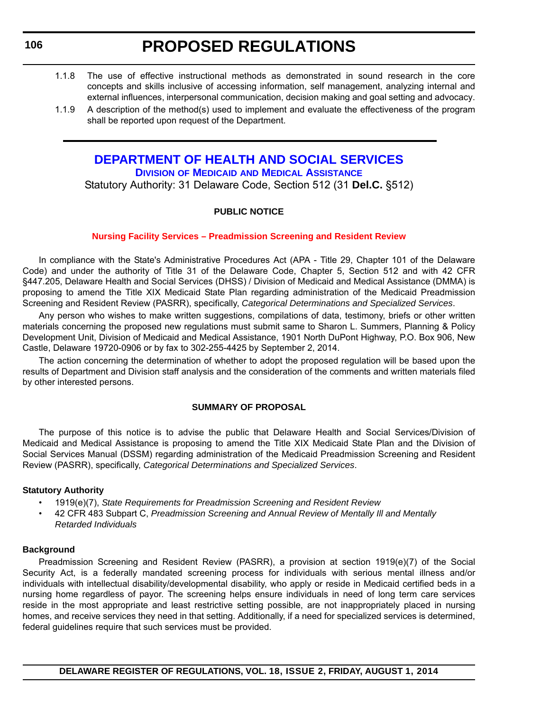- <span id="page-21-0"></span>1.1.8 The use of effective instructional methods as demonstrated in sound research in the core concepts and skills inclusive of accessing information, self management, analyzing internal and external influences, interpersonal communication, decision making and goal setting and advocacy.
- 1.1.9 A description of the method(s) used to implement and evaluate the effectiveness of the program shall be reported upon request of the Department.

### **[DEPARTMENT OF HEALTH AND SOCIAL SERVICES](http://www.dhss.delaware.gov/dhss/dmma/) DIVISION OF MEDICAID AND MEDICAL ASSISTANCE**

Statutory Authority: 31 Delaware Code, Section 512 (31 **Del.C.** §512)

#### **PUBLIC NOTICE**

#### **[Nursing Facility Services – Preadmission Screening and Resident Review](#page-3-0)**

In compliance with the State's Administrative Procedures Act (APA - Title 29, Chapter 101 of the Delaware Code) and under the authority of Title 31 of the Delaware Code, Chapter 5, Section 512 and with 42 CFR §447.205, Delaware Health and Social Services (DHSS) / Division of Medicaid and Medical Assistance (DMMA) is proposing to amend the Title XIX Medicaid State Plan regarding administration of the Medicaid Preadmission Screening and Resident Review (PASRR), specifically, *Categorical Determinations and Specialized Services*.

Any person who wishes to make written suggestions, compilations of data, testimony, briefs or other written materials concerning the proposed new regulations must submit same to Sharon L. Summers, Planning & Policy Development Unit, Division of Medicaid and Medical Assistance, 1901 North DuPont Highway, P.O. Box 906, New Castle, Delaware 19720-0906 or by fax to 302-255-4425 by September 2, 2014.

The action concerning the determination of whether to adopt the proposed regulation will be based upon the results of Department and Division staff analysis and the consideration of the comments and written materials filed by other interested persons.

#### **SUMMARY OF PROPOSAL**

The purpose of this notice is to advise the public that Delaware Health and Social Services/Division of Medicaid and Medical Assistance is proposing to amend the Title XIX Medicaid State Plan and the Division of Social Services Manual (DSSM) regarding administration of the Medicaid Preadmission Screening and Resident Review (PASRR), specifically, *Categorical Determinations and Specialized Services*.

#### **Statutory Authority**

- 1919(e)(7), *State Requirements for Preadmission Screening and Resident Review*
- 42 CFR 483 Subpart C, *Preadmission Screening and Annual Review of Mentally Ill and Mentally Retarded Individuals*

#### **Background**

Preadmission Screening and Resident Review (PASRR), a provision at section 1919(e)(7) of the Social Security Act, is a federally mandated screening process for individuals with serious mental illness and/or individuals with intellectual disability/developmental disability, who apply or reside in Medicaid certified beds in a nursing home regardless of payor. The screening helps ensure individuals in need of long term care services reside in the most appropriate and least restrictive setting possible, are not inappropriately placed in nursing homes, and receive services they need in that setting. Additionally, if a need for specialized services is determined, federal guidelines require that such services must be provided.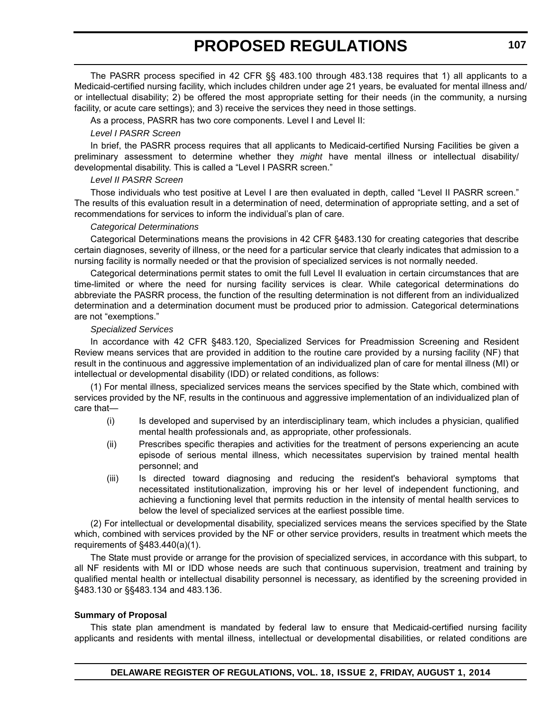The PASRR process specified in 42 CFR §§ 483.100 through 483.138 requires that 1) all applicants to a Medicaid-certified nursing facility, which includes children under age 21 years, be evaluated for mental illness and/ or intellectual disability; 2) be offered the most appropriate setting for their needs (in the community, a nursing facility, or acute care settings); and 3) receive the services they need in those settings.

As a process, PASRR has two core components. Level I and Level II:

#### *Level I PASRR Screen*

In brief, the PASRR process requires that all applicants to Medicaid-certified Nursing Facilities be given a preliminary assessment to determine whether they *might* have mental illness or intellectual disability/ developmental disability. This is called a "Level I PASRR screen."

#### *Level II PASRR Screen*

Those individuals who test positive at Level I are then evaluated in depth, called "Level II PASRR screen." The results of this evaluation result in a determination of need, determination of appropriate setting, and a set of recommendations for services to inform the individual's plan of care.

#### *Categorical Determinations*

Categorical Determinations means the provisions in 42 CFR §483.130 for creating categories that describe certain diagnoses, severity of illness, or the need for a particular service that clearly indicates that admission to a nursing facility is normally needed or that the provision of specialized services is not normally needed.

Categorical determinations permit states to omit the full Level II evaluation in certain circumstances that are time-limited or where the need for nursing facility services is clear. While categorical determinations do abbreviate the PASRR process, the function of the resulting determination is not different from an individualized determination and a determination document must be produced prior to admission. Categorical determinations are not "exemptions."

#### *Specialized Services*

In accordance with 42 CFR §483.120, Specialized Services for Preadmission Screening and Resident Review means services that are provided in addition to the routine care provided by a nursing facility (NF) that result in the continuous and aggressive implementation of an individualized plan of care for mental illness (MI) or intellectual or developmental disability (IDD) or related conditions, as follows:

(1) For mental illness, specialized services means the services specified by the State which, combined with services provided by the NF, results in the continuous and aggressive implementation of an individualized plan of care that—

- (i) Is developed and supervised by an interdisciplinary team, which includes a physician, qualified mental health professionals and, as appropriate, other professionals.
- (ii) Prescribes specific therapies and activities for the treatment of persons experiencing an acute episode of serious mental illness, which necessitates supervision by trained mental health personnel; and
- (iii) Is directed toward diagnosing and reducing the resident's behavioral symptoms that necessitated institutionalization, improving his or her level of independent functioning, and achieving a functioning level that permits reduction in the intensity of mental health services to below the level of specialized services at the earliest possible time.

(2) For intellectual or developmental disability, specialized services means the services specified by the State which, combined with services provided by the NF or other service providers, results in treatment which meets the requirements of §483.440(a)(1).

The State must provide or arrange for the provision of specialized services, in accordance with this subpart, to all NF residents with MI or IDD whose needs are such that continuous supervision, treatment and training by qualified mental health or intellectual disability personnel is necessary, as identified by the screening provided in §483.130 or §§483.134 and 483.136.

#### **Summary of Proposal**

This state plan amendment is mandated by federal law to ensure that Medicaid-certified nursing facility applicants and residents with mental illness, intellectual or developmental disabilities, or related conditions are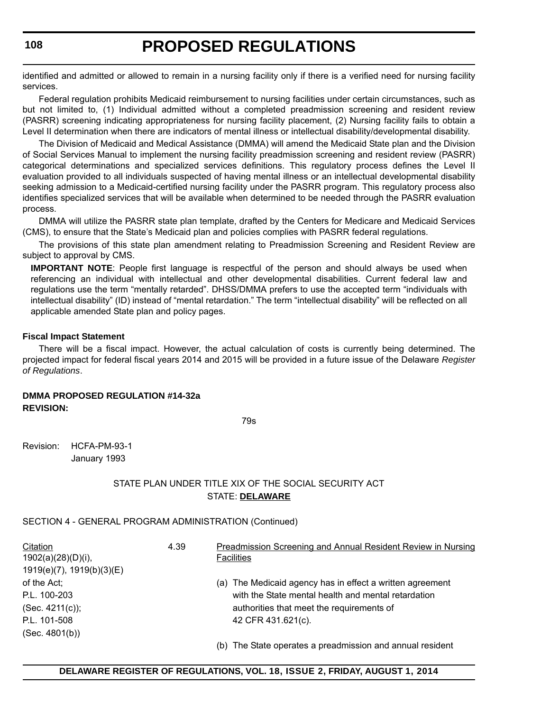identified and admitted or allowed to remain in a nursing facility only if there is a verified need for nursing facility services.

Federal regulation prohibits Medicaid reimbursement to nursing facilities under certain circumstances, such as but not limited to, (1) Individual admitted without a completed preadmission screening and resident review (PASRR) screening indicating appropriateness for nursing facility placement, (2) Nursing facility fails to obtain a Level II determination when there are indicators of mental illness or intellectual disability/developmental disability.

The Division of Medicaid and Medical Assistance (DMMA) will amend the Medicaid State plan and the Division of Social Services Manual to implement the nursing facility preadmission screening and resident review (PASRR) categorical determinations and specialized services definitions. This regulatory process defines the Level II evaluation provided to all individuals suspected of having mental illness or an intellectual developmental disability seeking admission to a Medicaid-certified nursing facility under the PASRR program. This regulatory process also identifies specialized services that will be available when determined to be needed through the PASRR evaluation process.

DMMA will utilize the PASRR state plan template, drafted by the Centers for Medicare and Medicaid Services (CMS), to ensure that the State's Medicaid plan and policies complies with PASRR federal regulations.

The provisions of this state plan amendment relating to Preadmission Screening and Resident Review are subject to approval by CMS.

**IMPORTANT NOTE:** People first language is respectful of the person and should always be used when referencing an individual with intellectual and other developmental disabilities. Current federal law and regulations use the term "mentally retarded". DHSS/DMMA prefers to use the accepted term "individuals with intellectual disability" (ID) instead of "mental retardation." The term "intellectual disability" will be reflected on all applicable amended State plan and policy pages.

#### **Fiscal Impact Statement**

There will be a fiscal impact. However, the actual calculation of costs is currently being determined. The projected impact for federal fiscal years 2014 and 2015 will be provided in a future issue of the Delaware *Register of Regulations*.

#### **DMMA PROPOSED REGULATION #14-32a REVISION:**

79s

Revision: HCFA-PM-93-1 January 1993

#### STATE PLAN UNDER TITLE XIX OF THE SOCIAL SECURITY ACT STATE: **DELAWARE**

SECTION 4 - GENERAL PROGRAM ADMINISTRATION (Continued)

| Citation                  | 4.39 | <b>Preadmission Screening and Annual Resident Review in Nursing</b> |
|---------------------------|------|---------------------------------------------------------------------|
| $1902(a)(28)(D)(i)$ ,     |      | <b>Facilities</b>                                                   |
| 1919(e)(7), 1919(b)(3)(E) |      |                                                                     |
| of the Act;               |      | (a) The Medicaid agency has in effect a written agreement           |
| P.L. 100-203              |      | with the State mental health and mental retardation                 |
| $(Sec. 4211(c))$ ;        |      | authorities that meet the requirements of                           |
| P.L. 101-508              |      | 42 CFR 431.621(c).                                                  |
| (Sec. 4801(b))            |      |                                                                     |
|                           |      | (b) The State operates a preadmission and annual resident           |

#### **DELAWARE REGISTER OF REGULATIONS, VOL. 18, ISSUE 2, FRIDAY, AUGUST 1, 2014**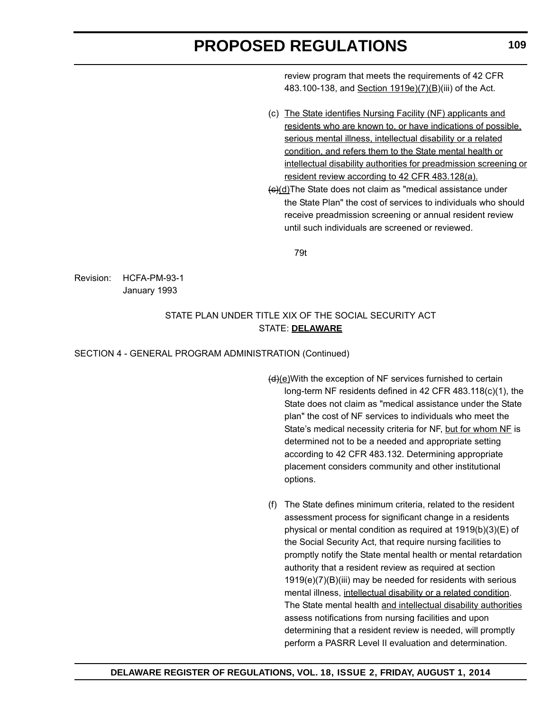review program that meets the requirements of 42 CFR 483.100-138, and Section 1919e)(7)(B)(iii) of the Act.

- (c) The State identifies Nursing Facility (NF) applicants and residents who are known to, or have indications of possible, serious mental illness, intellectual disability or a related condition, and refers them to the State mental health or intellectual disability authorities for preadmission screening or resident review according to 42 CFR 483.128(a).
- (c)(d)The State does not claim as "medical assistance under the State Plan" the cost of services to individuals who should receive preadmission screening or annual resident review until such individuals are screened or reviewed.

79t

Revision: HCFA-PM-93-1 January 1993

#### STATE PLAN UNDER TITLE XIX OF THE SOCIAL SECURITY ACT STATE: **DELAWARE**

#### SECTION 4 - GENERAL PROGRAM ADMINISTRATION (Continued)

- (d)(e)With the exception of NF services furnished to certain long-term NF residents defined in 42 CFR 483.118(c)(1), the State does not claim as "medical assistance under the State plan" the cost of NF services to individuals who meet the State's medical necessity criteria for NF, but for whom NF is determined not to be a needed and appropriate setting according to 42 CFR 483.132. Determining appropriate placement considers community and other institutional options.
- (f) The State defines minimum criteria, related to the resident assessment process for significant change in a residents physical or mental condition as required at 1919(b)(3)(E) of the Social Security Act, that require nursing facilities to promptly notify the State mental health or mental retardation authority that a resident review as required at section 1919(e)(7)(B)(iii) may be needed for residents with serious mental illness, intellectual disability or a related condition. The State mental health and intellectual disability authorities assess notifications from nursing facilities and upon determining that a resident review is needed, will promptly perform a PASRR Level II evaluation and determination.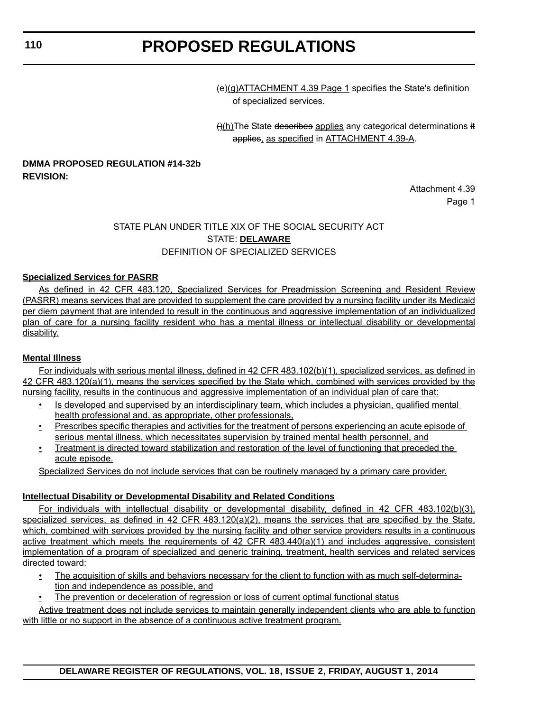(e)(g)ATTACHMENT 4.39 Page 1 specifies the State's definition of specialized services.

()(h)The State describes applies any categorical determinations it applies, as specified in ATTACHMENT 4.39-A.

#### **DMMA PROPOSED REGULATION #14-32b REVISION:**

Attachment 4.39 Page 1

### STATE PLAN UNDER TITLE XIX OF THE SOCIAL SECURITY ACT STATE: **DELAWARE** DEFINITION OF SPECIALIZED SERVICES

#### **Specialized Services for PASRR**

As defined in 42 CFR 483.120, Specialized Services for Preadmission Screening and Resident Review (PASRR) means services that are provided to supplement the care provided by a nursing facility under its Medicaid per diem payment that are intended to result in the continuous and aggressive implementation of an individualized plan of care for a nursing facility resident who has a mental illness or intellectual disability or developmental disability.

#### **Mental Illness**

For individuals with serious mental illness, defined in 42 CFR 483.102(b)(1), specialized services, as defined in 42 CFR 483.120(a)(1), means the services specified by the State which, combined with services provided by the nursing facility, results in the continuous and aggressive implementation of an individual plan of care that:

- Is developed and supervised by an interdisciplinary team, which includes a physician, qualified mental health professional and, as appropriate, other professionals,
- Prescribes specific therapies and activities for the treatment of persons experiencing an acute episode of serious mental illness, which necessitates supervision by trained mental health personnel, and
- Treatment is directed toward stabilization and restoration of the level of functioning that preceded the acute episode.

Specialized Services do not include services that can be routinely managed by a primary care provider.

#### **Intellectual Disability or Developmental Disability and Related Conditions**

For individuals with intellectual disability or developmental disability, defined in 42 CFR 483.102(b)(3), specialized services, as defined in 42 CFR 483.120(a)(2), means the services that are specified by the State, which, combined with services provided by the nursing facility and other service providers results in a continuous active treatment which meets the requirements of 42 CFR 483.440(a)(1) and includes aggressive, consistent implementation of a program of specialized and generic training, treatment, health services and related services directed toward:

- The acquisition of skills and behaviors necessary for the client to function with as much self-determina-
- tion and independence as possible, and
- The prevention or deceleration of regression or loss of current optimal functional status

Active treatment does not include services to maintain generally independent clients who are able to function with little or no support in the absence of a continuous active treatment program.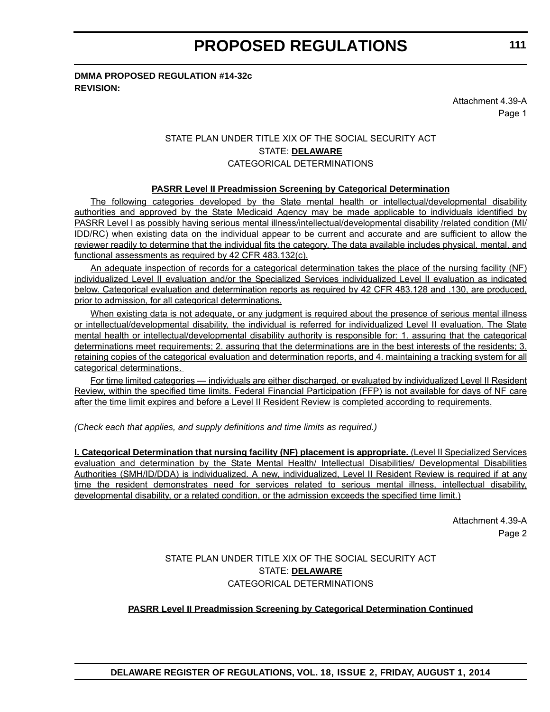#### **DMMA PROPOSED REGULATION #14-32c REVISION:**

Attachment 4.39-A Page 1

### STATE PLAN UNDER TITLE XIX OF THE SOCIAL SECURITY ACT STATE: **DELAWARE** CATEGORICAL DETERMINATIONS

#### **PASRR Level II Preadmission Screening by Categorical Determination**

The following categories developed by the State mental health or intellectual/developmental disability authorities and approved by the State Medicaid Agency may be made applicable to individuals identified by PASRR Level I as possibly having serious mental illness/intellectual/developmental disability /related condition (MI/ IDD/RC) when existing data on the individual appear to be current and accurate and are sufficient to allow the reviewer readily to determine that the individual fits the category. The data available includes physical, mental, and functional assessments as required by 42 CFR 483.132(c).

An adequate inspection of records for a categorical determination takes the place of the nursing facility (NF) individualized Level II evaluation and/or the Specialized Services individualized Level II evaluation as indicated below. Categorical evaluation and determination reports as required by 42 CFR 483.128 and .130, are produced, prior to admission, for all categorical determinations.

When existing data is not adequate, or any judgment is required about the presence of serious mental illness or intellectual/developmental disability, the individual is referred for individualized Level II evaluation. The State mental health or intellectual/developmental disability authority is responsible for: 1. assuring that the categorical determinations meet requirements; 2. assuring that the determinations are in the best interests of the residents; 3. retaining copies of the categorical evaluation and determination reports, and 4. maintaining a tracking system for all categorical determinations.

For time limited categories — individuals are either discharged, or evaluated by individualized Level II Resident Review, within the specified time limits. Federal Financial Participation (FFP) is not available for days of NF care after the time limit expires and before a Level II Resident Review is completed according to requirements.

*(Check each that applies, and supply definitions and time limits as required.)*

**I. Categorical Determination that nursing facility (NF) placement is appropriate.** (Level II Specialized Services evaluation and determination by the State Mental Health/ Intellectual Disabilities/ Developmental Disabilities Authorities (SMH/ID/DDA) is individualized. A new, individualized, Level II Resident Review is required if at any time the resident demonstrates need for services related to serious mental illness, intellectual disability, developmental disability, or a related condition, or the admission exceeds the specified time limit.)

> Attachment 4.39-A Page 2

STATE PLAN UNDER TITLE XIX OF THE SOCIAL SECURITY ACT STATE: **DELAWARE** CATEGORICAL DETERMINATIONS

#### **PASRR Level II Preadmission Screening by Categorical Determination Continued**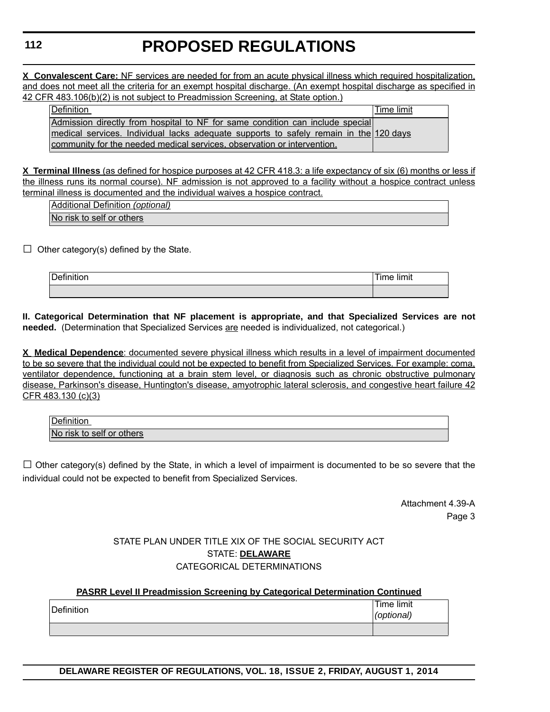**X Convalescent Care:** NF services are needed for from an acute physical illness which required hospitalization, and does not meet all the criteria for an exempt hospital discharge. (An exempt hospital discharge as specified in 42 CFR 483.106(b)(2) is not subject to Preadmission Screening, at State option.)

| Definition |                                                                                                                                                                                                                                                   | Time limit |
|------------|---------------------------------------------------------------------------------------------------------------------------------------------------------------------------------------------------------------------------------------------------|------------|
|            | Admission directly from hospital to NF for same condition can include special<br>medical services. Individual lacks adequate supports to safely remain in the 120 days<br>community for the needed medical services, observation or intervention. |            |

**X Terminal Illness** (as defined for hospice purposes at 42 CFR 418.3: a life expectancy of six (6) months or less if the illness runs its normal course). NF admission is not approved to a facility without a hospice contract unless terminal illness is documented and the individual waives a hospice contract.

| Additional Definition (optional) |  |
|----------------------------------|--|
| No risk to self or others        |  |

 $\Box$  Other category(s) defined by the State.

| <b>Definition</b> | limit<br>$\mathbf{r}$<br>∶ יי סוווו |  |
|-------------------|-------------------------------------|--|
|                   |                                     |  |

**II. Categorical Determination that NF placement is appropriate, and that Specialized Services are not needed.** (Determination that Specialized Services are needed is individualized, not categorical.)

**X Medical Dependence**: documented severe physical illness which results in a level of impairment documented to be so severe that the individual could not be expected to benefit from Specialized Services. For example: coma, ventilator dependence, functioning at a brain stem level, or diagnosis such as chronic obstructive pulmonary disease, Parkinson's disease, Huntington's disease, amyotrophic lateral sclerosis, and congestive heart failure 42 CFR 483.130 (c)(3)

| Definition                          |  |
|-------------------------------------|--|
| risk to self or others<br><b>No</b> |  |

 $\square$  Other category(s) defined by the State, in which a level of impairment is documented to be so severe that the individual could not be expected to benefit from Specialized Services.

> Attachment 4.39-A Page 3

#### STATE PLAN UNDER TITLE XIX OF THE SOCIAL SECURITY ACT STATE: **DELAWARE** CATEGORICAL DETERMINATIONS

| <b>PASRR Level II Preadmission Screening by Categorical Determination Continued</b> |  |  |
|-------------------------------------------------------------------------------------|--|--|
|                                                                                     |  |  |

| Definition | Time limit<br>(optional) |
|------------|--------------------------|
|            |                          |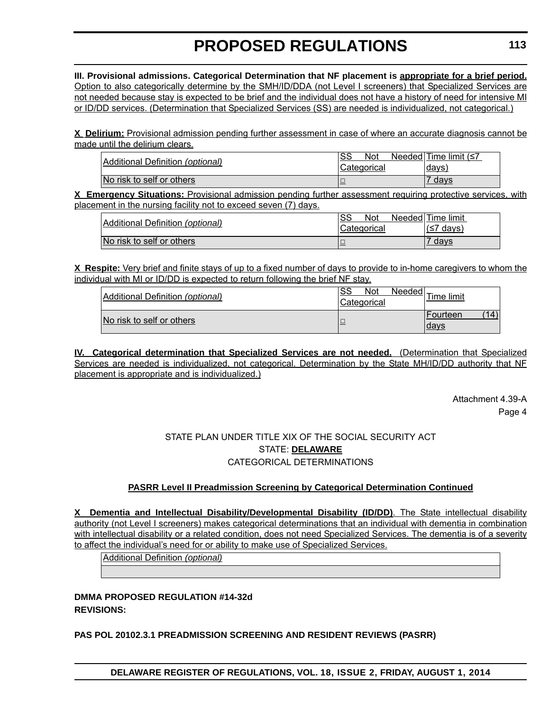**III. Provisional admissions. Categorical Determination that NF placement is appropriate for a brief period.** Option to also categorically determine by the SMH/ID/DDA (not Level I screeners) that Specialized Services are not needed because stay is expected to be brief and the individual does not have a history of need for intensive MI or ID/DD services. (Determination that Specialized Services (SS) are needed is individualized, not categorical.)

**X Delirium:** Provisional admission pending further assessment in case of where an accurate diagnosis cannot be made until the delirium clears.

| Additional Definition (optional) | SS<br>Not<br>Categorical | Needed Time limit $(57$<br>days |
|----------------------------------|--------------------------|---------------------------------|
| No risk to self or others        |                          | days                            |

**X Emergency Situations:** Provisional admission pending further assessment requiring protective services, with placement in the nursing facility not to exceed seven (7) days.

| Additional Definition (optional) | SS<br>Not<br>Categorical | Needed Time limit<br>⊥(≤7 days) |
|----------------------------------|--------------------------|---------------------------------|
| No risk to self or others        |                          | davs                            |

**X Respite:** Very brief and finite stays of up to a fixed number of days to provide to in-home caregivers to whom the individual with MI or ID/DD is expected to return following the brief NF stay.

| Additional Definition (optional) | <b>Not</b><br>SS<br>Categorical | ∵ <u>st Needed</u> Time limit      |
|----------------------------------|---------------------------------|------------------------------------|
| No risk to self or others        |                                 | $^{\prime}$ 14<br>Fourteen<br>days |

**IV. Categorical determination that Specialized Services are not needed.** (Determination that Specialized Services are needed is individualized, not categorical. Determination by the State MH/ID/DD authority that NF placement is appropriate and is individualized.)

> Attachment 4.39-A Page 4

### STATE PLAN UNDER TITLE XIX OF THE SOCIAL SECURITY ACT STATE: **DELAWARE** CATEGORICAL DETERMINATIONS

#### **PASRR Level II Preadmission Screening by Categorical Determination Continued**

**X Dementia and Intellectual Disability/Developmental Disability (ID/DD)**. The State intellectual disability authority (not Level I screeners) makes categorical determinations that an individual with dementia in combination with intellectual disability or a related condition, does not need Specialized Services. The dementia is of a severity to affect the individual's need for or ability to make use of Specialized Services.

Additional Definition *(optional)*

**DMMA PROPOSED REGULATION #14-32d REVISIONS:**

**PAS POL 20102.3.1 PREADMISSION SCREENING AND RESIDENT REVIEWS (PASRR)**

**DELAWARE REGISTER OF REGULATIONS, VOL. 18, ISSUE 2, FRIDAY, AUGUST 1, 2014**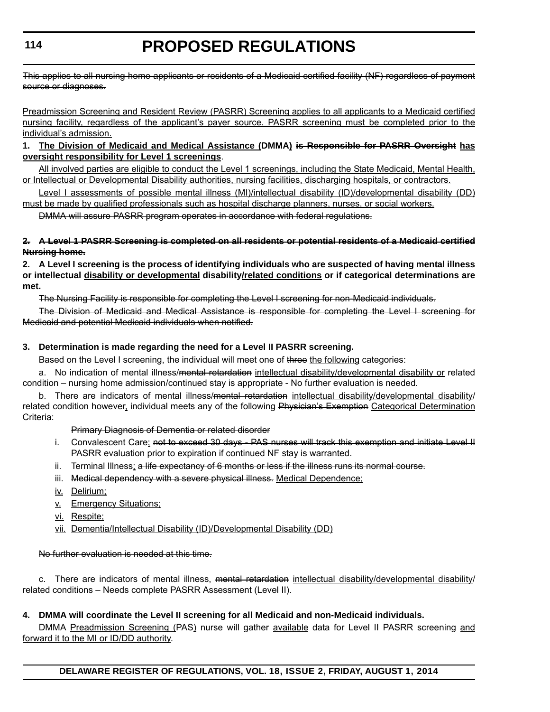This applies to all nursing home applicants or residents of a Medicaid certified facility (NF) regardless of payment source or diagnoses.

Preadmission Screening and Resident Review (PASRR) Screening applies to all applicants to a Medicaid certified nursing facility, regardless of the applicant's payer source. PASRR screening must be completed prior to the individual's admission.

#### **1. The Division of Medicaid and Medical Assistance (DMMA) is Responsible for PASRR Oversight has oversight responsibility for Level 1 screenings**.

All involved parties are eligible to conduct the Level 1 screenings, including the State Medicaid, Mental Health, or Intellectual or Developmental Disability authorities, nursing facilities, discharging hospitals, or contractors.

Level I assessments of possible mental illness (MI)/intellectual disability (ID)/developmental disability (DD) must be made by qualified professionals such as hospital discharge planners, nurses, or social workers.

DMMA will assure PASRR program operates in accordance with federal regulations.

#### **2. A Level 1 PASRR Screening is completed on all residents or potential residents of a Medicaid certified Nursing home.**

**2. A Level I screening is the process of identifying individuals who are suspected of having mental illness or intellectual disability or developmental disability/related conditions or if categorical determinations are met.**

The Nursing Facility is responsible for completing the Level I screening for non-Medicaid individuals.

The Division of Medicaid and Medical Assistance is responsible for completing the Level I screening for Medicaid and potential Medicaid individuals when notified.

#### **3. Determination is made regarding the need for a Level II PASRR screening.**

Based on the Level I screening, the individual will meet one of three the following categories:

a. No indication of mental illness/<del>mental retardation</del> intellectual disability/developmental disability or related condition – nursing home admission/continued stay is appropriate - No further evaluation is needed.

b. There are indicators of mental illness/<del>mental retardation</del> intellectual disability/developmental disability/ related condition however, individual meets any of the following Physician's Exemption Categorical Determination Criteria:

Primary Diagnosis of Dementia or related disorder

- i. Convalescent Care; not to exceed 30 days PAS nurses will track this exemption and initiate Level II PASRR evaluation prior to expiration if continued NF stay is warranted.
- ii. Terminal Illness; a life expectancy of 6 months or less if the illness runs its normal course.
- iii. Medical dependency with a severe physical illness. Medical Dependence:
- iv. Delirium;
- v. Emergency Situations;
- vi. Respite;
- vii. Dementia/Intellectual Disability (ID)/Developmental Disability (DD)

#### No further evaluation is needed at this time.

c. There are indicators of mental illness, mental retardation intellectual disability/developmental disability/ related conditions – Needs complete PASRR Assessment (Level II).

#### **4. DMMA will coordinate the Level II screening for all Medicaid and non-Medicaid individuals.**

DMMA Preadmission Screening (PAS) nurse will gather available data for Level II PASRR screening and forward it to the MI or ID/DD authority.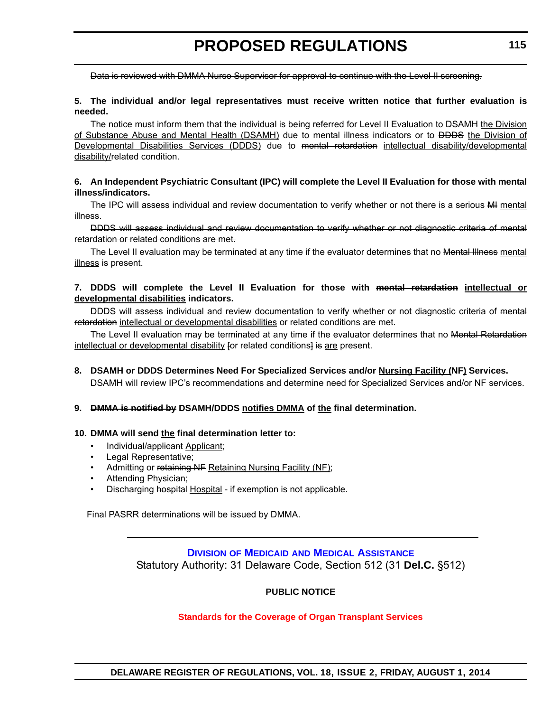<span id="page-30-0"></span>Data is reviewed with DMMA Nurse Supervisor for approval to continue with the Level II screening.

#### **5. The individual and/or legal representatives must receive written notice that further evaluation is needed.**

The notice must inform them that the individual is being referred for Level II Evaluation to <del>DSAMH</del> the Division of Substance Abuse and Mental Health (DSAMH) due to mental illness indicators or to <del>DDDS</del> the Division of Developmental Disabilities Services (DDDS) due to mental retardation intellectual disability/developmental disability/related condition.

#### **6. An Independent Psychiatric Consultant (IPC) will complete the Level II Evaluation for those with mental illness/indicators.**

The IPC will assess individual and review documentation to verify whether or not there is a serious AH mental illness.

DDDS will assess individual and review documentation to verify whether or not diagnostic criteria of mental retardation or related conditions are met.

The Level II evaluation may be terminated at any time if the evaluator determines that no Mental Illness mental illness is present.

#### **7. DDDS will complete the Level II Evaluation for those with mental retardation intellectual or developmental disabilities indicators.**

DDDS will assess individual and review documentation to verify whether or not diagnostic criteria of mental retardation intellectual or developmental disabilities or related conditions are met.

The Level II evaluation may be terminated at any time if the evaluator determines that no Mental Retardation intellectual or developmental disability for related conditions] is are present.

#### **8. DSAMH or DDDS Determines Need For Specialized Services and/or Nursing Facility (NF) Services.**

DSAMH will review IPC's recommendations and determine need for Specialized Services and/or NF services.

#### **9. DMMA is notified by DSAMH/DDDS notifies DMMA of the final determination.**

#### **10. DMMA will send the final determination letter to:**

- Individual/applicant Applicant;
- Legal Representative;
- Admitting or retaining NF Retaining Nursing Facility (NF);
- Attending Physician;
- Discharging hospital Hospital if exemption is not applicable.

Final PASRR determinations will be issued by DMMA.

### **DIVISION OF MEDICAID [AND MEDICAL ASSISTANCE](http://www.dhss.delaware.gov/dhss/dmma/)** Statutory Authority: 31 Delaware Code, Section 512 (31 **Del.C.** §512)

#### **PUBLIC NOTICE**

#### **[Standards for the Coverage of Organ Transplant Services](#page-3-0)**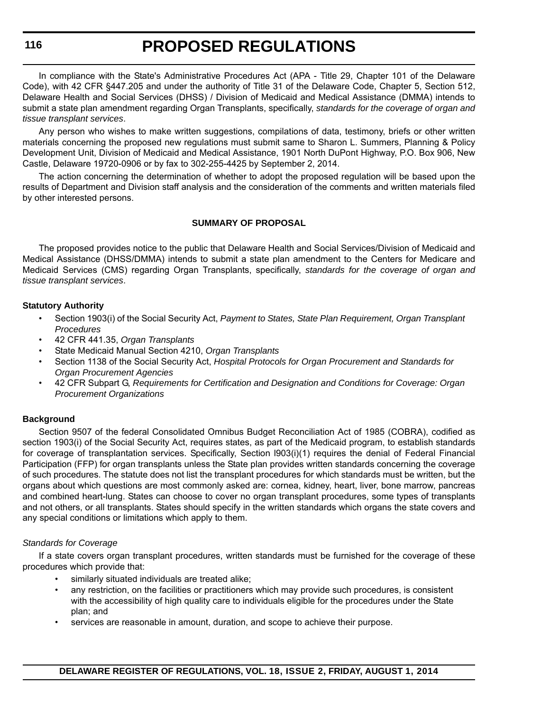**116**

# **PROPOSED REGULATIONS**

In compliance with the State's Administrative Procedures Act (APA - Title 29, Chapter 101 of the Delaware Code), with 42 CFR §447.205 and under the authority of Title 31 of the Delaware Code, Chapter 5, Section 512, Delaware Health and Social Services (DHSS) / Division of Medicaid and Medical Assistance (DMMA) intends to submit a state plan amendment regarding Organ Transplants, specifically, *standards for the coverage of organ and tissue transplant services*.

Any person who wishes to make written suggestions, compilations of data, testimony, briefs or other written materials concerning the proposed new regulations must submit same to Sharon L. Summers, Planning & Policy Development Unit, Division of Medicaid and Medical Assistance, 1901 North DuPont Highway, P.O. Box 906, New Castle, Delaware 19720-0906 or by fax to 302-255-4425 by September 2, 2014.

The action concerning the determination of whether to adopt the proposed regulation will be based upon the results of Department and Division staff analysis and the consideration of the comments and written materials filed by other interested persons.

#### **SUMMARY OF PROPOSAL**

The proposed provides notice to the public that Delaware Health and Social Services/Division of Medicaid and Medical Assistance (DHSS/DMMA) intends to submit a state plan amendment to the Centers for Medicare and Medicaid Services (CMS) regarding Organ Transplants, specifically, *standards for the coverage of organ and tissue transplant services*.

#### **Statutory Authority**

- Section 1903(i) of the Social Security Act, *Payment to States, State Plan Requirement, Organ Transplant Procedures*
- 42 CFR 441.35, *Organ Transplants*
- State Medicaid Manual Section 4210, *Organ Transplants*
- Section 1138 of the Social Security Act, *Hospital Protocols for Organ Procurement and Standards for Organ Procurement Agencies*
- 42 CFR Subpart G, *Requirements for Certification and Designation and Conditions for Coverage: Organ Procurement Organizations*

#### **Background**

Section 9507 of the federal Consolidated Omnibus Budget Reconciliation Act of 1985 (COBRA), codified as section 1903(i) of the Social Security Act, requires states, as part of the Medicaid program, to establish standards for coverage of transplantation services. Specifically, Section l903(i)(1) requires the denial of Federal Financial Participation (FFP) for organ transplants unless the State plan provides written standards concerning the coverage of such procedures. The statute does not list the transplant procedures for which standards must be written, but the organs about which questions are most commonly asked are: cornea, kidney, heart, liver, bone marrow, pancreas and combined heart-lung. States can choose to cover no organ transplant procedures, some types of transplants and not others, or all transplants. States should specify in the written standards which organs the state covers and any special conditions or limitations which apply to them.

#### *Standards for Coverage*

If a state covers organ transplant procedures, written standards must be furnished for the coverage of these procedures which provide that:

- similarly situated individuals are treated alike;
- any restriction, on the facilities or practitioners which may provide such procedures, is consistent with the accessibility of high quality care to individuals eligible for the procedures under the State plan; and
- services are reasonable in amount, duration, and scope to achieve their purpose.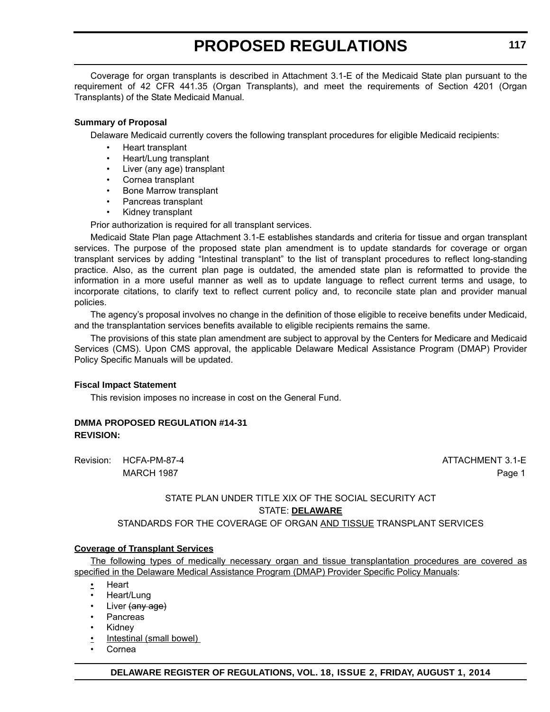Coverage for organ transplants is described in Attachment 3.1-E of the Medicaid State plan pursuant to the requirement of 42 CFR 441.35 (Organ Transplants), and meet the requirements of Section 4201 (Organ Transplants) of the State Medicaid Manual.

#### **Summary of Proposal**

Delaware Medicaid currently covers the following transplant procedures for eligible Medicaid recipients:

- Heart transplant
- Heart/Lung transplant
- Liver (any age) transplant
- Cornea transplant
- Bone Marrow transplant
- Pancreas transplant
- Kidney transplant

Prior authorization is required for all transplant services.

Medicaid State Plan page Attachment 3.1-E establishes standards and criteria for tissue and organ transplant services. The purpose of the proposed state plan amendment is to update standards for coverage or organ transplant services by adding "Intestinal transplant" to the list of transplant procedures to reflect long-standing practice. Also, as the current plan page is outdated, the amended state plan is reformatted to provide the information in a more useful manner as well as to update language to reflect current terms and usage, to incorporate citations, to clarify text to reflect current policy and, to reconcile state plan and provider manual policies.

The agency's proposal involves no change in the definition of those eligible to receive benefits under Medicaid, and the transplantation services benefits available to eligible recipients remains the same.

The provisions of this state plan amendment are subject to approval by the Centers for Medicare and Medicaid Services (CMS). Upon CMS approval, the applicable Delaware Medical Assistance Program (DMAP) Provider Policy Specific Manuals will be updated.

#### **Fiscal Impact Statement**

This revision imposes no increase in cost on the General Fund.

#### **DMMA PROPOSED REGULATION #14-31 REVISION:**

Revision: HCFA-PM-87-4 ATTACHMENT 3.1-E

MARCH 1987 Page 1

### STATE PLAN UNDER TITLE XIX OF THE SOCIAL SECURITY ACT STATE: **DELAWARE**

STANDARDS FOR THE COVERAGE OF ORGAN AND TISSUE TRANSPLANT SERVICES

#### **Coverage of Transplant Services**

The following types of medically necessary organ and tissue transplantation procedures are covered as specified in the Delaware Medical Assistance Program (DMAP) Provider Specific Policy Manuals:

- Heart
- Heart/Lung
- Liver (any age)
- Pancreas
- **Kidney**
- Intestinal (small bowel)
- Cornea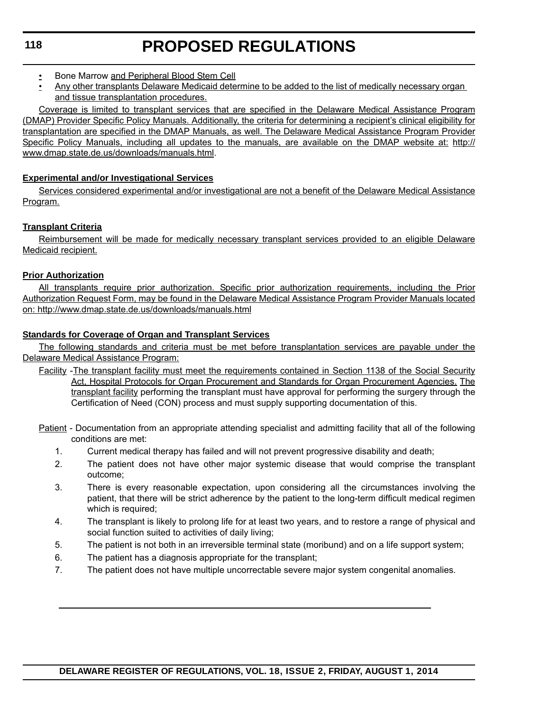- Bone Marrow and Peripheral Blood Stem Cell
- Any other transplants Delaware Medicaid determine to be added to the list of medically necessary organ and tissue transplantation procedures.

Coverage is limited to transplant services that are specified in the Delaware Medical Assistance Program (DMAP) Provider Specific Policy Manuals. Additionally, the criteria for determining a recipient's clinical eligibility for transplantation are specified in the DMAP Manuals, as well. The Delaware Medical Assistance Program Provider Specific Policy Manuals, including all updates to the manuals, are available on the DMAP website at: http:// www.dmap.state.de.us/downloads/manuals.html.

#### **Experimental and/or Investigational Services**

Services considered experimental and/or investigational are not a benefit of the Delaware Medical Assistance Program.

#### **Transplant Criteria**

Reimbursement will be made for medically necessary transplant services provided to an eligible Delaware Medicaid recipient.

#### **Prior Authorization**

All transplants require prior authorization. Specific prior authorization requirements, including the Prior Authorization Request Form, may be found in the Delaware Medical Assistance Program Provider Manuals located on: http://www.dmap.state.de.us/downloads/manuals.html

#### **Standards for Coverage of Organ and Transplant Services**

The following standards and criteria must be met before transplantation services are payable under the Delaware Medical Assistance Program:

Facility -The transplant facility must meet the requirements contained in Section 1138 of the Social Security Act, Hospital Protocols for Organ Procurement and Standards for Organ Procurement Agencies. The transplant facility performing the transplant must have approval for performing the surgery through the Certification of Need (CON) process and must supply supporting documentation of this.

Patient - Documentation from an appropriate attending specialist and admitting facility that all of the following conditions are met:

- 1. Current medical therapy has failed and will not prevent progressive disability and death;
- 2. The patient does not have other major systemic disease that would comprise the transplant outcome;
- 3. There is every reasonable expectation, upon considering all the circumstances involving the patient, that there will be strict adherence by the patient to the long-term difficult medical regimen which is required;
- 4. The transplant is likely to prolong life for at least two years, and to restore a range of physical and social function suited to activities of daily living;
- 5. The patient is not both in an irreversible terminal state (moribund) and on a life support system;
- 6. The patient has a diagnosis appropriate for the transplant;
- 7. The patient does not have multiple uncorrectable severe major system congenital anomalies.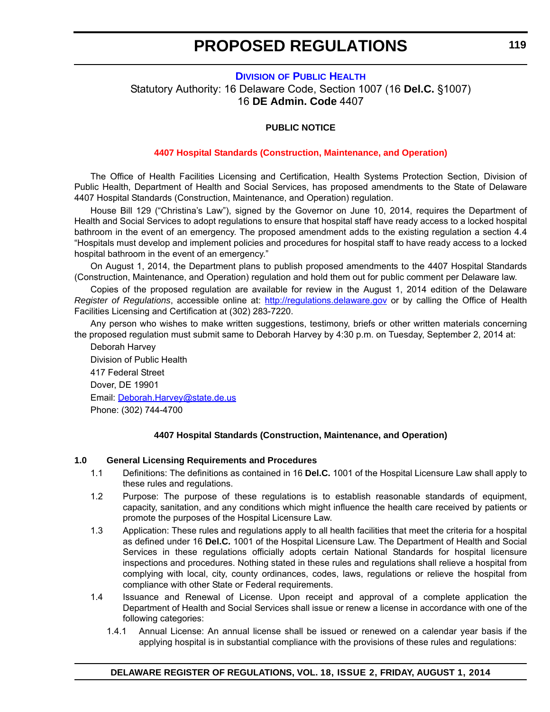#### <span id="page-34-0"></span>**DIVISION [OF PUBLIC HEALTH](http://www.dhss.delaware.gov/dhss/dph/index.html)** Statutory Authority: 16 Delaware Code, Section 1007 (16 **Del.C.** §1007) 16 **DE Admin. Code** 4407

#### **PUBLIC NOTICE**

#### **[4407 Hospital Standards \(Construction, Maintenance, and Operation\)](#page-3-0)**

The Office of Health Facilities Licensing and Certification, Health Systems Protection Section, Division of Public Health, Department of Health and Social Services, has proposed amendments to the State of Delaware 4407 Hospital Standards (Construction, Maintenance, and Operation) regulation.

House Bill 129 ("Christina's Law"), signed by the Governor on June 10, 2014, requires the Department of Health and Social Services to adopt regulations to ensure that hospital staff have ready access to a locked hospital bathroom in the event of an emergency. The proposed amendment adds to the existing regulation a section 4.4 "Hospitals must develop and implement policies and procedures for hospital staff to have ready access to a locked hospital bathroom in the event of an emergency."

On August 1, 2014, the Department plans to publish proposed amendments to the 4407 Hospital Standards (Construction, Maintenance, and Operation) regulation and hold them out for public comment per Delaware law.

Copies of the proposed regulation are available for review in the August 1, 2014 edition of the Delaware *Register of Regulations*, accessible online at: <http://regulations.delaware.gov>or by calling the Office of Health Facilities Licensing and Certification at (302) 283-7220.

Any person who wishes to make written suggestions, testimony, briefs or other written materials concerning the proposed regulation must submit same to Deborah Harvey by 4:30 p.m. on Tuesday, September 2, 2014 at:

Deborah Harvey Division of Public Health 417 Federal Street Dover, DE 19901 Email: [Deborah.Harvey@state.de.us](mailto:Deborah.Harvey@state.de.us) Phone: (302) 744-4700

#### **4407 Hospital Standards (Construction, Maintenance, and Operation)**

#### **1.0 General Licensing Requirements and Procedures**

- 1.1 Definitions: The definitions as contained in 16 **Del.C.** 1001 of the Hospital Licensure Law shall apply to these rules and regulations.
- 1.2 Purpose: The purpose of these regulations is to establish reasonable standards of equipment, capacity, sanitation, and any conditions which might influence the health care received by patients or promote the purposes of the Hospital Licensure Law.
- 1.3 Application: These rules and regulations apply to all health facilities that meet the criteria for a hospital as defined under 16 **Del.C.** 1001 of the Hospital Licensure Law. The Department of Health and Social Services in these regulations officially adopts certain National Standards for hospital licensure inspections and procedures. Nothing stated in these rules and regulations shall relieve a hospital from complying with local, city, county ordinances, codes, laws, regulations or relieve the hospital from compliance with other State or Federal requirements.
- 1.4 Issuance and Renewal of License. Upon receipt and approval of a complete application the Department of Health and Social Services shall issue or renew a license in accordance with one of the following categories:
	- 1.4.1 Annual License: An annual license shall be issued or renewed on a calendar year basis if the applying hospital is in substantial compliance with the provisions of these rules and regulations: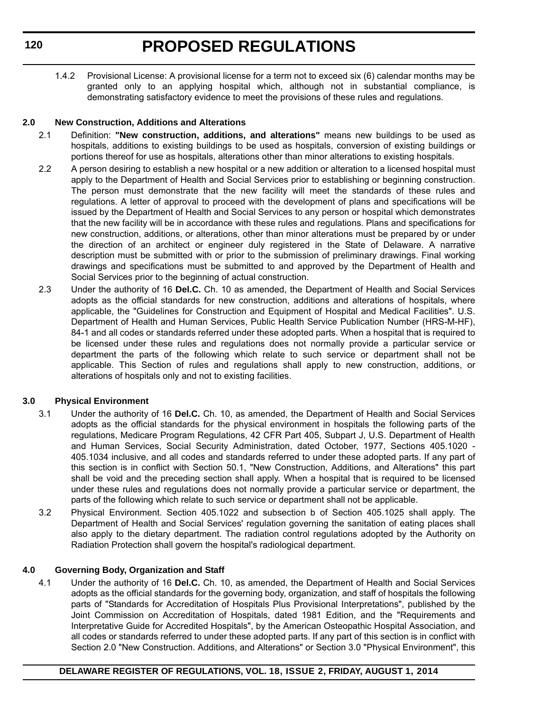1.4.2 Provisional License: A provisional license for a term not to exceed six (6) calendar months may be granted only to an applying hospital which, although not in substantial compliance, is demonstrating satisfactory evidence to meet the provisions of these rules and regulations.

#### **2.0 New Construction, Additions and Alterations**

- 2.1 Definition: **"New construction, additions, and alterations"** means new buildings to be used as hospitals, additions to existing buildings to be used as hospitals, conversion of existing buildings or portions thereof for use as hospitals, alterations other than minor alterations to existing hospitals.
- 2.2 A person desiring to establish a new hospital or a new addition or alteration to a licensed hospital must apply to the Department of Health and Social Services prior to establishing or beginning construction. The person must demonstrate that the new facility will meet the standards of these rules and regulations. A letter of approval to proceed with the development of plans and specifications will be issued by the Department of Health and Social Services to any person or hospital which demonstrates that the new facility will be in accordance with these rules and regulations. Plans and specifications for new construction, additions, or alterations, other than minor alterations must be prepared by or under the direction of an architect or engineer duly registered in the State of Delaware. A narrative description must be submitted with or prior to the submission of preliminary drawings. Final working drawings and specifications must be submitted to and approved by the Department of Health and Social Services prior to the beginning of actual construction.
- 2.3 Under the authority of 16 **Del.C.** Ch. 10 as amended, the Department of Health and Social Services adopts as the official standards for new construction, additions and alterations of hospitals, where applicable, the "Guidelines for Construction and Equipment of Hospital and Medical Facilities". U.S. Department of Health and Human Services, Public Health Service Publication Number (HRS-M-HF), 84-1 and all codes or standards referred under these adopted parts. When a hospital that is required to be licensed under these rules and regulations does not normally provide a particular service or department the parts of the following which relate to such service or department shall not be applicable. This Section of rules and regulations shall apply to new construction, additions, or alterations of hospitals only and not to existing facilities.

#### **3.0 Physical Environment**

- 3.1 Under the authority of 16 **Del.C.** Ch. 10, as amended, the Department of Health and Social Services adopts as the official standards for the physical environment in hospitals the following parts of the regulations, Medicare Program Regulations, 42 CFR Part 405, Subpart J, U.S. Department of Health and Human Services, Social Security Administration, dated October, 1977, Sections 405.1020 - 405.1034 inclusive, and all codes and standards referred to under these adopted parts. If any part of this section is in conflict with Section 50.1, "New Construction, Additions, and Alterations" this part shall be void and the preceding section shall apply. When a hospital that is required to be licensed under these rules and regulations does not normally provide a particular service or department, the parts of the following which relate to such service or department shall not be applicable.
- 3.2 Physical Environment. Section 405.1022 and subsection b of Section 405.1025 shall apply. The Department of Health and Social Services' regulation governing the sanitation of eating places shall also apply to the dietary department. The radiation control regulations adopted by the Authority on Radiation Protection shall govern the hospital's radiological department.

#### **4.0 Governing Body, Organization and Staff**

4.1 Under the authority of 16 **Del.C.** Ch. 10, as amended, the Department of Health and Social Services adopts as the official standards for the governing body, organization, and staff of hospitals the following parts of "Standards for Accreditation of Hospitals Plus Provisional Interpretations", published by the Joint Commission on Accreditation of Hospitals, dated 1981 Edition, and the "Requirements and Interpretative Guide for Accredited Hospitals", by the American Osteopathic Hospital Association, and all codes or standards referred to under these adopted parts. If any part of this section is in conflict with Section 2.0 "New Construction. Additions, and Alterations" or Section 3.0 "Physical Environment", this

#### **DELAWARE REGISTER OF REGULATIONS, VOL. 18, ISSUE 2, FRIDAY, AUGUST 1, 2014**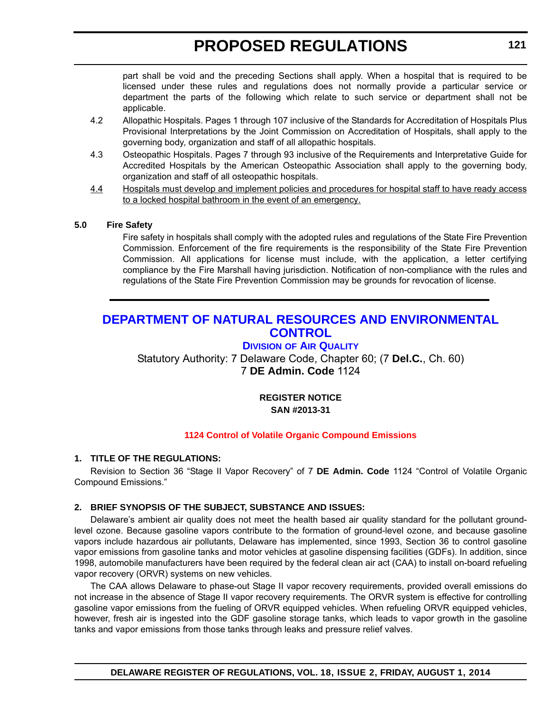part shall be void and the preceding Sections shall apply. When a hospital that is required to be licensed under these rules and regulations does not normally provide a particular service or department the parts of the following which relate to such service or department shall not be applicable.

- 4.2 Allopathic Hospitals. Pages 1 through 107 inclusive of the Standards for Accreditation of Hospitals Plus Provisional Interpretations by the Joint Commission on Accreditation of Hospitals, shall apply to the governing body, organization and staff of all allopathic hospitals.
- 4.3 Osteopathic Hospitals. Pages 7 through 93 inclusive of the Requirements and Interpretative Guide for Accredited Hospitals by the American Osteopathic Association shall apply to the governing body, organization and staff of all osteopathic hospitals.
- 4.4 Hospitals must develop and implement policies and procedures for hospital staff to have ready access to a locked hospital bathroom in the event of an emergency.

### **5.0 Fire Safety**

Fire safety in hospitals shall comply with the adopted rules and regulations of the State Fire Prevention Commission. Enforcement of the fire requirements is the responsibility of the State Fire Prevention Commission. All applications for license must include, with the application, a letter certifying compliance by the Fire Marshall having jurisdiction. Notification of non-compliance with the rules and regulations of the State Fire Prevention Commission may be grounds for revocation of license.

## **[DEPARTMENT OF NATURAL RESOURCES AND ENVIRONMENTAL](http://www.dnrec.delaware.gov/Air/Pages/Air-Quality.aspx)  CONTROL**

## **DIVISION OF AIR QUALITY**

Statutory Authority: 7 Delaware Code, Chapter 60; (7 **Del.C.**, Ch. 60) 7 **DE Admin. Code** 1124

### **REGISTER NOTICE SAN #2013-31**

### **[1124 Control of Volatile Organic Compound Emissions](#page-3-0)**

### **1. TITLE OF THE REGULATIONS:**

Revision to Section 36 "Stage II Vapor Recovery" of 7 **DE Admin. Code** 1124 "Control of Volatile Organic Compound Emissions."

### **2. BRIEF SYNOPSIS OF THE SUBJECT, SUBSTANCE AND ISSUES:**

Delaware's ambient air quality does not meet the health based air quality standard for the pollutant groundlevel ozone. Because gasoline vapors contribute to the formation of ground-level ozone, and because gasoline vapors include hazardous air pollutants, Delaware has implemented, since 1993, Section 36 to control gasoline vapor emissions from gasoline tanks and motor vehicles at gasoline dispensing facilities (GDFs). In addition, since 1998, automobile manufacturers have been required by the federal clean air act (CAA) to install on-board refueling vapor recovery (ORVR) systems on new vehicles.

The CAA allows Delaware to phase-out Stage II vapor recovery requirements, provided overall emissions do not increase in the absence of Stage II vapor recovery requirements. The ORVR system is effective for controlling gasoline vapor emissions from the fueling of ORVR equipped vehicles. When refueling ORVR equipped vehicles, however, fresh air is ingested into the GDF gasoline storage tanks, which leads to vapor growth in the gasoline tanks and vapor emissions from those tanks through leaks and pressure relief valves.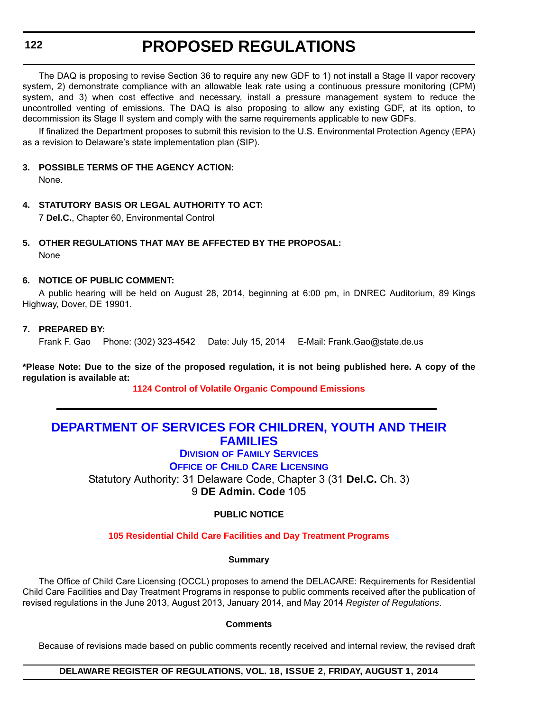**122**

## **PROPOSED REGULATIONS**

The DAQ is proposing to revise Section 36 to require any new GDF to 1) not install a Stage II vapor recovery system, 2) demonstrate compliance with an allowable leak rate using a continuous pressure monitoring (CPM) system, and 3) when cost effective and necessary, install a pressure management system to reduce the uncontrolled venting of emissions. The DAQ is also proposing to allow any existing GDF, at its option, to decommission its Stage II system and comply with the same requirements applicable to new GDFs.

If finalized the Department proposes to submit this revision to the U.S. Environmental Protection Agency (EPA) as a revision to Delaware's state implementation plan (SIP).

### **3. POSSIBLE TERMS OF THE AGENCY ACTION:**

None.

## **4. STATUTORY BASIS OR LEGAL AUTHORITY TO ACT:**

7 **Del.C.**, Chapter 60, Environmental Control

## **5. OTHER REGULATIONS THAT MAY BE AFFECTED BY THE PROPOSAL:**

None

### **6. NOTICE OF PUBLIC COMMENT:**

A public hearing will be held on August 28, 2014, beginning at 6:00 pm, in DNREC Auditorium, 89 Kings Highway, Dover, DE 19901.

### **7. PREPARED BY:**

Frank F. Gao Phone: (302) 323-4542 Date: July 15, 2014 E-Mail: Frank.Gao@state.de.us

**\*Please Note: Due to the size of the proposed regulation, it is not being published here. A copy of the regulation is available at:**

**[1124 Control of Volatile Organic Compound Emissions](http://regulations.delaware.gov/register/august2014/proposed/18 DE Reg 121 08-01-14.htm)**

## **[DEPARTMENT OF SERVICES FOR CHILDREN, YOUTH AND THEIR](http://kids.delaware.gov/fs/fs.shtml)  FAMILIES**

**DIVISION OF FAMILY SERVICES OFFICE OF CHILD CARE LICENSING**

Statutory Authority: 31 Delaware Code, Chapter 3 (31 **Del.C.** Ch. 3) 9 **DE Admin. Code** 105

## **PUBLIC NOTICE**

**[105 Residential Child Care Facilities and Day Treatment Programs](#page-3-0)**

### **Summary**

The Office of Child Care Licensing (OCCL) proposes to amend the DELACARE: Requirements for Residential Child Care Facilities and Day Treatment Programs in response to public comments received after the publication of revised regulations in the June 2013, August 2013, January 2014, and May 2014 *Register of Regulations*.

### **Comments**

Because of revisions made based on public comments recently received and internal review, the revised draft

**DELAWARE REGISTER OF REGULATIONS, VOL. 18, ISSUE 2, FRIDAY, AUGUST 1, 2014**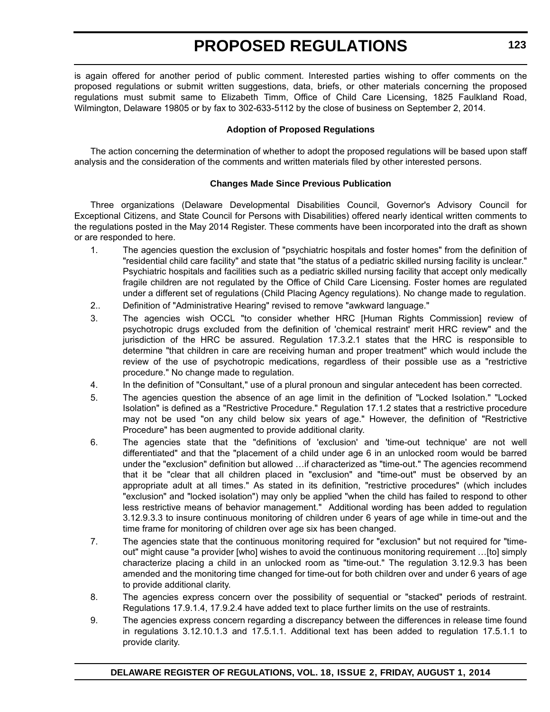is again offered for another period of public comment. Interested parties wishing to offer comments on the proposed regulations or submit written suggestions, data, briefs, or other materials concerning the proposed regulations must submit same to Elizabeth Timm, Office of Child Care Licensing, 1825 Faulkland Road, Wilmington, Delaware 19805 or by fax to 302-633-5112 by the close of business on September 2, 2014.

### **Adoption of Proposed Regulations**

The action concerning the determination of whether to adopt the proposed regulations will be based upon staff analysis and the consideration of the comments and written materials filed by other interested persons.

### **Changes Made Since Previous Publication**

Three organizations (Delaware Developmental Disabilities Council, Governor's Advisory Council for Exceptional Citizens, and State Council for Persons with Disabilities) offered nearly identical written comments to the regulations posted in the May 2014 Register. These comments have been incorporated into the draft as shown or are responded to here.

- 1. The agencies question the exclusion of "psychiatric hospitals and foster homes" from the definition of "residential child care facility" and state that "the status of a pediatric skilled nursing facility is unclear." Psychiatric hospitals and facilities such as a pediatric skilled nursing facility that accept only medically fragile children are not regulated by the Office of Child Care Licensing. Foster homes are regulated under a different set of regulations (Child Placing Agency regulations). No change made to regulation.
- 2.. Definition of "Administrative Hearing" revised to remove "awkward language."
- 3. The agencies wish OCCL "to consider whether HRC [Human Rights Commission] review of psychotropic drugs excluded from the definition of 'chemical restraint' merit HRC review" and the jurisdiction of the HRC be assured. Regulation 17.3.2.1 states that the HRC is responsible to determine "that children in care are receiving human and proper treatment" which would include the review of the use of psychotropic medications, regardless of their possible use as a "restrictive procedure." No change made to regulation.
- 4. In the definition of "Consultant," use of a plural pronoun and singular antecedent has been corrected.
- 5. The agencies question the absence of an age limit in the definition of "Locked Isolation." "Locked Isolation" is defined as a "Restrictive Procedure." Regulation 17.1.2 states that a restrictive procedure may not be used "on any child below six years of age." However, the definition of "Restrictive Procedure" has been augmented to provide additional clarity.
- 6. The agencies state that the "definitions of 'exclusion' and 'time-out technique' are not well differentiated" and that the "placement of a child under age 6 in an unlocked room would be barred under the "exclusion" definition but allowed …if characterized as "time-out." The agencies recommend that it be "clear that all children placed in "exclusion" and "time-out" must be observed by an appropriate adult at all times." As stated in its definition, "restrictive procedures" (which includes "exclusion" and "locked isolation") may only be applied "when the child has failed to respond to other less restrictive means of behavior management." Additional wording has been added to regulation 3.12.9.3.3 to insure continuous monitoring of children under 6 years of age while in time-out and the time frame for monitoring of children over age six has been changed.
- 7. The agencies state that the continuous monitoring required for "exclusion" but not required for "timeout" might cause "a provider [who] wishes to avoid the continuous monitoring requirement …[to] simply characterize placing a child in an unlocked room as "time-out." The regulation 3.12.9.3 has been amended and the monitoring time changed for time-out for both children over and under 6 years of age to provide additional clarity.
- 8. The agencies express concern over the possibility of sequential or "stacked" periods of restraint. Regulations 17.9.1.4, 17.9.2.4 have added text to place further limits on the use of restraints.
- 9. The agencies express concern regarding a discrepancy between the differences in release time found in regulations 3.12.10.1.3 and 17.5.1.1. Additional text has been added to regulation 17.5.1.1 to provide clarity.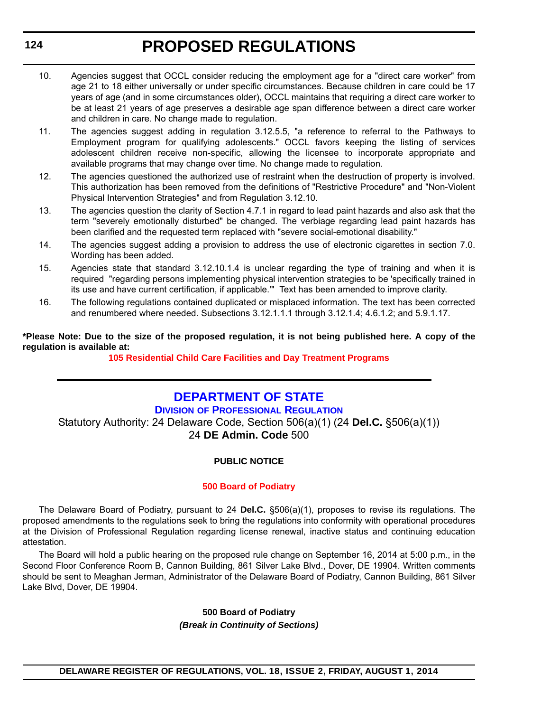- 10. Agencies suggest that OCCL consider reducing the employment age for a "direct care worker" from age 21 to 18 either universally or under specific circumstances. Because children in care could be 17 years of age (and in some circumstances older), OCCL maintains that requiring a direct care worker to be at least 21 years of age preserves a desirable age span difference between a direct care worker and children in care. No change made to regulation.
- 11. The agencies suggest adding in regulation 3.12.5.5, "a reference to referral to the Pathways to Employment program for qualifying adolescents." OCCL favors keeping the listing of services adolescent children receive non-specific, allowing the licensee to incorporate appropriate and available programs that may change over time. No change made to regulation.
- 12. The agencies questioned the authorized use of restraint when the destruction of property is involved. This authorization has been removed from the definitions of "Restrictive Procedure" and "Non-Violent Physical Intervention Strategies" and from Regulation 3.12.10.
- 13. The agencies question the clarity of Section 4.7.1 in regard to lead paint hazards and also ask that the term "severely emotionally disturbed" be changed. The verbiage regarding lead paint hazards has been clarified and the requested term replaced with "severe social-emotional disability."
- 14. The agencies suggest adding a provision to address the use of electronic cigarettes in section 7.0. Wording has been added.
- 15. Agencies state that standard 3.12.10.1.4 is unclear regarding the type of training and when it is required "regarding persons implementing physical intervention strategies to be 'specifically trained in its use and have current certification, if applicable.'" Text has been amended to improve clarity.
- 16. The following regulations contained duplicated or misplaced information. The text has been corrected and renumbered where needed. Subsections 3.12.1.1.1 through 3.12.1.4; 4.6.1.2; and 5.9.1.17.

**\*Please Note: Due to the size of the proposed regulation, it is not being published here. A copy of the regulation is available at:**

**[105 Residential Child Care Facilities and Day Treatment Programs](http://regulations.delaware.gov/register/august2014/proposed/18 DE Reg 122 08-01-14.htm)**

## **[DEPARTMENT OF STATE](http://dpr.delaware.gov/)**

**DIVISION OF PROFESSIONAL REGULATION** Statutory Authority: 24 Delaware Code, Section 506(a)(1) (24 **Del.C.** §506(a)(1)) 24 **DE Admin. Code** 500

## **PUBLIC NOTICE**

### **[500 Board of Podiatry](#page-3-0)**

The Delaware Board of Podiatry, pursuant to 24 **Del.C.** §506(a)(1), proposes to revise its regulations. The proposed amendments to the regulations seek to bring the regulations into conformity with operational procedures at the Division of Professional Regulation regarding license renewal, inactive status and continuing education attestation.

The Board will hold a public hearing on the proposed rule change on September 16, 2014 at 5:00 p.m., in the Second Floor Conference Room B, Cannon Building, 861 Silver Lake Blvd., Dover, DE 19904. Written comments should be sent to Meaghan Jerman, Administrator of the Delaware Board of Podiatry, Cannon Building, 861 Silver Lake Blvd, Dover, DE 19904.

### **500 Board of Podiatry** *(Break in Continuity of Sections)*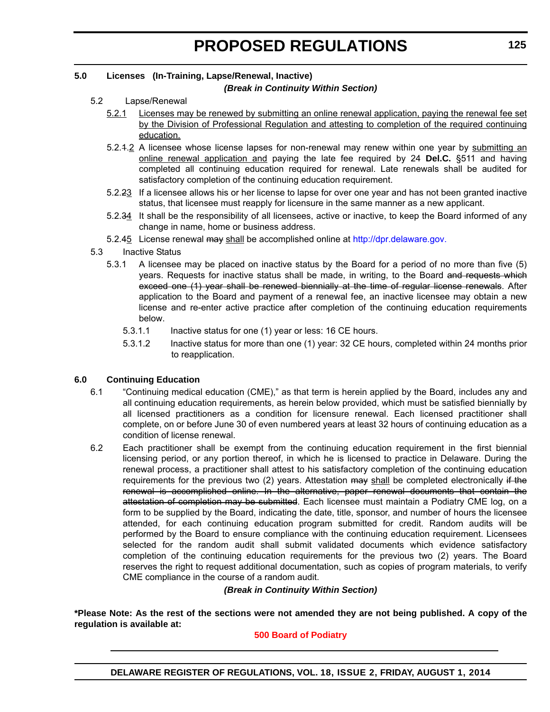## **5.0 Licenses (In-Training, Lapse/Renewal, Inactive)**

### *(Break in Continuity Within Section)*

### 5.2 Lapse/Renewal

- 5.2.1 Licenses may be renewed by submitting an online renewal application, paying the renewal fee set by the Division of Professional Regulation and attesting to completion of the required continuing education.
- 5.2.4.2 A licensee whose license lapses for non-renewal may renew within one year by submitting an online renewal application and paying the late fee required by 24 **Del.C.** §511 and having completed all continuing education required for renewal. Late renewals shall be audited for satisfactory completion of the continuing education requirement.
- 5.2.23 If a licensee allows his or her license to lapse for over one year and has not been granted inactive status, that licensee must reapply for licensure in the same manner as a new applicant.
- 5.2.34 It shall be the responsibility of all licensees, active or inactive, to keep the Board informed of any change in name, home or business address.
- 5.2.45 License renewal may shall be accomplished online at http://dpr.delaware.gov.
- 5.3 Inactive Status
	- 5.3.1 A licensee may be placed on inactive status by the Board for a period of no more than five (5) years. Requests for inactive status shall be made, in writing, to the Board and requests which exceed one (1) year shall be renewed biennially at the time of regular license renewals. After application to the Board and payment of a renewal fee, an inactive licensee may obtain a new license and re-enter active practice after completion of the continuing education requirements below.
		- 5.3.1.1 Inactive status for one (1) year or less: 16 CE hours.
		- 5.3.1.2 Inactive status for more than one (1) year: 32 CE hours, completed within 24 months prior to reapplication.

### **6.0 Continuing Education**

- 6.1 "Continuing medical education (CME)," as that term is herein applied by the Board, includes any and all continuing education requirements, as herein below provided, which must be satisfied biennially by all licensed practitioners as a condition for licensure renewal. Each licensed practitioner shall complete, on or before June 30 of even numbered years at least 32 hours of continuing education as a condition of license renewal.
- 6.2 Each practitioner shall be exempt from the continuing education requirement in the first biennial licensing period, or any portion thereof, in which he is licensed to practice in Delaware. During the renewal process, a practitioner shall attest to his satisfactory completion of the continuing education requirements for the previous two  $(2)$  years. Attestation  $\frac{1}{2}$  and the completed electronically if the renewal is accomplished online. In the alternative, paper renewal documents that contain the attestation of completion may be submitted. Each licensee must maintain a Podiatry CME log, on a form to be supplied by the Board, indicating the date, title, sponsor, and number of hours the licensee attended, for each continuing education program submitted for credit. Random audits will be performed by the Board to ensure compliance with the continuing education requirement. Licensees selected for the random audit shall submit validated documents which evidence satisfactory completion of the continuing education requirements for the previous two (2) years. The Board reserves the right to request additional documentation, such as copies of program materials, to verify CME compliance in the course of a random audit.

### *(Break in Continuity Within Section)*

**\*Please Note: As the rest of the sections were not amended they are not being published. A copy of the regulation is available at:**

### **[500 Board of Podiatry](http://regulations.delaware.gov/register/august2014/proposed/18 DE Reg 124 08-01-14.htm)**

**DELAWARE REGISTER OF REGULATIONS, VOL. 18, ISSUE 2, FRIDAY, AUGUST 1, 2014**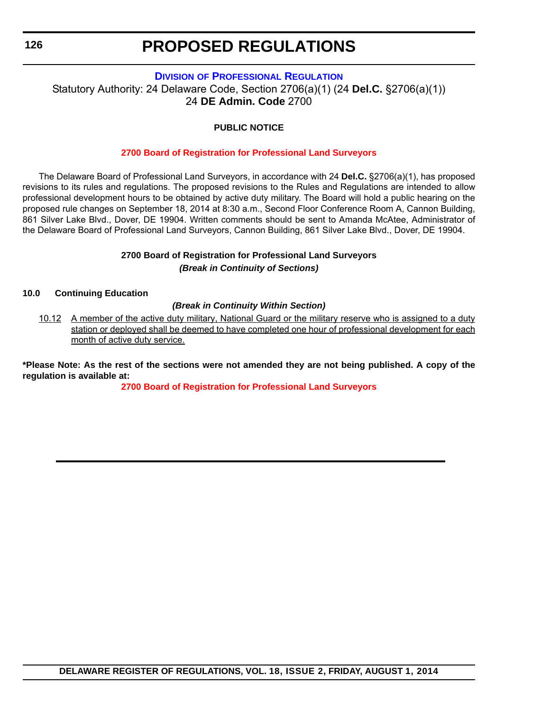### **DIVISION [OF PROFESSIONAL REGULATION](http://dpr.delaware.gov/)**

Statutory Authority: 24 Delaware Code, Section 2706(a)(1) (24 **Del.C.** §2706(a)(1)) 24 **DE Admin. Code** 2700

### **PUBLIC NOTICE**

### **[2700 Board of Registration for Professional Land Surveyors](#page-3-0)**

The Delaware Board of Professional Land Surveyors, in accordance with 24 **Del.C.** §2706(a)(1), has proposed revisions to its rules and regulations. The proposed revisions to the Rules and Regulations are intended to allow professional development hours to be obtained by active duty military. The Board will hold a public hearing on the proposed rule changes on September 18, 2014 at 8:30 a.m., Second Floor Conference Room A, Cannon Building, 861 Silver Lake Blvd., Dover, DE 19904. Written comments should be sent to Amanda McAtee, Administrator of the Delaware Board of Professional Land Surveyors, Cannon Building, 861 Silver Lake Blvd., Dover, DE 19904.

### **2700 Board of Registration for Professional Land Surveyors** *(Break in Continuity of Sections)*

### **10.0 Continuing Education**

### *(Break in Continuity Within Section)*

10.12 A member of the active duty military, National Guard or the military reserve who is assigned to a duty station or deployed shall be deemed to have completed one hour of professional development for each month of active duty service.

**\*Please Note: As the rest of the sections were not amended they are not being published. A copy of the regulation is available at:**

**[2700 Board of Registration for Professional Land Surveyors](http://regulations.delaware.gov/register/august2014/proposed/18 DE Reg 126 08-01-14.htm)**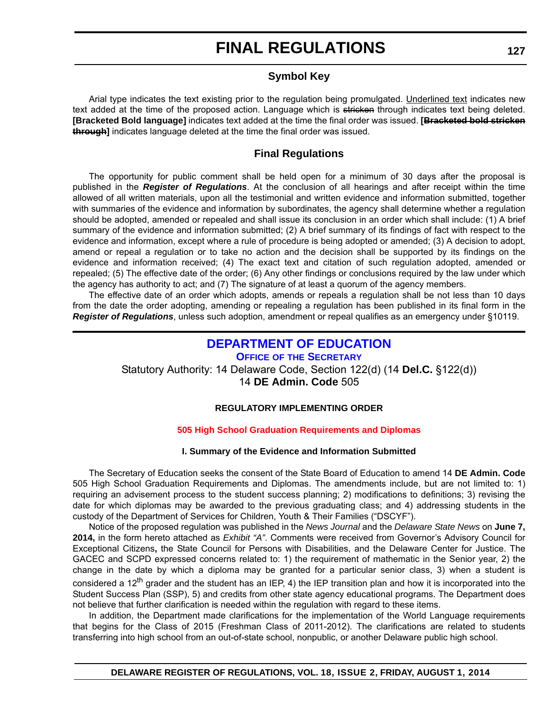## **Symbol Key**

Arial type indicates the text existing prior to the regulation being promulgated. Underlined text indicates new text added at the time of the proposed action. Language which is stricken through indicates text being deleted. **[Bracketed Bold language]** indicates text added at the time the final order was issued. **[Bracketed bold stricken through]** indicates language deleted at the time the final order was issued.

## **Final Regulations**

The opportunity for public comment shall be held open for a minimum of 30 days after the proposal is published in the *Register of Regulations*. At the conclusion of all hearings and after receipt within the time allowed of all written materials, upon all the testimonial and written evidence and information submitted, together with summaries of the evidence and information by subordinates, the agency shall determine whether a regulation should be adopted, amended or repealed and shall issue its conclusion in an order which shall include: (1) A brief summary of the evidence and information submitted; (2) A brief summary of its findings of fact with respect to the evidence and information, except where a rule of procedure is being adopted or amended; (3) A decision to adopt, amend or repeal a regulation or to take no action and the decision shall be supported by its findings on the evidence and information received; (4) The exact text and citation of such regulation adopted, amended or repealed; (5) The effective date of the order; (6) Any other findings or conclusions required by the law under which the agency has authority to act; and (7) The signature of at least a quorum of the agency members.

The effective date of an order which adopts, amends or repeals a regulation shall be not less than 10 days from the date the order adopting, amending or repealing a regulation has been published in its final form in the *Register of Regulations*, unless such adoption, amendment or repeal qualifies as an emergency under §10119.

## **[DEPARTMENT OF EDUCATION](http://www.doe.k12.de.us/)**

**OFFICE OF THE SECRETARY**

Statutory Authority: 14 Delaware Code, Section 122(d) (14 **Del.C.** §122(d))

14 **DE Admin. Code** 505

## **REGULATORY IMPLEMENTING ORDER**

## **[505 High School Graduation Requirements and Diplomas](#page-3-0)**

### **I. Summary of the Evidence and Information Submitted**

The Secretary of Education seeks the consent of the State Board of Education to amend 14 **DE Admin. Code** 505 High School Graduation Requirements and Diplomas. The amendments include, but are not limited to: 1) requiring an advisement process to the student success planning; 2) modifications to definitions; 3) revising the date for which diplomas may be awarded to the previous graduating class; and 4) addressing students in the custody of the Department of Services for Children, Youth & Their Families ("DSCYF").

Notice of the proposed regulation was published in the *News Journal* and the *Delaware State News* on **June 7, 2014,** in the form hereto attached as *Exhibit "A"*. Comments were received from Governor's Advisory Council for Exceptional Citizens**,** the State Council for Persons with Disabilities, and the Delaware Center for Justice. The GACEC and SCPD expressed concerns related to: 1) the requirement of mathematic in the Senior year, 2) the change in the date by which a diploma may be granted for a particular senior class, 3) when a student is considered a 12<sup>th</sup> grader and the student has an IEP, 4) the IEP transition plan and how it is incorporated into the Student Success Plan (SSP), 5) and credits from other state agency educational programs. The Department does not believe that further clarification is needed within the regulation with regard to these items.

In addition, the Department made clarifications for the implementation of the World Language requirements that begins for the Class of 2015 (Freshman Class of 2011-2012). The clarifications are related to students transferring into high school from an out-of-state school, nonpublic, or another Delaware public high school.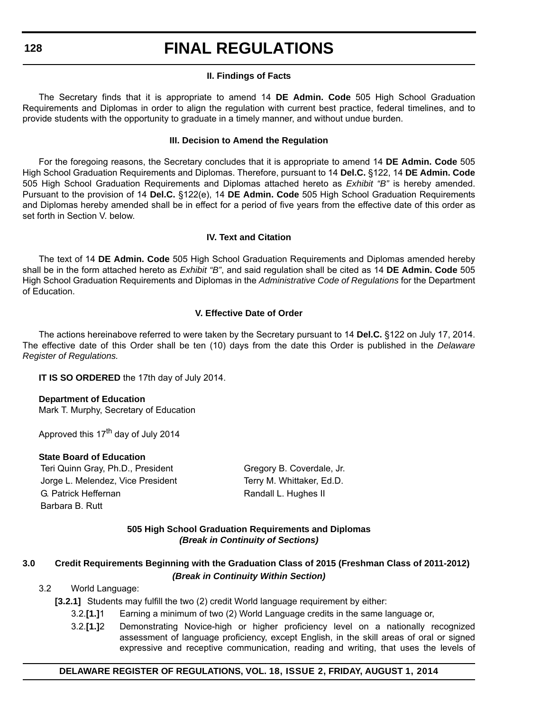### **II. Findings of Facts**

The Secretary finds that it is appropriate to amend 14 **DE Admin. Code** 505 High School Graduation Requirements and Diplomas in order to align the regulation with current best practice, federal timelines, and to provide students with the opportunity to graduate in a timely manner, and without undue burden.

### **III. Decision to Amend the Regulation**

For the foregoing reasons, the Secretary concludes that it is appropriate to amend 14 **DE Admin. Code** 505 High School Graduation Requirements and Diplomas. Therefore, pursuant to 14 **Del.C.** §122, 14 **DE Admin. Code** 505 High School Graduation Requirements and Diplomas attached hereto as *Exhibit "B"* is hereby amended. Pursuant to the provision of 14 **Del.C.** §122(e), 14 **DE Admin. Code** 505 High School Graduation Requirements and Diplomas hereby amended shall be in effect for a period of five years from the effective date of this order as set forth in Section V. below.

### **IV. Text and Citation**

The text of 14 **DE Admin. Code** 505 High School Graduation Requirements and Diplomas amended hereby shall be in the form attached hereto as *Exhibit "B"*, and said regulation shall be cited as 14 **DE Admin. Code** 505 High School Graduation Requirements and Diplomas in the *Administrative Code of Regulations* for the Department of Education.

### **V. Effective Date of Order**

The actions hereinabove referred to were taken by the Secretary pursuant to 14 **Del.C.** §122 on July 17, 2014. The effective date of this Order shall be ten (10) days from the date this Order is published in the *Delaware Register of Regulations.*

**IT IS SO ORDERED** the 17th day of July 2014.

**Department of Education** Mark T. Murphy, Secretary of Education

Approved this 17<sup>th</sup> day of July 2014

### **State Board of Education**

Teri Quinn Gray, Ph.D., President Gregory B. Coverdale, Jr. Jorge L. Melendez, Vice President Terry M. Whittaker, Ed.D. G. Patrick Heffernan **Randall L. Hughes II** Randall L. Hughes II Barbara B. Rutt

### **505 High School Graduation Requirements and Diplomas** *(Break in Continuity of Sections)*

### **3.0 Credit Requirements Beginning with the Graduation Class of 2015 (Freshman Class of 2011-2012)** *(Break in Continuity Within Section)*

### 3.2 World Language:

- **[3.2.1]** Students may fulfill the two (2) credit World language requirement by either:
	- 3.2.**[1.]**1 Earning a minimum of two (2) World Language credits in the same language or,
	- 3.2.**[1.]**2 Demonstrating Novice-high or higher proficiency level on a nationally recognized assessment of language proficiency, except English, in the skill areas of oral or signed expressive and receptive communication, reading and writing, that uses the levels of

### **DELAWARE REGISTER OF REGULATIONS, VOL. 18, ISSUE 2, FRIDAY, AUGUST 1, 2014**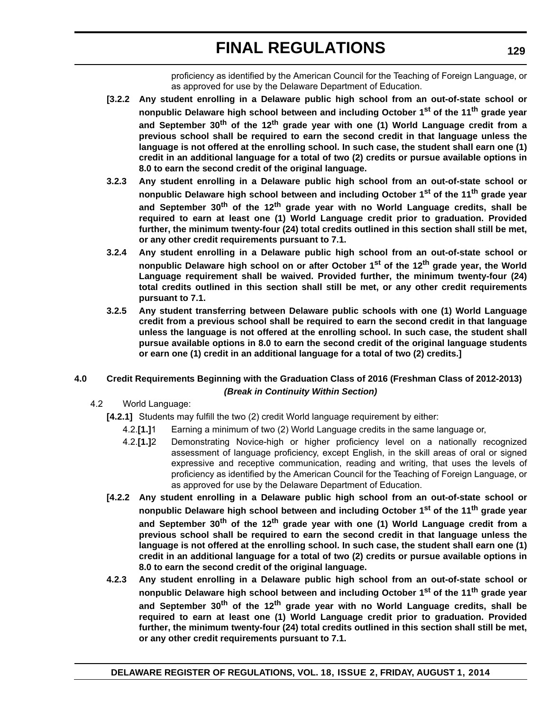proficiency as identified by the American Council for the Teaching of Foreign Language, or as approved for use by the Delaware Department of Education.

- **[3.2.2 Any student enrolling in a Delaware public high school from an out-of-state school or nonpublic Delaware high school between and including October 1st of the 11th grade year and September 30th of the 12th grade year with one (1) World Language credit from a previous school shall be required to earn the second credit in that language unless the language is not offered at the enrolling school. In such case, the student shall earn one (1) credit in an additional language for a total of two (2) credits or pursue available options in 8.0 to earn the second credit of the original language.**
- **3.2.3 Any student enrolling in a Delaware public high school from an out-of-state school or nonpublic Delaware high school between and including October 1st of the 11th grade year and September 30th of the 12th grade year with no World Language credits, shall be required to earn at least one (1) World Language credit prior to graduation. Provided further, the minimum twenty-four (24) total credits outlined in this section shall still be met, or any other credit requirements pursuant to 7.1.**
- **3.2.4 Any student enrolling in a Delaware public high school from an out-of-state school or nonpublic Delaware high school on or after October 1st of the 12th grade year, the World Language requirement shall be waived. Provided further, the minimum twenty-four (24) total credits outlined in this section shall still be met, or any other credit requirements pursuant to 7.1.**
- **3.2.5 Any student transferring between Delaware public schools with one (1) World Language credit from a previous school shall be required to earn the second credit in that language unless the language is not offered at the enrolling school. In such case, the student shall pursue available options in 8.0 to earn the second credit of the original language students or earn one (1) credit in an additional language for a total of two (2) credits.]**

### **4.0 Credit Requirements Beginning with the Graduation Class of 2016 (Freshman Class of 2012-2013)** *(Break in Continuity Within Section)*

- 4.2 World Language:
	- **[4.2.1]** Students may fulfill the two (2) credit World language requirement by either:
		- 4.2.**[1.]**1 Earning a minimum of two (2) World Language credits in the same language or,
		- 4.2.**[1.]**2 Demonstrating Novice-high or higher proficiency level on a nationally recognized assessment of language proficiency, except English, in the skill areas of oral or signed expressive and receptive communication, reading and writing, that uses the levels of proficiency as identified by the American Council for the Teaching of Foreign Language, or as approved for use by the Delaware Department of Education.
	- **[4.2.2 Any student enrolling in a Delaware public high school from an out-of-state school or nonpublic Delaware high school between and including October 1st of the 11th grade year and September 30th of the 12th grade year with one (1) World Language credit from a previous school shall be required to earn the second credit in that language unless the language is not offered at the enrolling school. In such case, the student shall earn one (1) credit in an additional language for a total of two (2) credits or pursue available options in 8.0 to earn the second credit of the original language.**
	- **4.2.3 Any student enrolling in a Delaware public high school from an out-of-state school or nonpublic Delaware high school between and including October 1st of the 11th grade year and September 30th of the 12th grade year with no World Language credits, shall be required to earn at least one (1) World Language credit prior to graduation. Provided further, the minimum twenty-four (24) total credits outlined in this section shall still be met, or any other credit requirements pursuant to 7.1.**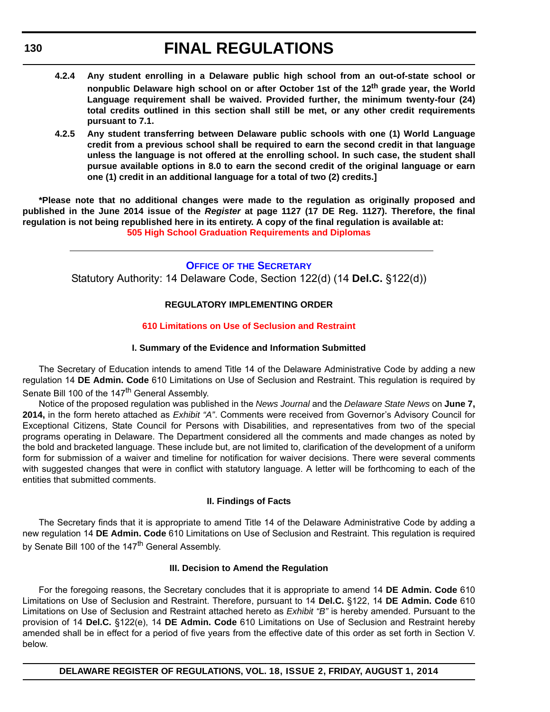- **4.2.4 Any student enrolling in a Delaware public high school from an out-of-state school or nonpublic Delaware high school on or after October 1st of the 12th grade year, the World Language requirement shall be waived. Provided further, the minimum twenty-four (24) total credits outlined in this section shall still be met, or any other credit requirements pursuant to 7.1.**
- **4.2.5 Any student transferring between Delaware public schools with one (1) World Language credit from a previous school shall be required to earn the second credit in that language unless the language is not offered at the enrolling school. In such case, the student shall pursue available options in 8.0 to earn the second credit of the original language or earn one (1) credit in an additional language for a total of two (2) credits.]**

**\*Please note that no additional changes were made to the regulation as originally proposed and published in the June 2014 issue of the** *Register* **at page 1127 (17 DE Reg. 1127). Therefore, the final regulation is not being republished here in its entirety. A copy of the final regulation is available at: [505 High School Graduation Requirements and Diplomas](http://regulations.delaware.gov/register/august2014/final/18 DE Reg 127 08-01-14.htm)**

> **OFFICE OF [THE SECRETARY](http://www.doe.k12.de.us/)** Statutory Authority: 14 Delaware Code, Section 122(d) (14 **Del.C.** §122(d))

### **REGULATORY IMPLEMENTING ORDER**

### **[610 Limitations on Use of Seclusion and Restraint](#page-3-0)**

### **I. Summary of the Evidence and Information Submitted**

The Secretary of Education intends to amend Title 14 of the Delaware Administrative Code by adding a new regulation 14 **DE Admin. Code** 610 Limitations on Use of Seclusion and Restraint. This regulation is required by Senate Bill 100 of the 147<sup>th</sup> General Assembly.

Notice of the proposed regulation was published in the *News Journal* and the *Delaware State News* on **June 7, 2014,** in the form hereto attached as *Exhibit "A"*. Comments were received from Governor's Advisory Council for Exceptional Citizens, State Council for Persons with Disabilities, and representatives from two of the special programs operating in Delaware. The Department considered all the comments and made changes as noted by the bold and bracketed language. These include but, are not limited to, clarification of the development of a uniform form for submission of a waiver and timeline for notification for waiver decisions. There were several comments with suggested changes that were in conflict with statutory language. A letter will be forthcoming to each of the entities that submitted comments.

### **II. Findings of Facts**

The Secretary finds that it is appropriate to amend Title 14 of the Delaware Administrative Code by adding a new regulation 14 **DE Admin. Code** 610 Limitations on Use of Seclusion and Restraint. This regulation is required by Senate Bill 100 of the 147<sup>th</sup> General Assembly.

### **III. Decision to Amend the Regulation**

For the foregoing reasons, the Secretary concludes that it is appropriate to amend 14 **DE Admin. Code** 610 Limitations on Use of Seclusion and Restraint. Therefore, pursuant to 14 **Del.C.** §122, 14 **DE Admin. Code** 610 Limitations on Use of Seclusion and Restraint attached hereto as *Exhibit "B"* is hereby amended. Pursuant to the provision of 14 **Del.C.** §122(e), 14 **DE Admin. Code** 610 Limitations on Use of Seclusion and Restraint hereby amended shall be in effect for a period of five years from the effective date of this order as set forth in Section V. below.

**130**

**DELAWARE REGISTER OF REGULATIONS, VOL. 18, ISSUE 2, FRIDAY, AUGUST 1, 2014**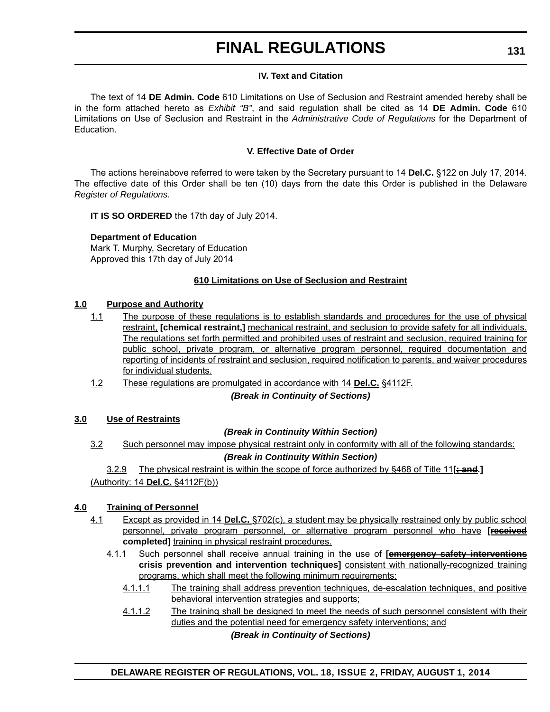### **IV. Text and Citation**

The text of 14 **DE Admin. Code** 610 Limitations on Use of Seclusion and Restraint amended hereby shall be in the form attached hereto as *Exhibit "B"*, and said regulation shall be cited as 14 **DE Admin. Code** 610 Limitations on Use of Seclusion and Restraint in the *Administrative Code of Regulations* for the Department of Education.

### **V. Effective Date of Order**

The actions hereinabove referred to were taken by the Secretary pursuant to 14 **Del.C.** §122 on July 17, 2014. The effective date of this Order shall be ten (10) days from the date this Order is published in the Delaware *Register of Regulations.*

**IT IS SO ORDERED** the 17th day of July 2014.

## **Department of Education**

Mark T. Murphy, Secretary of Education Approved this 17th day of July 2014

### **610 Limitations on Use of Seclusion and Restraint**

### **1.0 Purpose and Authority**

- 1.1 The purpose of these regulations is to establish standards and procedures for the use of physical restraint, **[chemical restraint,]** mechanical restraint, and seclusion to provide safety for all individuals. The regulations set forth permitted and prohibited uses of restraint and seclusion, required training for public school, private program, or alternative program personnel, required documentation and reporting of incidents of restraint and seclusion, required notification to parents, and waiver procedures for individual students.
- 1.2 These regulations are promulgated in accordance with 14 **Del.C.** §4112F.

*(Break in Continuity of Sections)*

### **3.0 Use of Restraints**

## *(Break in Continuity Within Section)*

3.2 Such personnel may impose physical restraint only in conformity with all of the following standards:

### *(Break in Continuity Within Section)*

3.2.9 The physical restraint is within the scope of force authorized by §468 of Title 11**[; and.]** (Authority: 14 **Del.C.** §4112F(b))

## **4.0 Training of Personnel**

- 4.1 Except as provided in 14 **Del.C.** §702(c), a student may be physically restrained only by public school personnel, private program personnel, or alternative program personnel who have **[received completed]** training in physical restraint procedures.
	- 4.1.1 Such personnel shall receive annual training in the use of **[emergency safety interventions crisis prevention and intervention techniques]** consistent with nationally-recognized training programs, which shall meet the following minimum requirements:
		- 4.1.1.1 The training shall address prevention techniques, de-escalation techniques, and positive behavioral intervention strategies and supports;
		- 4.1.1.2 The training shall be designed to meet the needs of such personnel consistent with their duties and the potential need for emergency safety interventions; and

*(Break in Continuity of Sections)*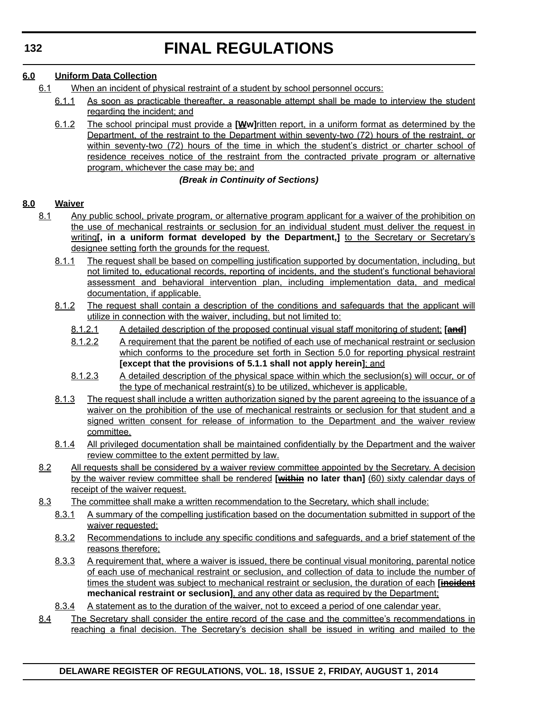## **6.0 Uniform Data Collection**

- 6.1 When an incident of physical restraint of a student by school personnel occurs:
	- 6.1.1 As soon as practicable thereafter, a reasonable attempt shall be made to interview the student regarding the incident; and
	- 6.1.2 The school principal must provide a **[Ww]**ritten report, in a uniform format as determined by the Department, of the restraint to the Department within seventy-two (72) hours of the restraint, or within seventy-two (72) hours of the time in which the student's district or charter school of residence receives notice of the restraint from the contracted private program or alternative program, whichever the case may be; and

## *(Break in Continuity of Sections)*

## **8.0 Waiver**

- 8.1 Any public school, private program, or alternative program applicant for a waiver of the prohibition on the use of mechanical restraints or seclusion for an individual student must deliver the request in writing[, in a uniform format developed by the Department,] to the Secretary or Secretary's designee setting forth the grounds for the request.
	- 8.1.1 The request shall be based on compelling justification supported by documentation, including, but not limited to, educational records, reporting of incidents, and the student's functional behavioral assessment and behavioral intervention plan, including implementation data, and medical documentation, if applicable.
	- 8.1.2 The request shall contain a description of the conditions and safeguards that the applicant will utilize in connection with the waiver, including, but not limited to:
		- 8.1.2.1 A detailed description of the proposed continual visual staff monitoring of student; **[and]**
		- 8.1.2.2 A requirement that the parent be notified of each use of mechanical restraint or seclusion which conforms to the procedure set forth in Section 5.0 for reporting physical restraint **[except that the provisions of 5.1.1 shall not apply herein]**; and
		- 8.1.2.3 A detailed description of the physical space within which the seclusion(s) will occur, or of the type of mechanical restraint(s) to be utilized, whichever is applicable.
	- 8.1.3 The request shall include a written authorization signed by the parent agreeing to the issuance of a waiver on the prohibition of the use of mechanical restraints or seclusion for that student and a signed written consent for release of information to the Department and the waiver review committee.
	- 8.1.4 All privileged documentation shall be maintained confidentially by the Department and the waiver review committee to the extent permitted by law.
- 8.2 All requests shall be considered by a waiver review committee appointed by the Secretary. A decision by the waiver review committee shall be rendered **[within no later than]** (60) sixty calendar days of receipt of the waiver request.
- 8.3 The committee shall make a written recommendation to the Secretary, which shall include:
	- 8.3.1 A summary of the compelling justification based on the documentation submitted in support of the waiver requested;
	- 8.3.2 Recommendations to include any specific conditions and safeguards, and a brief statement of the reasons therefore;
	- 8.3.3 A requirement that, where a waiver is issued, there be continual visual monitoring, parental notice of each use of mechanical restraint or seclusion, and collection of data to include the number of times the student was subject to mechanical restraint or seclusion, the duration of each [incident **mechanical restraint or seclusion]**, and any other data as required by the Department;
	- 8.3.4 A statement as to the duration of the waiver, not to exceed a period of one calendar year.
- 8.4 The Secretary shall consider the entire record of the case and the committee's recommendations in reaching a final decision. The Secretary's decision shall be issued in writing and mailed to the

### **DELAWARE REGISTER OF REGULATIONS, VOL. 18, ISSUE 2, FRIDAY, AUGUST 1, 2014**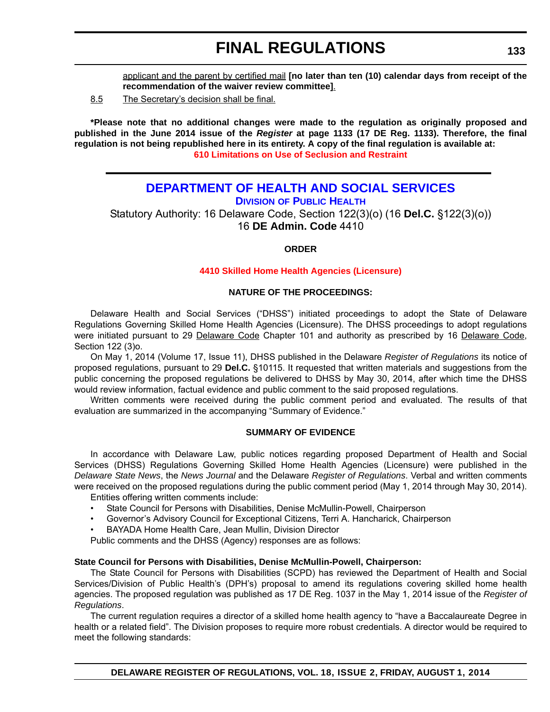applicant and the parent by certified mail **[no later than ten (10) calendar days from receipt of the recommendation of the waiver review committee]**.

8.5 The Secretary's decision shall be final.

**\*Please note that no additional changes were made to the regulation as originally proposed and published in the June 2014 issue of the** *Register* **at page 1133 (17 DE Reg. 1133). Therefore, the final regulation is not being republished here in its entirety. A copy of the final regulation is available at: [610 Limitations on Use of Seclusion and Restraint](http://regulations.delaware.gov/register/august2014/final/18 DE Reg 130 08-01-14.htm)**

## **[DEPARTMENT OF HEALTH AND SOCIAL SERVICES](http://www.dhss.delaware.gov/dhss/dph/index.html) DIVISION OF PUBLIC HEALTH**

Statutory Authority: 16 Delaware Code, Section 122(3)(o) (16 **Del.C.** §122(3)(o)) 16 **DE Admin. Code** 4410

### **ORDER**

### **[4410 Skilled Home Health Agencies \(Licensure\)](#page-3-0)**

### **NATURE OF THE PROCEEDINGS:**

Delaware Health and Social Services ("DHSS") initiated proceedings to adopt the State of Delaware Regulations Governing Skilled Home Health Agencies (Licensure). The DHSS proceedings to adopt regulations were initiated pursuant to 29 Delaware Code Chapter 101 and authority as prescribed by 16 Delaware Code, Section 122 (3)o.

On May 1, 2014 (Volume 17, Issue 11), DHSS published in the Delaware *Register of Regulations* its notice of proposed regulations, pursuant to 29 **Del.C.** §10115. It requested that written materials and suggestions from the public concerning the proposed regulations be delivered to DHSS by May 30, 2014, after which time the DHSS would review information, factual evidence and public comment to the said proposed regulations.

Written comments were received during the public comment period and evaluated. The results of that evaluation are summarized in the accompanying "Summary of Evidence."

### **SUMMARY OF EVIDENCE**

In accordance with Delaware Law, public notices regarding proposed Department of Health and Social Services (DHSS) Regulations Governing Skilled Home Health Agencies (Licensure) were published in the *Delaware State News*, the *News Journal* and the Delaware *Register of Regulations*. Verbal and written comments were received on the proposed regulations during the public comment period (May 1, 2014 through May 30, 2014).

Entities offering written comments include:

- State Council for Persons with Disabilities, Denise McMullin-Powell, Chairperson
- Governor's Advisory Council for Exceptional Citizens, Terri A. Hancharick, Chairperson
- BAYADA Home Health Care, Jean Mullin, Division Director

Public comments and the DHSS (Agency) responses are as follows:

### **State Council for Persons with Disabilities, Denise McMullin-Powell, Chairperson:**

The State Council for Persons with Disabilities (SCPD) has reviewed the Department of Health and Social Services/Division of Public Health's (DPH's) proposal to amend its regulations covering skilled home health agencies. The proposed regulation was published as 17 DE Reg. 1037 in the May 1, 2014 issue of the *Register of Regulations*.

The current regulation requires a director of a skilled home health agency to "have a Baccalaureate Degree in health or a related field". The Division proposes to require more robust credentials. A director would be required to meet the following standards: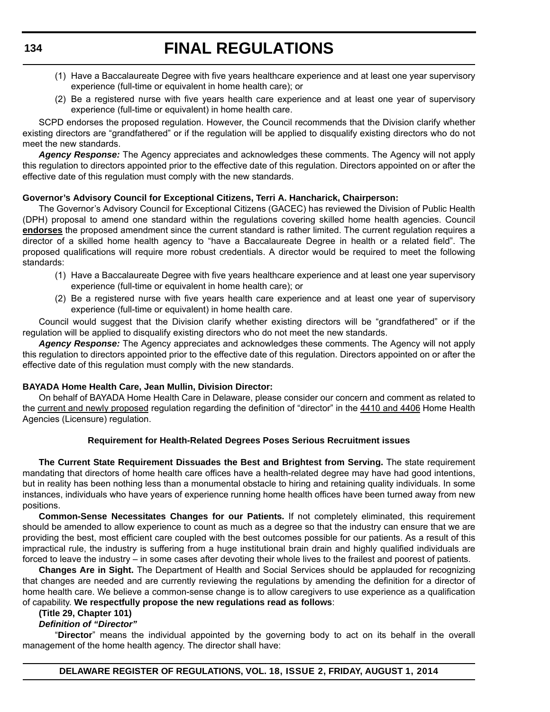- (1) Have a Baccalaureate Degree with five years healthcare experience and at least one year supervisory experience (full-time or equivalent in home health care); or
- (2) Be a registered nurse with five years health care experience and at least one year of supervisory experience (full-time or equivalent) in home health care.

SCPD endorses the proposed regulation. However, the Council recommends that the Division clarify whether existing directors are "grandfathered" or if the regulation will be applied to disqualify existing directors who do not meet the new standards.

*Agency Response:* The Agency appreciates and acknowledges these comments. The Agency will not apply this regulation to directors appointed prior to the effective date of this regulation. Directors appointed on or after the effective date of this regulation must comply with the new standards.

### **Governor's Advisory Council for Exceptional Citizens, Terri A. Hancharick, Chairperson:**

The Governor's Advisory Council for Exceptional Citizens (GACEC) has reviewed the Division of Public Health (DPH) proposal to amend one standard within the regulations covering skilled home health agencies. Council **endorses** the proposed amendment since the current standard is rather limited. The current regulation requires a director of a skilled home health agency to "have a Baccalaureate Degree in health or a related field". The proposed qualifications will require more robust credentials. A director would be required to meet the following standards:

- (1) Have a Baccalaureate Degree with five years healthcare experience and at least one year supervisory experience (full-time or equivalent in home health care); or
- (2) Be a registered nurse with five years health care experience and at least one year of supervisory experience (full-time or equivalent) in home health care.

Council would suggest that the Division clarify whether existing directors will be "grandfathered" or if the regulation will be applied to disqualify existing directors who do not meet the new standards.

*Agency Response:* The Agency appreciates and acknowledges these comments. The Agency will not apply this regulation to directors appointed prior to the effective date of this regulation. Directors appointed on or after the effective date of this regulation must comply with the new standards.

### **BAYADA Home Health Care, Jean Mullin, Division Director:**

On behalf of BAYADA Home Health Care in Delaware, please consider our concern and comment as related to the current and newly proposed regulation regarding the definition of "director" in the 4410 and 4406 Home Health Agencies (Licensure) regulation.

### **Requirement for Health-Related Degrees Poses Serious Recruitment issues**

**The Current State Requirement Dissuades the Best and Brightest from Serving.** The state requirement mandating that directors of home health care offices have a health-related degree may have had good intentions, but in reality has been nothing less than a monumental obstacle to hiring and retaining quality individuals. In some instances, individuals who have years of experience running home health offices have been turned away from new positions.

**Common-Sense Necessitates Changes for our Patients.** If not completely eliminated, this requirement should be amended to allow experience to count as much as a degree so that the industry can ensure that we are providing the best, most efficient care coupled with the best outcomes possible for our patients. As a result of this impractical rule, the industry is suffering from a huge institutional brain drain and highly qualified individuals are forced to leave the industry – in some cases after devoting their whole lives to the frailest and poorest of patients.

**Changes Are in Sight.** The Department of Health and Social Services should be applauded for recognizing that changes are needed and are currently reviewing the regulations by amending the definition for a director of home health care. We believe a common-sense change is to allow caregivers to use experience as a qualification of capability. **We respectfully propose the new regulations read as follows**:

### **(Title 29, Chapter 101)**

### *Definition of "Director"*

"**Director**" means the individual appointed by the governing body to act on its behalf in the overall management of the home health agency. The director shall have: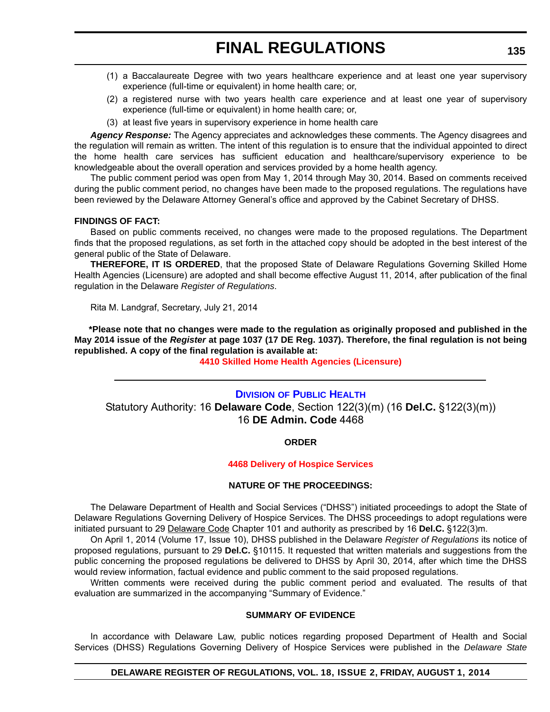- (1) a Baccalaureate Degree with two years healthcare experience and at least one year supervisory experience (full-time or equivalent) in home health care; or,
- (2) a registered nurse with two years health care experience and at least one year of supervisory experience (full-time or equivalent) in home health care; or,
- (3) at least five years in supervisory experience in home health care

*Agency Response:* The Agency appreciates and acknowledges these comments. The Agency disagrees and the regulation will remain as written. The intent of this regulation is to ensure that the individual appointed to direct the home health care services has sufficient education and healthcare/supervisory experience to be knowledgeable about the overall operation and services provided by a home health agency.

The public comment period was open from May 1, 2014 through May 30, 2014. Based on comments received during the public comment period, no changes have been made to the proposed regulations. The regulations have been reviewed by the Delaware Attorney General's office and approved by the Cabinet Secretary of DHSS.

### **FINDINGS OF FACT:**

Based on public comments received, no changes were made to the proposed regulations. The Department finds that the proposed regulations, as set forth in the attached copy should be adopted in the best interest of the general public of the State of Delaware.

**THEREFORE, IT IS ORDERED**, that the proposed State of Delaware Regulations Governing Skilled Home Health Agencies (Licensure) are adopted and shall become effective August 11, 2014, after publication of the final regulation in the Delaware *Register of Regulations*.

Rita M. Landgraf, Secretary, July 21, 2014

**\*Please note that no changes were made to the regulation as originally proposed and published in the May 2014 issue of the** *Register* **at page 1037 (17 DE Reg. 1037). Therefore, the final regulation is not being republished. A copy of the final regulation is available at:**

**[4410 Skilled Home Health Agencies \(Licensure\)](http://regulations.delaware.gov/register/august2014/final/18 DE Reg 133 08-01-14.htm)**

## **DIVISION [OF PUBLIC HEALTH](http://www.dhss.delaware.gov/dhss/dph/index.html)** Statutory Authority: 16 **Delaware Code**, Section 122(3)(m) (16 **Del.C.** §122(3)(m)) 16 **DE Admin. Code** 4468

### **ORDER**

### **[4468 Delivery of Hospice Services](#page-3-0)**

### **NATURE OF THE PROCEEDINGS:**

The Delaware Department of Health and Social Services ("DHSS") initiated proceedings to adopt the State of Delaware Regulations Governing Delivery of Hospice Services. The DHSS proceedings to adopt regulations were initiated pursuant to 29 Delaware Code Chapter 101 and authority as prescribed by 16 **Del.C.** §122(3)m.

On April 1, 2014 (Volume 17, Issue 10), DHSS published in the Delaware *Register of Regulations* its notice of proposed regulations, pursuant to 29 **Del.C.** §10115. It requested that written materials and suggestions from the public concerning the proposed regulations be delivered to DHSS by April 30, 2014, after which time the DHSS would review information, factual evidence and public comment to the said proposed regulations.

Written comments were received during the public comment period and evaluated. The results of that evaluation are summarized in the accompanying "Summary of Evidence."

### **SUMMARY OF EVIDENCE**

In accordance with Delaware Law, public notices regarding proposed Department of Health and Social Services (DHSS) Regulations Governing Delivery of Hospice Services were published in the *Delaware State*

### **DELAWARE REGISTER OF REGULATIONS, VOL. 18, ISSUE 2, FRIDAY, AUGUST 1, 2014**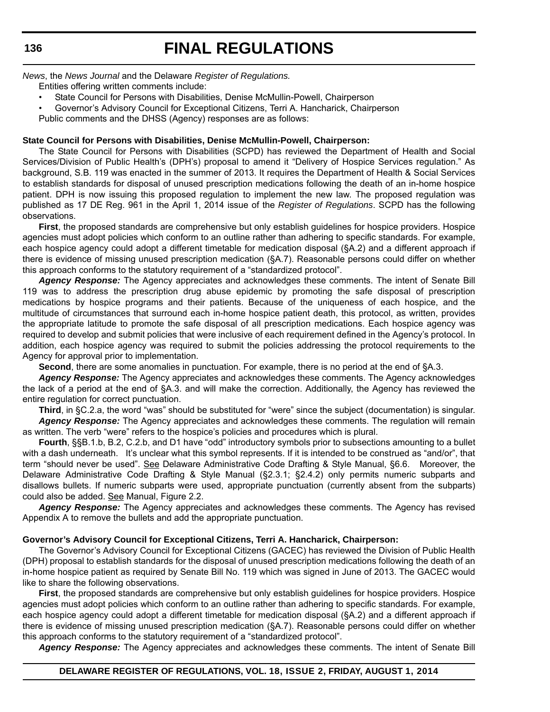*News*, the *News Journal* and the Delaware *Register of Regulations.*

Entities offering written comments include:

- State Council for Persons with Disabilities, Denise McMullin-Powell, Chairperson
- Governor's Advisory Council for Exceptional Citizens, Terri A. Hancharick, Chairperson

Public comments and the DHSS (Agency) responses are as follows:

### **State Council for Persons with Disabilities, Denise McMullin-Powell, Chairperson:**

The State Council for Persons with Disabilities (SCPD) has reviewed the Department of Health and Social Services/Division of Public Health's (DPH's) proposal to amend it "Delivery of Hospice Services regulation." As background, S.B. 119 was enacted in the summer of 2013. It requires the Department of Health & Social Services to establish standards for disposal of unused prescription medications following the death of an in-home hospice patient. DPH is now issuing this proposed regulation to implement the new law. The proposed regulation was published as 17 DE Reg. 961 in the April 1, 2014 issue of the *Register of Regulations*. SCPD has the following observations.

**First**, the proposed standards are comprehensive but only establish guidelines for hospice providers. Hospice agencies must adopt policies which conform to an outline rather than adhering to specific standards. For example, each hospice agency could adopt a different timetable for medication disposal (§A.2) and a different approach if there is evidence of missing unused prescription medication (§A.7). Reasonable persons could differ on whether this approach conforms to the statutory requirement of a "standardized protocol".

*Agency Response:* The Agency appreciates and acknowledges these comments. The intent of Senate Bill 119 was to address the prescription drug abuse epidemic by promoting the safe disposal of prescription medications by hospice programs and their patients. Because of the uniqueness of each hospice, and the multitude of circumstances that surround each in-home hospice patient death, this protocol, as written, provides the appropriate latitude to promote the safe disposal of all prescription medications. Each hospice agency was required to develop and submit policies that were inclusive of each requirement defined in the Agency's protocol. In addition, each hospice agency was required to submit the policies addressing the protocol requirements to the Agency for approval prior to implementation.

**Second**, there are some anomalies in punctuation. For example, there is no period at the end of §A.3.

*Agency Response:* The Agency appreciates and acknowledges these comments. The Agency acknowledges the lack of a period at the end of §A.3. and will make the correction. Additionally, the Agency has reviewed the entire regulation for correct punctuation.

**Third**, in §C.2.a, the word "was" should be substituted for "were" since the subject (documentation) is singular. *Agency Response:* The Agency appreciates and acknowledges these comments. The regulation will remain

as written. The verb "were" refers to the hospice's policies and procedures which is plural.

**Fourth**, §§B.1.b, B.2, C.2.b, and D1 have "odd" introductory symbols prior to subsections amounting to a bullet with a dash underneath. It's unclear what this symbol represents. If it is intended to be construed as "and/or", that term "should never be used". See Delaware Administrative Code Drafting & Style Manual, §6.6. Moreover, the Delaware Administrative Code Drafting & Style Manual (§2.3.1; §2.4.2) only permits numeric subparts and disallows bullets. If numeric subparts were used, appropriate punctuation (currently absent from the subparts) could also be added. See Manual, Figure 2.2.

*Agency Response:* The Agency appreciates and acknowledges these comments. The Agency has revised Appendix A to remove the bullets and add the appropriate punctuation.

### **Governor's Advisory Council for Exceptional Citizens, Terri A. Hancharick, Chairperson:**

The Governor's Advisory Council for Exceptional Citizens (GACEC) has reviewed the Division of Public Health (DPH) proposal to establish standards for the disposal of unused prescription medications following the death of an in-home hospice patient as required by Senate Bill No. 119 which was signed in June of 2013. The GACEC would like to share the following observations.

**First**, the proposed standards are comprehensive but only establish guidelines for hospice providers. Hospice agencies must adopt policies which conform to an outline rather than adhering to specific standards. For example, each hospice agency could adopt a different timetable for medication disposal (§A.2) and a different approach if there is evidence of missing unused prescription medication (§A.7). Reasonable persons could differ on whether this approach conforms to the statutory requirement of a "standardized protocol".

*Agency Response:* The Agency appreciates and acknowledges these comments. The intent of Senate Bill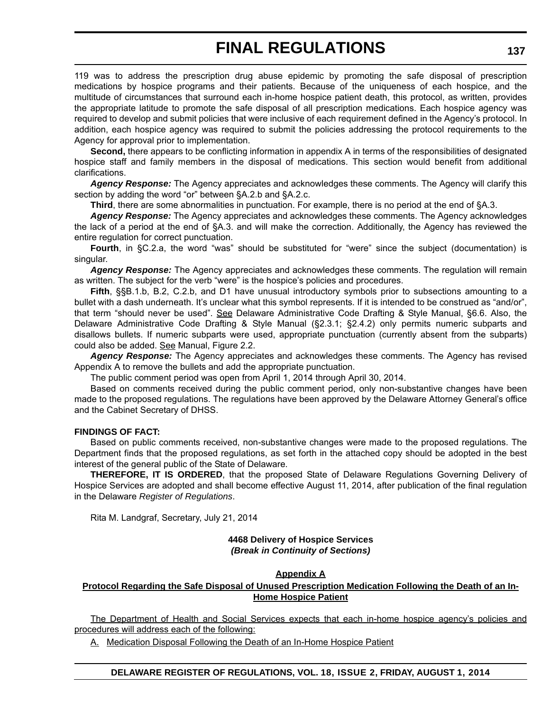119 was to address the prescription drug abuse epidemic by promoting the safe disposal of prescription medications by hospice programs and their patients. Because of the uniqueness of each hospice, and the multitude of circumstances that surround each in-home hospice patient death, this protocol, as written, provides the appropriate latitude to promote the safe disposal of all prescription medications. Each hospice agency was required to develop and submit policies that were inclusive of each requirement defined in the Agency's protocol. In addition, each hospice agency was required to submit the policies addressing the protocol requirements to the Agency for approval prior to implementation.

**Second,** there appears to be conflicting information in appendix A in terms of the responsibilities of designated hospice staff and family members in the disposal of medications. This section would benefit from additional clarifications.

*Agency Response:* The Agency appreciates and acknowledges these comments. The Agency will clarify this section by adding the word "or" between §A.2.b and §A.2.c.

**Third**, there are some abnormalities in punctuation. For example, there is no period at the end of §A.3.

*Agency Response:* The Agency appreciates and acknowledges these comments. The Agency acknowledges the lack of a period at the end of §A.3. and will make the correction. Additionally, the Agency has reviewed the entire regulation for correct punctuation.

**Fourth**, in §C.2.a, the word "was" should be substituted for "were" since the subject (documentation) is singular.

*Agency Response:* The Agency appreciates and acknowledges these comments. The regulation will remain as written. The subject for the verb "were" is the hospice's policies and procedures.

**Fifth**, §§B.1.b, B.2, C.2.b, and D1 have unusual introductory symbols prior to subsections amounting to a bullet with a dash underneath. It's unclear what this symbol represents. If it is intended to be construed as "and/or", that term "should never be used". See Delaware Administrative Code Drafting & Style Manual, §6.6. Also, the Delaware Administrative Code Drafting & Style Manual (§2.3.1; §2.4.2) only permits numeric subparts and disallows bullets. If numeric subparts were used, appropriate punctuation (currently absent from the subparts) could also be added. See Manual, Figure 2.2.

*Agency Response:* The Agency appreciates and acknowledges these comments. The Agency has revised Appendix A to remove the bullets and add the appropriate punctuation.

The public comment period was open from April 1, 2014 through April 30, 2014.

Based on comments received during the public comment period, only non-substantive changes have been made to the proposed regulations. The regulations have been approved by the Delaware Attorney General's office and the Cabinet Secretary of DHSS.

### **FINDINGS OF FACT:**

Based on public comments received, non-substantive changes were made to the proposed regulations. The Department finds that the proposed regulations, as set forth in the attached copy should be adopted in the best interest of the general public of the State of Delaware.

**THEREFORE, IT IS ORDERED**, that the proposed State of Delaware Regulations Governing Delivery of Hospice Services are adopted and shall become effective August 11, 2014, after publication of the final regulation in the Delaware *Register of Regulations*.

Rita M. Landgraf, Secretary, July 21, 2014

### **4468 Delivery of Hospice Services** *(Break in Continuity of Sections)*

#### **Appendix A**

### **Protocol Regarding the Safe Disposal of Unused Prescription Medication Following the Death of an In-Home Hospice Patient**

The Department of Health and Social Services expects that each in-home hospice agency's policies and procedures will address each of the following:

A. Medication Disposal Following the Death of an In-Home Hospice Patient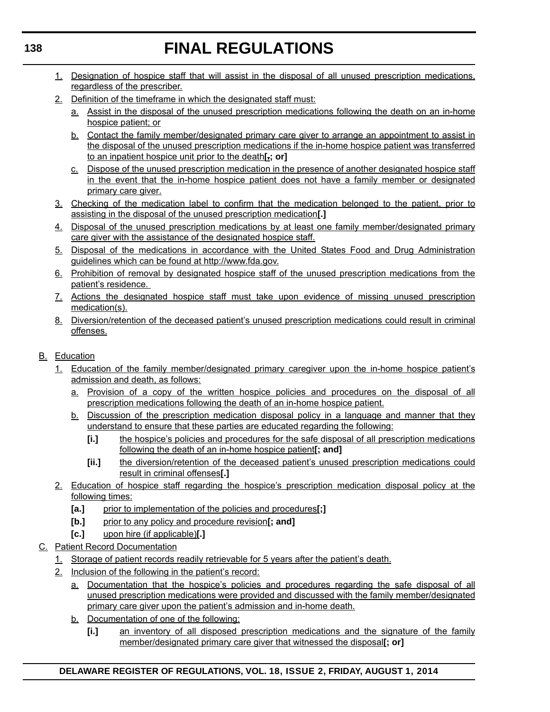- 1. Designation of hospice staff that will assist in the disposal of all unused prescription medications, regardless of the prescriber.
- 2. Definition of the timeframe in which the designated staff must:
	- a. Assist in the disposal of the unused prescription medications following the death on an in-home hospice patient; or
	- b. Contact the family member/designated primary care giver to arrange an appointment to assist in the disposal of the unused prescription medications if the in-home hospice patient was transferred to an inpatient hospice unit prior to the death**[.; or]**
	- c. Dispose of the unused prescription medication in the presence of another designated hospice staff in the event that the in-home hospice patient does not have a family member or designated primary care giver.
- 3. Checking of the medication label to confirm that the medication belonged to the patient, prior to assisting in the disposal of the unused prescription medication**[.]**
- 4. Disposal of the unused prescription medications by at least one family member/designated primary care giver with the assistance of the designated hospice staff.
- 5. Disposal of the medications in accordance with the United States Food and Drug Administration guidelines which can be found at http://www.fda.gov.
- 6. Prohibition of removal by designated hospice staff of the unused prescription medications from the patient's residence.
- 7. Actions the designated hospice staff must take upon evidence of missing unused prescription medication(s).
- 8. Diversion/retention of the deceased patient's unused prescription medications could result in criminal offenses.
- B. Education
	- 1. Education of the family member/designated primary caregiver upon the in-home hospice patient's admission and death, as follows:
		- a. Provision of a copy of the written hospice policies and procedures on the disposal of all prescription medications following the death of an in-home hospice patient.
		- b. Discussion of the prescription medication disposal policy in a language and manner that they understand to ensure that these parties are educated regarding the following:
			- **[i.]** the hospice's policies and procedures for the safe disposal of all prescription medications following the death of an in-home hospice patient**[; and]**
			- **[ii.]** the diversion/retention of the deceased patient's unused prescription medications could result in criminal offenses**[.]**
	- 2. Education of hospice staff regarding the hospice's prescription medication disposal policy at the following times:
		- [a.] prior to implementation of the policies and procedures[;]
		- **[b.]** prior to any policy and procedure revision**[; and]**
		- **[c.]** upon hire (if applicable)**[.]**
- C. Patient Record Documentation
	- 1. Storage of patient records readily retrievable for 5 years after the patient's death.
	- 2. Inclusion of the following in the patient's record:
		- a. Documentation that the hospice's policies and procedures regarding the safe disposal of all unused prescription medications were provided and discussed with the family member/designated primary care giver upon the patient's admission and in-home death.
		- b. Documentation of one of the following:
			- **[i.]** an inventory of all disposed prescription medications and the signature of the family member/designated primary care giver that witnessed the disposal**[; or]**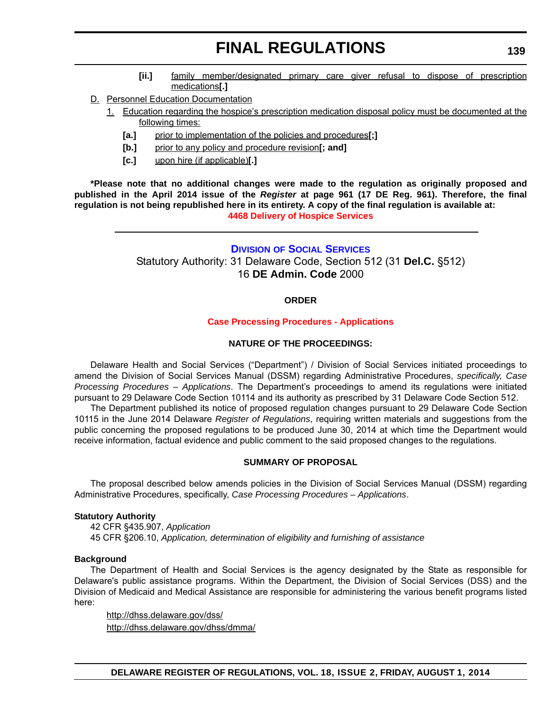- **[ii.]** family member/designated primary care giver refusal to dispose of prescription medications**[.]**
- D. Personnel Education Documentation
	- 1. Education regarding the hospice's prescription medication disposal policy must be documented at the following times:
		- **[a.]** prior to implementation of the policies and procedures**[;]**
		- **[b.]** prior to any policy and procedure revision**[; and]**
		- **[c.]** upon hire (if applicable)**[.]**

**\*Please note that no additional changes were made to the regulation as originally proposed and published in the April 2014 issue of the** *Register* **at page 961 (17 DE Reg. 961). Therefore, the final regulation is not being republished here in its entirety. A copy of the final regulation is available at: [4468 Delivery of Hospice Services](http://regulations.delaware.gov/register/august2014/final/18 DE Reg 135 08-01-14.htm)**

### **DIVISION [OF SOCIAL SERVICES](http://www.dhss.delaware.gov/dhss/dss/)**

Statutory Authority: 31 Delaware Code, Section 512 (31 **Del.C.** §512) 16 **DE Admin. Code** 2000

## **ORDER**

### **[Case Processing Procedures - Applications](#page-3-0)**

### **NATURE OF THE PROCEEDINGS:**

Delaware Health and Social Services ("Department") / Division of Social Services initiated proceedings to amend the Division of Social Services Manual (DSSM) regarding Administrative Procedures, *specifically, Case Processing Procedures – Applications*. The Department's proceedings to amend its regulations were initiated pursuant to 29 Delaware Code Section 10114 and its authority as prescribed by 31 Delaware Code Section 512.

The Department published its notice of proposed regulation changes pursuant to 29 Delaware Code Section 10115 in the June 2014 Delaware *Register of Regulations*, requiring written materials and suggestions from the public concerning the proposed regulations to be produced June 30, 2014 at which time the Department would receive information, factual evidence and public comment to the said proposed changes to the regulations.

### **SUMMARY OF PROPOSAL**

The proposal described below amends policies in the Division of Social Services Manual (DSSM) regarding Administrative Procedures, specifically, *Case Processing Procedures – Applications*.

### **Statutory Authority**

42 CFR §435.907, *Application* 45 CFR §206.10, *Application, determination of eligibility and furnishing of assistance*

### **Background**

The Department of Health and Social Services is the agency designated by the State as responsible for Delaware's public assistance programs. Within the Department, the Division of Social Services (DSS) and the Division of Medicaid and Medical Assistance are responsible for administering the various benefit programs listed here:

<http://dhss.delaware.gov/dss/> <http://dhss.delaware.gov/dhss/dmma/>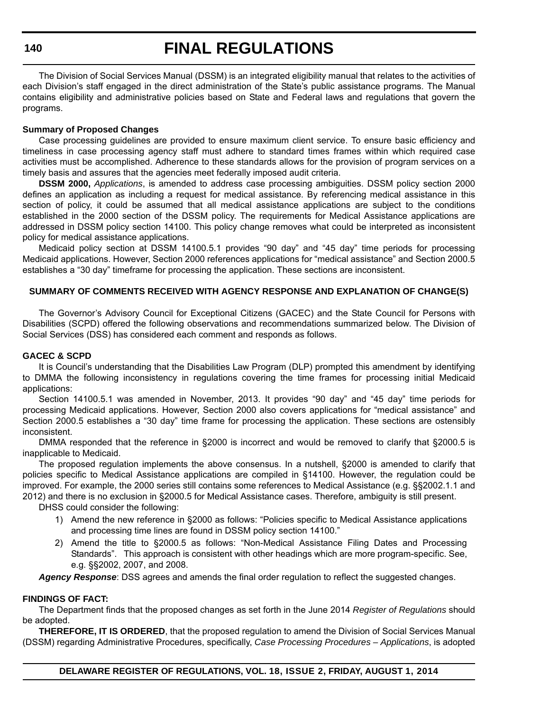**140**

## **FINAL REGULATIONS**

The Division of Social Services Manual (DSSM) is an integrated eligibility manual that relates to the activities of each Division's staff engaged in the direct administration of the State's public assistance programs. The Manual contains eligibility and administrative policies based on State and Federal laws and regulations that govern the programs.

### **Summary of Proposed Changes**

Case processing guidelines are provided to ensure maximum client service. To ensure basic efficiency and timeliness in case processing agency staff must adhere to standard times frames within which required case activities must be accomplished. Adherence to these standards allows for the provision of program services on a timely basis and assures that the agencies meet federally imposed audit criteria.

**DSSM 2000,** *Applications*, is amended to address case processing ambiguities. DSSM policy section 2000 defines an application as including a request for medical assistance. By referencing medical assistance in this section of policy, it could be assumed that all medical assistance applications are subject to the conditions established in the 2000 section of the DSSM policy. The requirements for Medical Assistance applications are addressed in DSSM policy section 14100. This policy change removes what could be interpreted as inconsistent policy for medical assistance applications.

Medicaid policy section at DSSM 14100.5.1 provides "90 day" and "45 day" time periods for processing Medicaid applications. However, Section 2000 references applications for "medical assistance" and Section 2000.5 establishes a "30 day" timeframe for processing the application. These sections are inconsistent.

### **SUMMARY OF COMMENTS RECEIVED WITH AGENCY RESPONSE AND EXPLANATION OF CHANGE(S)**

The Governor's Advisory Council for Exceptional Citizens (GACEC) and the State Council for Persons with Disabilities (SCPD) offered the following observations and recommendations summarized below. The Division of Social Services (DSS) has considered each comment and responds as follows.

### **GACEC & SCPD**

It is Council's understanding that the Disabilities Law Program (DLP) prompted this amendment by identifying to DMMA the following inconsistency in regulations covering the time frames for processing initial Medicaid applications:

Section 14100.5.1 was amended in November, 2013. It provides "90 day" and "45 day" time periods for processing Medicaid applications. However, Section 2000 also covers applications for "medical assistance" and Section 2000.5 establishes a "30 day" time frame for processing the application. These sections are ostensibly inconsistent.

DMMA responded that the reference in §2000 is incorrect and would be removed to clarify that §2000.5 is inapplicable to Medicaid.

The proposed regulation implements the above consensus. In a nutshell, §2000 is amended to clarify that policies specific to Medical Assistance applications are compiled in §14100. However, the regulation could be improved. For example, the 2000 series still contains some references to Medical Assistance (e.g. §§2002.1.1 and 2012) and there is no exclusion in §2000.5 for Medical Assistance cases. Therefore, ambiguity is still present.

DHSS could consider the following:

- 1) Amend the new reference in §2000 as follows: "Policies specific to Medical Assistance applications and processing time lines are found in DSSM policy section 14100."
- 2) Amend the title to §2000.5 as follows: "Non-Medical Assistance Filing Dates and Processing Standards". This approach is consistent with other headings which are more program-specific. See, e.g. §§2002, 2007, and 2008.

*Agency Response*: DSS agrees and amends the final order regulation to reflect the suggested changes.

### **FINDINGS OF FACT:**

The Department finds that the proposed changes as set forth in the June 2014 *Register of Regulations* should be adopted.

**THEREFORE, IT IS ORDERED**, that the proposed regulation to amend the Division of Social Services Manual (DSSM) regarding Administrative Procedures, specifically, *Case Processing Procedures – Applications*, is adopted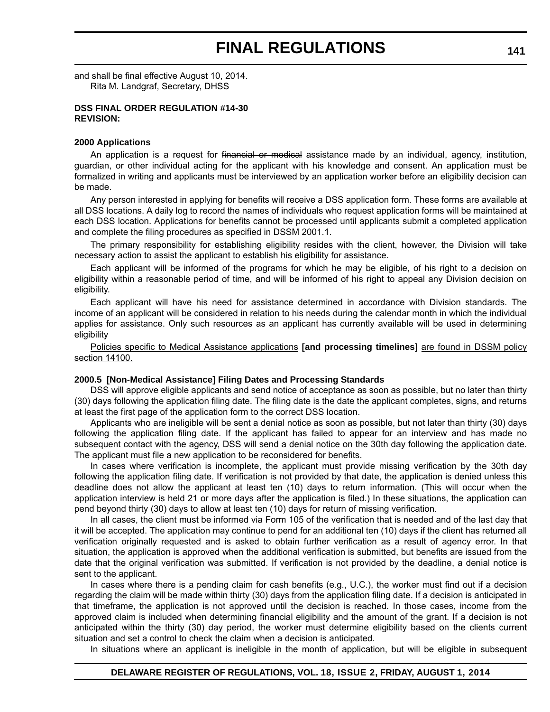and shall be final effective August 10, 2014. Rita M. Landgraf, Secretary, DHSS

#### **DSS FINAL ORDER REGULATION #14-30 REVISION:**

#### **2000 Applications**

An application is a request for financial or medical assistance made by an individual, agency, institution, guardian, or other individual acting for the applicant with his knowledge and consent. An application must be formalized in writing and applicants must be interviewed by an application worker before an eligibility decision can be made.

Any person interested in applying for benefits will receive a DSS application form. These forms are available at all DSS locations. A daily log to record the names of individuals who request application forms will be maintained at each DSS location. Applications for benefits cannot be processed until applicants submit a completed application and complete the filing procedures as specified in DSSM 2001.1.

The primary responsibility for establishing eligibility resides with the client, however, the Division will take necessary action to assist the applicant to establish his eligibility for assistance.

Each applicant will be informed of the programs for which he may be eligible, of his right to a decision on eligibility within a reasonable period of time, and will be informed of his right to appeal any Division decision on eligibility.

Each applicant will have his need for assistance determined in accordance with Division standards. The income of an applicant will be considered in relation to his needs during the calendar month in which the individual applies for assistance. Only such resources as an applicant has currently available will be used in determining eligibility

Policies specific to Medical Assistance applications **[and processing timelines]** are found in DSSM policy section 14100.

#### **2000.5 [Non-Medical Assistance] Filing Dates and Processing Standards**

DSS will approve eligible applicants and send notice of acceptance as soon as possible, but no later than thirty (30) days following the application filing date. The filing date is the date the applicant completes, signs, and returns at least the first page of the application form to the correct DSS location.

Applicants who are ineligible will be sent a denial notice as soon as possible, but not later than thirty (30) days following the application filing date. If the applicant has failed to appear for an interview and has made no subsequent contact with the agency, DSS will send a denial notice on the 30th day following the application date. The applicant must file a new application to be reconsidered for benefits.

In cases where verification is incomplete, the applicant must provide missing verification by the 30th day following the application filing date. If verification is not provided by that date, the application is denied unless this deadline does not allow the applicant at least ten (10) days to return information. (This will occur when the application interview is held 21 or more days after the application is filed.) In these situations, the application can pend beyond thirty (30) days to allow at least ten (10) days for return of missing verification.

In all cases, the client must be informed via Form 105 of the verification that is needed and of the last day that it will be accepted. The application may continue to pend for an additional ten (10) days if the client has returned all verification originally requested and is asked to obtain further verification as a result of agency error. In that situation, the application is approved when the additional verification is submitted, but benefits are issued from the date that the original verification was submitted. If verification is not provided by the deadline, a denial notice is sent to the applicant.

In cases where there is a pending claim for cash benefits (e.g., U.C.), the worker must find out if a decision regarding the claim will be made within thirty (30) days from the application filing date. If a decision is anticipated in that timeframe, the application is not approved until the decision is reached. In those cases, income from the approved claim is included when determining financial eligibility and the amount of the grant. If a decision is not anticipated within the thirty (30) day period, the worker must determine eligibility based on the clients current situation and set a control to check the claim when a decision is anticipated.

In situations where an applicant is ineligible in the month of application, but will be eligible in subsequent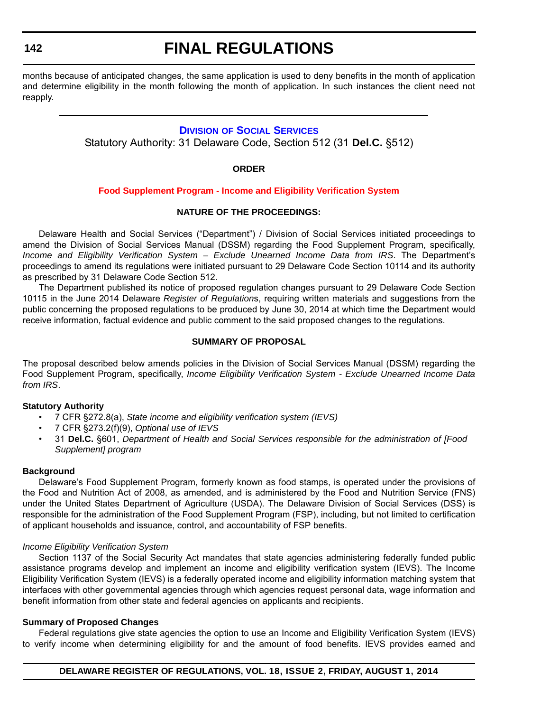**142**

## **FINAL REGULATIONS**

months because of anticipated changes, the same application is used to deny benefits in the month of application and determine eligibility in the month following the month of application. In such instances the client need not reapply.

## **DIVISION [OF SOCIAL SERVICES](http://www.dhss.delaware.gov/dhss/dss/index.html)**

Statutory Authority: 31 Delaware Code, Section 512 (31 **Del.C.** §512)

**ORDER**

### **[Food Supplement Program - Income and Eligibility Verification System](#page-3-0)**

### **NATURE OF THE PROCEEDINGS:**

Delaware Health and Social Services ("Department") / Division of Social Services initiated proceedings to amend the Division of Social Services Manual (DSSM) regarding the Food Supplement Program, specifically, *Income and Eligibility Verification System – Exclude Unearned Income Data from IRS*. The Department's proceedings to amend its regulations were initiated pursuant to 29 Delaware Code Section 10114 and its authority as prescribed by 31 Delaware Code Section 512.

The Department published its notice of proposed regulation changes pursuant to 29 Delaware Code Section 10115 in the June 2014 Delaware *Register of Regulation*s, requiring written materials and suggestions from the public concerning the proposed regulations to be produced by June 30, 2014 at which time the Department would receive information, factual evidence and public comment to the said proposed changes to the regulations.

### **SUMMARY OF PROPOSAL**

The proposal described below amends policies in the Division of Social Services Manual (DSSM) regarding the Food Supplement Program, specifically, *Income Eligibility Verification System - Exclude Unearned Income Data from IRS*.

### **Statutory Authority**

- 7 CFR §272.8(a), *State income and eligibility verification system (IEVS)*
- 7 CFR §273.2(f)(9), *Optional use of IEVS*
- 31 **Del.C.** §601, *Department of Health and Social Services responsible for the administration of [Food Supplement] program*

### **Background**

Delaware's Food Supplement Program, formerly known as food stamps, is operated under the provisions of the Food and Nutrition Act of 2008, as amended, and is administered by the Food and Nutrition Service (FNS) under the United States Department of Agriculture (USDA). The Delaware Division of Social Services (DSS) is responsible for the administration of the Food Supplement Program (FSP), including, but not limited to certification of applicant households and issuance, control, and accountability of FSP benefits.

### *Income Eligibility Verification System*

Section 1137 of the Social Security Act mandates that state agencies administering federally funded public assistance programs develop and implement an income and eligibility verification system (IEVS). The Income Eligibility Verification System (IEVS) is a federally operated income and eligibility information matching system that interfaces with other governmental agencies through which agencies request personal data, wage information and benefit information from other state and federal agencies on applicants and recipients.

### **Summary of Proposed Changes**

Federal regulations give state agencies the option to use an Income and Eligibility Verification System (IEVS) to verify income when determining eligibility for and the amount of food benefits. IEVS provides earned and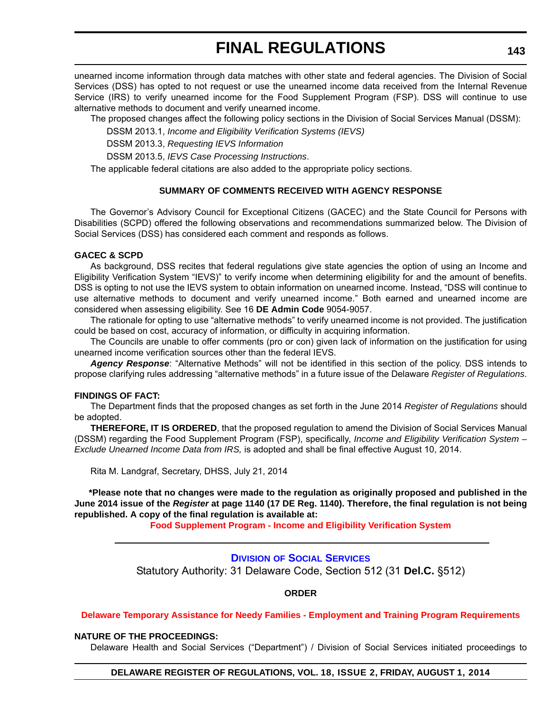unearned income information through data matches with other state and federal agencies. The Division of Social Services (DSS) has opted to not request or use the unearned income data received from the Internal Revenue Service (IRS) to verify unearned income for the Food Supplement Program (FSP). DSS will continue to use alternative methods to document and verify unearned income.

The proposed changes affect the following policy sections in the Division of Social Services Manual (DSSM):

DSSM 2013.1, *Income and Eligibility Verification Systems (IEVS)*

DSSM 2013.3, *Requesting IEVS Information*

DSSM 2013.5, *IEVS Case Processing Instructions*.

The applicable federal citations are also added to the appropriate policy sections.

## **SUMMARY OF COMMENTS RECEIVED WITH AGENCY RESPONSE**

The Governor's Advisory Council for Exceptional Citizens (GACEC) and the State Council for Persons with Disabilities (SCPD) offered the following observations and recommendations summarized below. The Division of Social Services (DSS) has considered each comment and responds as follows.

### **GACEC & SCPD**

As background, DSS recites that federal regulations give state agencies the option of using an Income and Eligibility Verification System "IEVS)" to verify income when determining eligibility for and the amount of benefits. DSS is opting to not use the IEVS system to obtain information on unearned income. Instead, "DSS will continue to use alternative methods to document and verify unearned income." Both earned and unearned income are considered when assessing eligibility. See 16 **DE Admin Code** 9054-9057.

The rationale for opting to use "alternative methods" to verify unearned income is not provided. The justification could be based on cost, accuracy of information, or difficulty in acquiring information.

The Councils are unable to offer comments (pro or con) given lack of information on the justification for using unearned income verification sources other than the federal IEVS.

*Agency Response*: "Alternative Methods" will not be identified in this section of the policy. DSS intends to propose clarifying rules addressing "alternative methods" in a future issue of the Delaware *Register of Regulations*.

### **FINDINGS OF FACT:**

The Department finds that the proposed changes as set forth in the June 2014 *Register of Regulations* should be adopted.

**THEREFORE, IT IS ORDERED**, that the proposed regulation to amend the Division of Social Services Manual (DSSM) regarding the Food Supplement Program (FSP), specifically, *Income and Eligibility Verification System – Exclude Unearned Income Data from IRS,* is adopted and shall be final effective August 10, 2014.

Rita M. Landgraf, Secretary, DHSS, July 21, 2014

**\*Please note that no changes were made to the regulation as originally proposed and published in the June 2014 issue of the** *Register* **at page 1140 (17 DE Reg. 1140). Therefore, the final regulation is not being republished. A copy of the final regulation is available at:**

**[Food Supplement Program - Income and Eligibility Verification System](http://regulations.delaware.gov/register/august2014/final/18 DE Reg 142 08-01-14.htm)**

### **DIVISION [OF SOCIAL SERVICES](http://www.dhss.delaware.gov/dhss/dss/index.html)**

Statutory Authority: 31 Delaware Code, Section 512 (31 **Del.C.** §512)

**ORDER**

### **[Delaware Temporary Assistance for Needy Families - Employment and Training Program Requirements](#page-4-0)**

### **NATURE OF THE PROCEEDINGS:**

Delaware Health and Social Services ("Department") / Division of Social Services initiated proceedings to

**DELAWARE REGISTER OF REGULATIONS, VOL. 18, ISSUE 2, FRIDAY, AUGUST 1, 2014**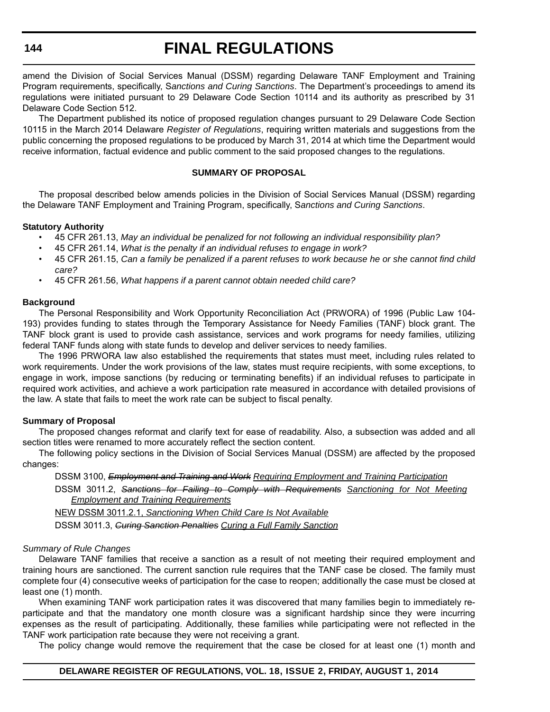### **144**

## **FINAL REGULATIONS**

amend the Division of Social Services Manual (DSSM) regarding Delaware TANF Employment and Training Program requirements, specifically, S*anctions and Curing Sanctions*. The Department's proceedings to amend its regulations were initiated pursuant to 29 Delaware Code Section 10114 and its authority as prescribed by 31 Delaware Code Section 512.

The Department published its notice of proposed regulation changes pursuant to 29 Delaware Code Section 10115 in the March 2014 Delaware *Register of Regulations*, requiring written materials and suggestions from the public concerning the proposed regulations to be produced by March 31, 2014 at which time the Department would receive information, factual evidence and public comment to the said proposed changes to the regulations.

### **SUMMARY OF PROPOSAL**

The proposal described below amends policies in the Division of Social Services Manual (DSSM) regarding the Delaware TANF Employment and Training Program, specifically, S*anctions and Curing Sanctions*.

### **Statutory Authority**

- 45 CFR 261.13, *May an individual be penalized for not following an individual responsibility plan?*
- 45 CFR 261.14, *What is the penalty if an individual refuses to engage in work?*
- 45 CFR 261.15, *Can a family be penalized if a parent refuses to work because he or she cannot find child care?*
- 45 CFR 261.56, *What happens if a parent cannot obtain needed child care?*

### **Background**

The Personal Responsibility and Work Opportunity Reconciliation Act (PRWORA) of 1996 (Public Law 104- 193) provides funding to states through the Temporary Assistance for Needy Families (TANF) block grant. The TANF block grant is used to provide cash assistance, services and work programs for needy families, utilizing federal TANF funds along with state funds to develop and deliver services to needy families.

The 1996 PRWORA law also established the requirements that states must meet, including rules related to work requirements. Under the work provisions of the law, states must require recipients, with some exceptions, to engage in work, impose sanctions (by reducing or terminating benefits) if an individual refuses to participate in required work activities, and achieve a work participation rate measured in accordance with detailed provisions of the law. A state that fails to meet the work rate can be subject to fiscal penalty.

### **Summary of Proposal**

The proposed changes reformat and clarify text for ease of readability. Also, a subsection was added and all section titles were renamed to more accurately reflect the section content.

The following policy sections in the Division of Social Services Manual (DSSM) are affected by the proposed changes:

DSSM 3100, *Employment and Training and Work Requiring Employment and Training Participation* DSSM 3011.2, *Sanctions for Failing to Comply with Requirements Sanctioning for Not Meeting*

*Employment and Training Requirements*

NEW DSSM 3011.2.1, *Sanctioning When Child Care Is Not Available*

DSSM 3011.3, *Curing Sanction Penalties Curing a Full Family Sanction*

### *Summary of Rule Changes*

Delaware TANF families that receive a sanction as a result of not meeting their required employment and training hours are sanctioned. The current sanction rule requires that the TANF case be closed. The family must complete four (4) consecutive weeks of participation for the case to reopen; additionally the case must be closed at least one (1) month.

When examining TANF work participation rates it was discovered that many families begin to immediately reparticipate and that the mandatory one month closure was a significant hardship since they were incurring expenses as the result of participating. Additionally, these families while participating were not reflected in the TANF work participation rate because they were not receiving a grant.

The policy change would remove the requirement that the case be closed for at least one (1) month and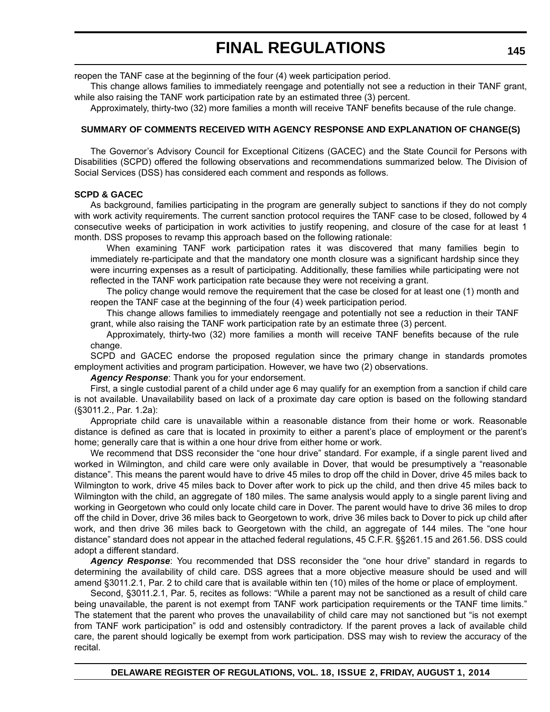reopen the TANF case at the beginning of the four (4) week participation period.

This change allows families to immediately reengage and potentially not see a reduction in their TANF grant, while also raising the TANF work participation rate by an estimated three (3) percent.

Approximately, thirty-two (32) more families a month will receive TANF benefits because of the rule change.

### **SUMMARY OF COMMENTS RECEIVED WITH AGENCY RESPONSE AND EXPLANATION OF CHANGE(S)**

The Governor's Advisory Council for Exceptional Citizens (GACEC) and the State Council for Persons with Disabilities (SCPD) offered the following observations and recommendations summarized below. The Division of Social Services (DSS) has considered each comment and responds as follows.

### **SCPD & GACEC**

As background, families participating in the program are generally subject to sanctions if they do not comply with work activity requirements. The current sanction protocol requires the TANF case to be closed, followed by 4 consecutive weeks of participation in work activities to justify reopening, and closure of the case for at least 1 month. DSS proposes to revamp this approach based on the following rationale:

When examining TANF work participation rates it was discovered that many families begin to immediately re-participate and that the mandatory one month closure was a significant hardship since they were incurring expenses as a result of participating. Additionally, these families while participating were not reflected in the TANF work participation rate because they were not receiving a grant.

The policy change would remove the requirement that the case be closed for at least one (1) month and reopen the TANF case at the beginning of the four (4) week participation period.

This change allows families to immediately reengage and potentially not see a reduction in their TANF grant, while also raising the TANF work participation rate by an estimate three (3) percent.

Approximately, thirty-two (32) more families a month will receive TANF benefits because of the rule change.

SCPD and GACEC endorse the proposed regulation since the primary change in standards promotes employment activities and program participation. However, we have two (2) observations.

*Agency Response*: Thank you for your endorsement.

First, a single custodial parent of a child under age 6 may qualify for an exemption from a sanction if child care is not available. Unavailability based on lack of a proximate day care option is based on the following standard (§3011.2., Par. 1.2a):

Appropriate child care is unavailable within a reasonable distance from their home or work. Reasonable distance is defined as care that is located in proximity to either a parent's place of employment or the parent's home; generally care that is within a one hour drive from either home or work.

We recommend that DSS reconsider the "one hour drive" standard. For example, if a single parent lived and worked in Wilmington, and child care were only available in Dover, that would be presumptively a "reasonable distance". This means the parent would have to drive 45 miles to drop off the child in Dover, drive 45 miles back to Wilmington to work, drive 45 miles back to Dover after work to pick up the child, and then drive 45 miles back to Wilmington with the child, an aggregate of 180 miles. The same analysis would apply to a single parent living and working in Georgetown who could only locate child care in Dover. The parent would have to drive 36 miles to drop off the child in Dover, drive 36 miles back to Georgetown to work, drive 36 miles back to Dover to pick up child after work, and then drive 36 miles back to Georgetown with the child, an aggregate of 144 miles. The "one hour distance" standard does not appear in the attached federal regulations, 45 C.F.R. §§261.15 and 261.56. DSS could adopt a different standard.

*Agency Response*: You recommended that DSS reconsider the "one hour drive" standard in regards to determining the availability of child care. DSS agrees that a more objective measure should be used and will amend §3011.2.1, Par. 2 to child care that is available within ten (10) miles of the home or place of employment.

Second, §3011.2.1, Par. 5, recites as follows: "While a parent may not be sanctioned as a result of child care being unavailable, the parent is not exempt from TANF work participation requirements or the TANF time limits." The statement that the parent who proves the unavailability of child care may not sanctioned but "is not exempt from TANF work participation" is odd and ostensibly contradictory. If the parent proves a lack of available child care, the parent should logically be exempt from work participation. DSS may wish to review the accuracy of the recital.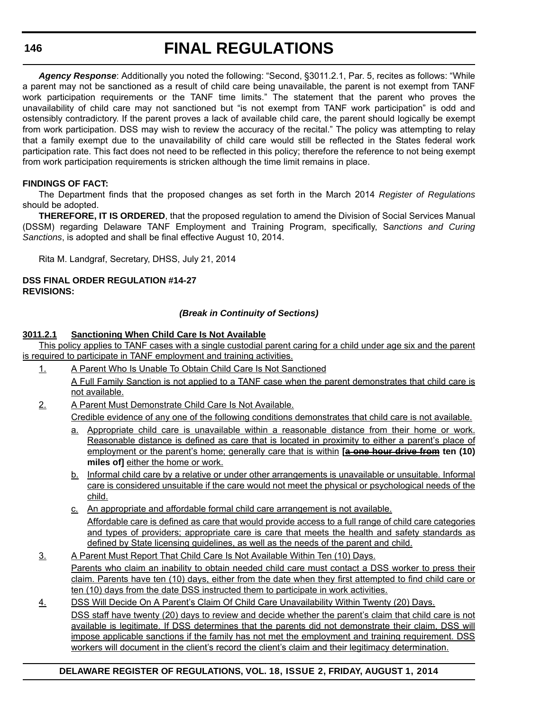*Agency Response*: Additionally you noted the following: "Second, §3011.2.1, Par. 5, recites as follows: "While a parent may not be sanctioned as a result of child care being unavailable, the parent is not exempt from TANF work participation requirements or the TANF time limits." The statement that the parent who proves the unavailability of child care may not sanctioned but "is not exempt from TANF work participation" is odd and ostensibly contradictory. If the parent proves a lack of available child care, the parent should logically be exempt from work participation. DSS may wish to review the accuracy of the recital." The policy was attempting to relay that a family exempt due to the unavailability of child care would still be reflected in the States federal work participation rate. This fact does not need to be reflected in this policy; therefore the reference to not being exempt from work participation requirements is stricken although the time limit remains in place.

## **FINDINGS OF FACT:**

The Department finds that the proposed changes as set forth in the March 2014 *Register of Regulations* should be adopted.

**THEREFORE, IT IS ORDERED**, that the proposed regulation to amend the Division of Social Services Manual (DSSM) regarding Delaware TANF Employment and Training Program, specifically, S*anctions and Curing Sanctions*, is adopted and shall be final effective August 10, 2014.

Rita M. Landgraf, Secretary, DHSS, July 21, 2014

### **DSS FINAL ORDER REGULATION #14-27 REVISIONS:**

## *(Break in Continuity of Sections)*

### **3011.2.1 Sanctioning When Child Care Is Not Available**

This policy applies to TANF cases with a single custodial parent caring for a child under age six and the parent is required to participate in TANF employment and training activities.

- 1. A Parent Who Is Unable To Obtain Child Care Is Not Sanctioned A Full Family Sanction is not applied to a TANF case when the parent demonstrates that child care is not available.
- 2. A Parent Must Demonstrate Child Care Is Not Available.

Credible evidence of any one of the following conditions demonstrates that child care is not available.

- a. Appropriate child care is unavailable within a reasonable distance from their home or work. Reasonable distance is defined as care that is located in proximity to either a parent's place of employment or the parent's home; generally care that is within **[a one hour drive from ten (10) miles of]** either the home or work.
- b. Informal child care by a relative or under other arrangements is unavailable or unsuitable. Informal care is considered unsuitable if the care would not meet the physical or psychological needs of the child.
- c. An appropriate and affordable formal child care arrangement is not available. Affordable care is defined as care that would provide access to a full range of child care categories and types of providers; appropriate care is care that meets the health and safety standards as defined by State licensing guidelines, as well as the needs of the parent and child.
- 3. A Parent Must Report That Child Care Is Not Available Within Ten (10) Days. Parents who claim an inability to obtain needed child care must contact a DSS worker to press their claim. Parents have ten (10) days, either from the date when they first attempted to find child care or ten (10) days from the date DSS instructed them to participate in work activities.
- 4. DSS Will Decide On A Parent's Claim Of Child Care Unavailability Within Twenty (20) Days. DSS staff have twenty (20) days to review and decide whether the parent's claim that child care is not available is legitimate. If DSS determines that the parents did not demonstrate their claim, DSS will impose applicable sanctions if the family has not met the employment and training requirement. DSS workers will document in the client's record the client's claim and their legitimacy determination.

## **DELAWARE REGISTER OF REGULATIONS, VOL. 18, ISSUE 2, FRIDAY, AUGUST 1, 2014**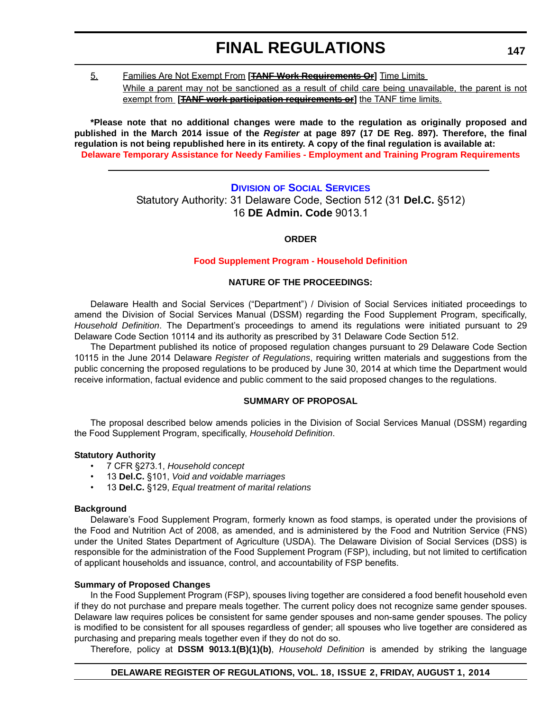5. Families Are Not Exempt From **[TANF Work Requirements Or]** Time Limits

While a parent may not be sanctioned as a result of child care being unavailable, the parent is not exempt from **[TANF work participation requirements or]** the TANF time limits.

**\*Please note that no additional changes were made to the regulation as originally proposed and published in the March 2014 issue of the** *Register* **at page 897 (17 DE Reg. 897). Therefore, the final regulation is not being republished here in its entirety. A copy of the final regulation is available at: [Delaware Temporary Assistance for Needy Families - Employment and Training Program Requirements](http://regulations.delaware.gov/register/august2014/final/18 DE Reg 143 08-01-14.htm)**

## **DIVISION [OF SOCIAL SERVICES](http://www.dhss.delaware.gov/dhss/dss/index.html)** Statutory Authority: 31 Delaware Code, Section 512 (31 **Del.C.** §512) 16 **DE Admin. Code** 9013.1

**ORDER**

### **[Food Supplement Program - Household Definition](#page-4-0)**

### **NATURE OF THE PROCEEDINGS:**

Delaware Health and Social Services ("Department") / Division of Social Services initiated proceedings to amend the Division of Social Services Manual (DSSM) regarding the Food Supplement Program, specifically, *Household Definition*. The Department's proceedings to amend its regulations were initiated pursuant to 29 Delaware Code Section 10114 and its authority as prescribed by 31 Delaware Code Section 512.

The Department published its notice of proposed regulation changes pursuant to 29 Delaware Code Section 10115 in the June 2014 Delaware *Register of Regulations*, requiring written materials and suggestions from the public concerning the proposed regulations to be produced by June 30, 2014 at which time the Department would receive information, factual evidence and public comment to the said proposed changes to the regulations.

### **SUMMARY OF PROPOSAL**

The proposal described below amends policies in the Division of Social Services Manual (DSSM) regarding the Food Supplement Program, specifically, *Household Definition*.

### **Statutory Authority**

- 7 CFR §273.1, *Household concept*
- 13 **Del.C.** §101, *Void and voidable marriages*
- 13 **Del.C.** §129, *Equal treatment of marital relations*

### **Background**

Delaware's Food Supplement Program, formerly known as food stamps, is operated under the provisions of the Food and Nutrition Act of 2008, as amended, and is administered by the Food and Nutrition Service (FNS) under the United States Department of Agriculture (USDA). The Delaware Division of Social Services (DSS) is responsible for the administration of the Food Supplement Program (FSP), including, but not limited to certification of applicant households and issuance, control, and accountability of FSP benefits.

### **Summary of Proposed Changes**

In the Food Supplement Program (FSP), spouses living together are considered a food benefit household even if they do not purchase and prepare meals together. The current policy does not recognize same gender spouses. Delaware law requires polices be consistent for same gender spouses and non-same gender spouses. The policy is modified to be consistent for all spouses regardless of gender; all spouses who live together are considered as purchasing and preparing meals together even if they do not do so.

Therefore, policy at **DSSM 9013.1(B)(1)(b)**, *Household Definition* is amended by striking the language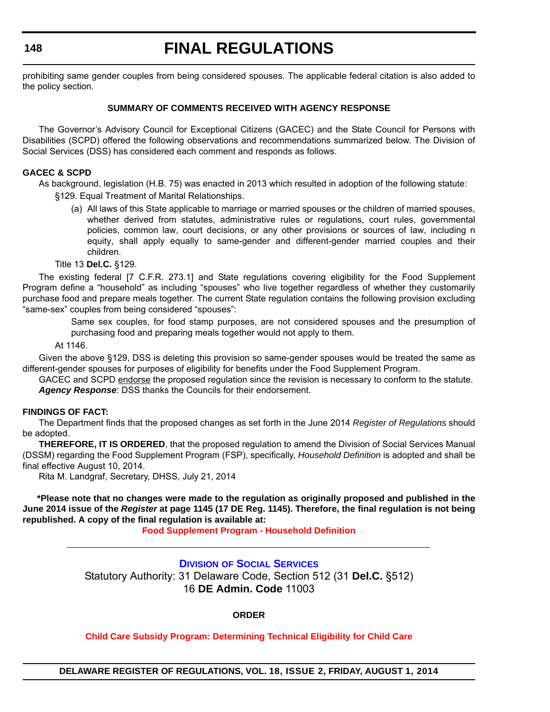prohibiting same gender couples from being considered spouses. The applicable federal citation is also added to the policy section.

### **SUMMARY OF COMMENTS RECEIVED WITH AGENCY RESPONSE**

The Governor's Advisory Council for Exceptional Citizens (GACEC) and the State Council for Persons with Disabilities (SCPD) offered the following observations and recommendations summarized below. The Division of Social Services (DSS) has considered each comment and responds as follows.

### **GACEC & SCPD**

As background, legislation (H.B. 75) was enacted in 2013 which resulted in adoption of the following statute: §129. Equal Treatment of Marital Relationships.

(a) All laws of this State applicable to marriage or married spouses or the children of married spouses, whether derived from statutes, administrative rules or regulations, court rules, governmental policies, common law, court decisions, or any other provisions or sources of law, including n equity, shall apply equally to same-gender and different-gender married couples and their children.

Title 13 **Del.C.** §129.

The existing federal [7 C.F.R. 273.1] and State regulations covering eligibility for the Food Supplement Program define a "household" as including "spouses" who live together regardless of whether they customarily purchase food and prepare meals together. The current State regulation contains the following provision excluding "same-sex" couples from being considered "spouses":

> Same sex couples, for food stamp purposes, are not considered spouses and the presumption of purchasing food and preparing meals together would not apply to them.

At 1146.

Given the above §129, DSS is deleting this provision so same-gender spouses would be treated the same as different-gender spouses for purposes of eligibility for benefits under the Food Supplement Program.

GACEC and SCPD endorse the proposed regulation since the revision is necessary to conform to the statute. *Agency Response*: DSS thanks the Councils for their endorsement.

### **FINDINGS OF FACT:**

The Department finds that the proposed changes as set forth in the June 2014 *Register of Regulations* should be adopted.

**THEREFORE, IT IS ORDERED**, that the proposed regulation to amend the Division of Social Services Manual (DSSM) regarding the Food Supplement Program (FSP), specifically, *Household Definition* is adopted and shall be final effective August 10, 2014.

Rita M. Landgraf, Secretary, DHSS, July 21, 2014

**\*Please note that no changes were made to the regulation as originally proposed and published in the June 2014 issue of the** *Register* **at page 1145 (17 DE Reg. 1145). Therefore, the final regulation is not being republished. A copy of the final regulation is available at:**

**[Food Supplement Program - Household Definition](http://regulations.delaware.gov/register/august2014/final/18 DE Reg 147 08-01-14.htm)**

## **DIVISION [OF SOCIAL SERVICES](http://www.dhss.delaware.gov/dhss/dss/index.html)**

Statutory Authority: 31 Delaware Code, Section 512 (31 **Del.C.** §512) 16 **DE Admin. Code** 11003

**ORDER**

**[Child Care Subsidy Program: Determining Technical Eligibility for Child Care](#page-4-0)**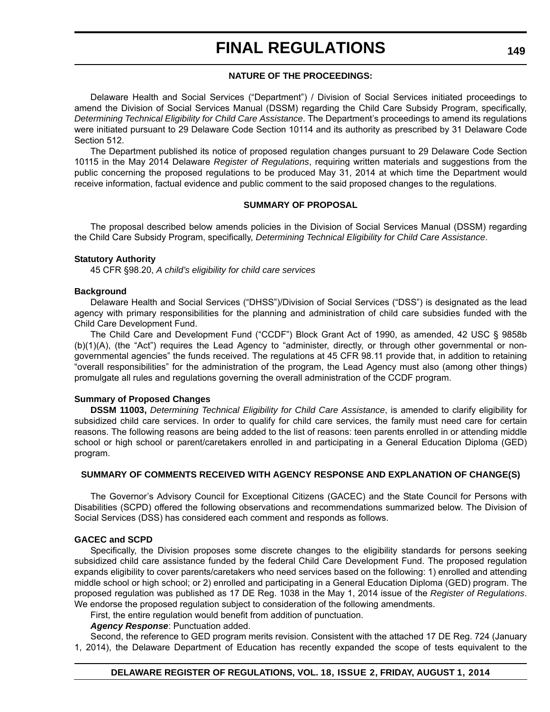### **NATURE OF THE PROCEEDINGS:**

Delaware Health and Social Services ("Department") / Division of Social Services initiated proceedings to amend the Division of Social Services Manual (DSSM) regarding the Child Care Subsidy Program, specifically, *Determining Technical Eligibility for Child Care Assistance*. The Department's proceedings to amend its regulations were initiated pursuant to 29 Delaware Code Section 10114 and its authority as prescribed by 31 Delaware Code Section 512.

The Department published its notice of proposed regulation changes pursuant to 29 Delaware Code Section 10115 in the May 2014 Delaware *Register of Regulations*, requiring written materials and suggestions from the public concerning the proposed regulations to be produced May 31, 2014 at which time the Department would receive information, factual evidence and public comment to the said proposed changes to the regulations.

### **SUMMARY OF PROPOSAL**

The proposal described below amends policies in the Division of Social Services Manual (DSSM) regarding the Child Care Subsidy Program, specifically, *Determining Technical Eligibility for Child Care Assistance*.

### **Statutory Authority**

45 CFR §98.20, *A child's eligibility for child care services*

### **Background**

Delaware Health and Social Services ("DHSS")/Division of Social Services ("DSS") is designated as the lead agency with primary responsibilities for the planning and administration of child care subsidies funded with the Child Care Development Fund.

The Child Care and Development Fund ("CCDF") Block Grant Act of 1990, as amended, 42 USC § 9858b (b)(1)(A), (the "Act") requires the Lead Agency to "administer, directly, or through other governmental or nongovernmental agencies" the funds received. The regulations at 45 CFR 98.11 provide that, in addition to retaining "overall responsibilities" for the administration of the program, the Lead Agency must also (among other things) promulgate all rules and regulations governing the overall administration of the CCDF program.

### **Summary of Proposed Changes**

**DSSM 11003,** *Determining Technical Eligibility for Child Care Assistance*, is amended to clarify eligibility for subsidized child care services. In order to qualify for child care services, the family must need care for certain reasons. The following reasons are being added to the list of reasons: teen parents enrolled in or attending middle school or high school or parent/caretakers enrolled in and participating in a General Education Diploma (GED) program.

### **SUMMARY OF COMMENTS RECEIVED WITH AGENCY RESPONSE AND EXPLANATION OF CHANGE(S)**

The Governor's Advisory Council for Exceptional Citizens (GACEC) and the State Council for Persons with Disabilities (SCPD) offered the following observations and recommendations summarized below. The Division of Social Services (DSS) has considered each comment and responds as follows.

### **GACEC and SCPD**

Specifically, the Division proposes some discrete changes to the eligibility standards for persons seeking subsidized child care assistance funded by the federal Child Care Development Fund. The proposed regulation expands eligibility to cover parents/caretakers who need services based on the following: 1) enrolled and attending middle school or high school; or 2) enrolled and participating in a General Education Diploma (GED) program. The proposed regulation was published as 17 DE Reg. 1038 in the May 1, 2014 issue of the *Register of Regulations*. We endorse the proposed regulation subject to consideration of the following amendments.

First, the entire regulation would benefit from addition of punctuation.

*Agency Response*: Punctuation added.

Second, the reference to GED program merits revision. Consistent with the attached 17 DE Reg. 724 (January 1, 2014), the Delaware Department of Education has recently expanded the scope of tests equivalent to the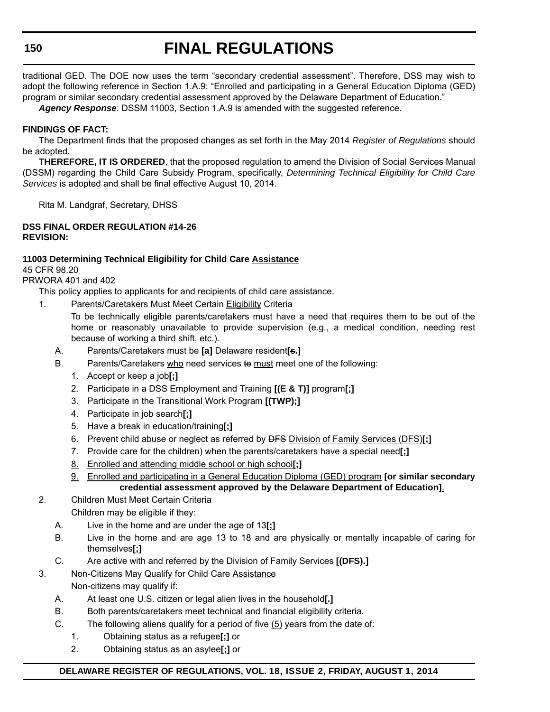traditional GED. The DOE now uses the term "secondary credential assessment". Therefore, DSS may wish to adopt the following reference in Section 1.A.9: "Enrolled and participating in a General Education Diploma (GED) program or similar secondary credential assessment approved by the Delaware Department of Education."

*Agency Response*: DSSM 11003, Section 1.A.9 is amended with the suggested reference.

### **FINDINGS OF FACT:**

The Department finds that the proposed changes as set forth in the May 2014 *Register of Regulations* should be adopted.

**THEREFORE, IT IS ORDERED**, that the proposed regulation to amend the Division of Social Services Manual (DSSM) regarding the Child Care Subsidy Program, specifically, *Determining Technical Eligibility for Child Care Services* is adopted and shall be final effective August 10, 2014.

Rita M. Landgraf, Secretary, DHSS

### **DSS FINAL ORDER REGULATION #14-26 REVISION:**

### **11003 Determining Technical Eligibility for Child Care Assistance** 45 CFR 98.20

PRWORA 401 and 402

This policy applies to applicants for and recipients of child care assistance.

1. Parents/Caretakers Must Meet Certain Eligibility Criteria

To be technically eligible parents/caretakers must have a need that requires them to be out of the home or reasonably unavailable to provide supervision (e.g., a medical condition, needing rest because of working a third shift, etc.).

- A. Parents/Caretakers must be **[a]** Delaware resident**[s.]**
- B. Parents/Caretakers who need services to must meet one of the following:
	- 1. Accept or keep a job**[;]**
	- 2. Participate in a DSS Employment and Training **[(E & T)]** program**[;]**
	- 3. Participate in the Transitional Work Program **[(TWP);]**
	- 4. Participate in job search**[;]**
	- 5. Have a break in education/training**[;]**
	- 6. Prevent child abuse or neglect as referred by DFS Division of Family Services (DFS)**[;]**
	- 7. Provide care for the children) when the parents/caretakers have a special need**[;]**
	- 8. Enrolled and attending middle school or high school**[;]**
	- 9. Enrolled and participating in a General Education Diploma (GED) program **[or similar secondary credential assessment approved by the Delaware Department of Education]**.
- 2. Children Must Meet Certain Criteria

Children may be eligible if they:

- A. Live in the home and are under the age of 13**[;]**
- B. Live in the home and are age 13 to 18 and are physically or mentally incapable of caring for themselves**[;]**
- C. Are active with and referred by the Division of Family Services **[(DFS).]**
- 3. Non-Citizens May Qualify for Child Care Assistance Non-citizens may qualify if:
	- A. At least one U.S. citizen or legal alien lives in the household**[.]**
	- B. Both parents/caretakers meet technical and financial eligibility criteria.
	- C. The following aliens qualify for a period of five (5) years from the date of:
		- 1. Obtaining status as a refugee**[;]** or
		- 2. Obtaining status as an asylee**[;]** or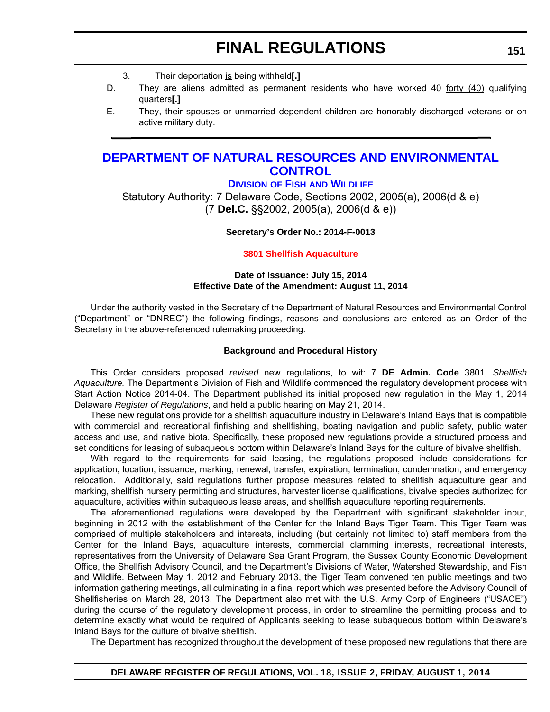- 3. Their deportation is being withheld**[.]**
- D. They are aliens admitted as permanent residents who have worked 40 forty (40) qualifying quarters**[.]**
- E. They, their spouses or unmarried dependent children are honorably discharged veterans or on active military duty.

## **[DEPARTMENT OF NATURAL RESOURCES AND ENVIRONMENTAL](http://www.dnrec.delaware.gov/fw/Pages/FWPortal.aspx)  CONTROL**

### **DIVISION OF FISH AND WILDLIFE**

Statutory Authority: 7 Delaware Code, Sections 2002, 2005(a), 2006(d & e) (7 **Del.C.** §§2002, 2005(a), 2006(d & e))

### **Secretary's Order No.: 2014-F-0013**

### **[3801 Shellfish Aquaculture](#page-4-0)**

### **Date of Issuance: July 15, 2014 Effective Date of the Amendment: August 11, 2014**

Under the authority vested in the Secretary of the Department of Natural Resources and Environmental Control ("Department" or "DNREC") the following findings, reasons and conclusions are entered as an Order of the Secretary in the above-referenced rulemaking proceeding.

### **Background and Procedural History**

This Order considers proposed *revised* new regulations, to wit: 7 **DE Admin. Code** 3801, *Shellfish Aquaculture.* The Department's Division of Fish and Wildlife commenced the regulatory development process with Start Action Notice 2014-04. The Department published its initial proposed new regulation in the May 1, 2014 Delaware *Register of Regulations*, and held a public hearing on May 21, 2014.

These new regulations provide for a shellfish aquaculture industry in Delaware's Inland Bays that is compatible with commercial and recreational finfishing and shellfishing, boating navigation and public safety, public water access and use, and native biota. Specifically, these proposed new regulations provide a structured process and set conditions for leasing of subaqueous bottom within Delaware's Inland Bays for the culture of bivalve shellfish.

With regard to the requirements for said leasing, the regulations proposed include considerations for application, location, issuance, marking, renewal, transfer, expiration, termination, condemnation, and emergency relocation. Additionally, said regulations further propose measures related to shellfish aquaculture gear and marking, shellfish nursery permitting and structures, harvester license qualifications, bivalve species authorized for aquaculture, activities within subaqueous lease areas, and shellfish aquaculture reporting requirements.

The aforementioned regulations were developed by the Department with significant stakeholder input, beginning in 2012 with the establishment of the Center for the Inland Bays Tiger Team. This Tiger Team was comprised of multiple stakeholders and interests, including (but certainly not limited to) staff members from the Center for the Inland Bays, aquaculture interests, commercial clamming interests, recreational interests, representatives from the University of Delaware Sea Grant Program, the Sussex County Economic Development Office, the Shellfish Advisory Council, and the Department's Divisions of Water, Watershed Stewardship, and Fish and Wildlife. Between May 1, 2012 and February 2013, the Tiger Team convened ten public meetings and two information gathering meetings, all culminating in a final report which was presented before the Advisory Council of Shellfisheries on March 28, 2013. The Department also met with the U.S. Army Corp of Engineers ("USACE") during the course of the regulatory development process, in order to streamline the permitting process and to determine exactly what would be required of Applicants seeking to lease subaqueous bottom within Delaware's Inland Bays for the culture of bivalve shellfish.

The Department has recognized throughout the development of these proposed new regulations that there are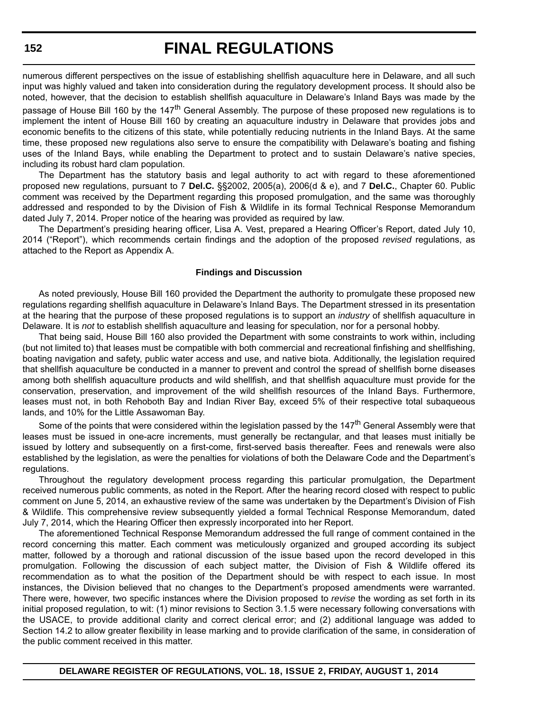numerous different perspectives on the issue of establishing shellfish aquaculture here in Delaware, and all such input was highly valued and taken into consideration during the regulatory development process. It should also be noted, however, that the decision to establish shellfish aquaculture in Delaware's Inland Bays was made by the

passage of House Bill 160 by the 147<sup>th</sup> General Assembly. The purpose of these proposed new regulations is to implement the intent of House Bill 160 by creating an aquaculture industry in Delaware that provides jobs and economic benefits to the citizens of this state, while potentially reducing nutrients in the Inland Bays. At the same time, these proposed new regulations also serve to ensure the compatibility with Delaware's boating and fishing uses of the Inland Bays, while enabling the Department to protect and to sustain Delaware's native species, including its robust hard clam population.

The Department has the statutory basis and legal authority to act with regard to these aforementioned proposed new regulations, pursuant to 7 **Del.C.** §§2002, 2005(a), 2006(d & e), and 7 **Del.C.**, Chapter 60. Public comment was received by the Department regarding this proposed promulgation, and the same was thoroughly addressed and responded to by the Division of Fish & Wildlife in its formal Technical Response Memorandum dated July 7, 2014. Proper notice of the hearing was provided as required by law.

The Department's presiding hearing officer, Lisa A. Vest, prepared a Hearing Officer's Report, dated July 10, 2014 ("Report"), which recommends certain findings and the adoption of the proposed *revised* regulations, as attached to the Report as Appendix A.

### **Findings and Discussion**

As noted previously, House Bill 160 provided the Department the authority to promulgate these proposed new regulations regarding shellfish aquaculture in Delaware's Inland Bays. The Department stressed in its presentation at the hearing that the purpose of these proposed regulations is to support an *industry* of shellfish aquaculture in Delaware. It is *not* to establish shellfish aquaculture and leasing for speculation, nor for a personal hobby.

That being said, House Bill 160 also provided the Department with some constraints to work within, including (but not limited to) that leases must be compatible with both commercial and recreational finfishing and shellfishing, boating navigation and safety, public water access and use, and native biota. Additionally, the legislation required that shellfish aquaculture be conducted in a manner to prevent and control the spread of shellfish borne diseases among both shellfish aquaculture products and wild shellfish, and that shellfish aquaculture must provide for the conservation, preservation, and improvement of the wild shellfish resources of the Inland Bays. Furthermore, leases must not, in both Rehoboth Bay and Indian River Bay, exceed 5% of their respective total subaqueous lands, and 10% for the Little Assawoman Bay.

Some of the points that were considered within the legislation passed by the 147<sup>th</sup> General Assembly were that leases must be issued in one-acre increments, must generally be rectangular, and that leases must initially be issued by lottery and subsequently on a first-come, first-served basis thereafter. Fees and renewals were also established by the legislation, as were the penalties for violations of both the Delaware Code and the Department's regulations.

Throughout the regulatory development process regarding this particular promulgation, the Department received numerous public comments, as noted in the Report. After the hearing record closed with respect to public comment on June 5, 2014, an exhaustive review of the same was undertaken by the Department's Division of Fish & Wildlife. This comprehensive review subsequently yielded a formal Technical Response Memorandum, dated July 7, 2014, which the Hearing Officer then expressly incorporated into her Report.

The aforementioned Technical Response Memorandum addressed the full range of comment contained in the record concerning this matter. Each comment was meticulously organized and grouped according its subject matter, followed by a thorough and rational discussion of the issue based upon the record developed in this promulgation. Following the discussion of each subject matter, the Division of Fish & Wildlife offered its recommendation as to what the position of the Department should be with respect to each issue. In most instances, the Division believed that no changes to the Department's proposed amendments were warranted. There were, however, two specific instances where the Division proposed to *revise* the wording as set forth in its initial proposed regulation, to wit: (1) minor revisions to Section 3.1.5 were necessary following conversations with the USACE, to provide additional clarity and correct clerical error; and (2) additional language was added to Section 14.2 to allow greater flexibility in lease marking and to provide clarification of the same, in consideration of the public comment received in this matter.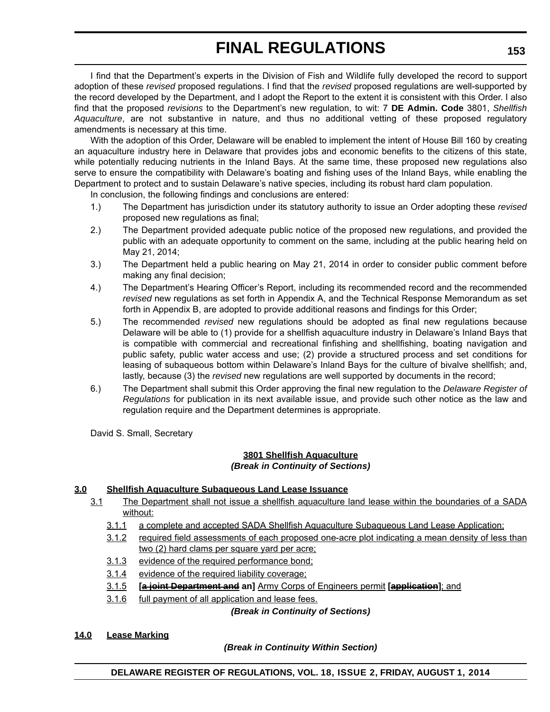I find that the Department's experts in the Division of Fish and Wildlife fully developed the record to support adoption of these *revised* proposed regulations. I find that the *revised* proposed regulations are well-supported by the record developed by the Department, and I adopt the Report to the extent it is consistent with this Order. I also find that the proposed *revisions* to the Department's new regulation, to wit: 7 **DE Admin. Code** 3801, *Shellfish Aquaculture*, are not substantive in nature, and thus no additional vetting of these proposed regulatory amendments is necessary at this time.

With the adoption of this Order, Delaware will be enabled to implement the intent of House Bill 160 by creating an aquaculture industry here in Delaware that provides jobs and economic benefits to the citizens of this state, while potentially reducing nutrients in the Inland Bays. At the same time, these proposed new regulations also serve to ensure the compatibility with Delaware's boating and fishing uses of the Inland Bays, while enabling the Department to protect and to sustain Delaware's native species, including its robust hard clam population.

In conclusion, the following findings and conclusions are entered:

- 1.) The Department has jurisdiction under its statutory authority to issue an Order adopting these *revised* proposed new regulations as final;
- 2.) The Department provided adequate public notice of the proposed new regulations, and provided the public with an adequate opportunity to comment on the same, including at the public hearing held on May 21, 2014;
- 3.) The Department held a public hearing on May 21, 2014 in order to consider public comment before making any final decision;
- 4.) The Department's Hearing Officer's Report, including its recommended record and the recommended *revised* new regulations as set forth in Appendix A, and the Technical Response Memorandum as set forth in Appendix B, are adopted to provide additional reasons and findings for this Order;
- 5.) The recommended *revised* new regulations should be adopted as final new regulations because Delaware will be able to (1) provide for a shellfish aquaculture industry in Delaware's Inland Bays that is compatible with commercial and recreational finfishing and shellfishing, boating navigation and public safety, public water access and use; (2) provide a structured process and set conditions for leasing of subaqueous bottom within Delaware's Inland Bays for the culture of bivalve shellfish; and, lastly, because (3) the *revised* new regulations are well supported by documents in the record;
- 6.) The Department shall submit this Order approving the final new regulation to the *Delaware Register of Regulations* for publication in its next available issue, and provide such other notice as the law and regulation require and the Department determines is appropriate.

David S. Small, Secretary

### **3801 Shellfish Aquaculture** *(Break in Continuity of Sections)*

## **3.0 Shellfish Aquaculture Subaqueous Land Lease Issuance**

- 3.1 The Department shall not issue a shellfish aquaculture land lease within the boundaries of a SADA without:
	- 3.1.1 a complete and accepted SADA Shellfish Aquaculture Subaqueous Land Lease Application;
	- 3.1.2 required field assessments of each proposed one-acre plot indicating a mean density of less than two (2) hard clams per square yard per acre;
	- 3.1.3 evidence of the required performance bond;
	- 3.1.4 evidence of the required liability coverage;
	- 3.1.5 **[a joint Department and an]** Army Corps of Engineers permit **[application]**; and
	- 3.1.6 full payment of all application and lease fees.

*(Break in Continuity of Sections)*

### **14.0 Lease Marking**

### *(Break in Continuity Within Section)*

**DELAWARE REGISTER OF REGULATIONS, VOL. 18, ISSUE 2, FRIDAY, AUGUST 1, 2014**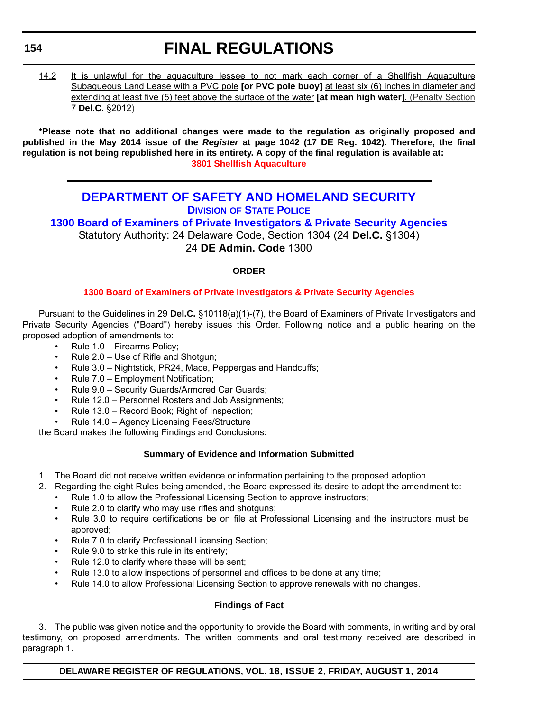### **154**

# **FINAL REGULATIONS**

14.2 It is unlawful for the aquaculture lessee to not mark each corner of a Shellfish Aquaculture Subaqueous Land Lease with a PVC pole **[or PVC pole buoy]** at least six (6) inches in diameter and extending at least five (5) feet above the surface of the water **[at mean high water]**. (Penalty Section 7 **Del.C.** §2012)

**\*Please note that no additional changes were made to the regulation as originally proposed and published in the May 2014 issue of the** *Register* **at page 1042 (17 DE Reg. 1042). Therefore, the final regulation is not being republished here in its entirety. A copy of the final regulation is available at: [3801 Shellfish Aquaculture](http://regulations.delaware.gov/register/august2014/final/18 DE Reg 151 08-01-14.htm)**

## **[DEPARTMENT OF SAFETY AND HOMELAND SECURITY](http://dshs.delaware.gov/) DIVISION OF STATE POLICE**

**1300 Board of Examiners of Private Investigators & Private Security Agencies** Statutory Authority: 24 Delaware Code, Section 1304 (24 **Del.C.** §1304) 24 **DE Admin. Code** 1300

### **ORDER**

## **[1300 Board of Examiners of Private Investigators & Private Security Agencies](#page-4-0)**

Pursuant to the Guidelines in 29 **Del.C.** §10118(a)(1)-(7), the Board of Examiners of Private Investigators and Private Security Agencies ("Board") hereby issues this Order. Following notice and a public hearing on the proposed adoption of amendments to:

- Rule 1.0 Firearms Policy;
- Rule 2.0 Use of Rifle and Shotgun;
- Rule 3.0 Nightstick, PR24, Mace, Peppergas and Handcuffs;
- Rule 7.0 Employment Notification;
- Rule 9.0 Security Guards/Armored Car Guards;
- Rule 12.0 Personnel Rosters and Job Assignments;
- Rule 13.0 Record Book; Right of Inspection;
- Rule 14.0 Agency Licensing Fees/Structure

the Board makes the following Findings and Conclusions:

### **Summary of Evidence and Information Submitted**

- 1. The Board did not receive written evidence or information pertaining to the proposed adoption.
- 2. Regarding the eight Rules being amended, the Board expressed its desire to adopt the amendment to:
	- Rule 1.0 to allow the Professional Licensing Section to approve instructors;
	- Rule 2.0 to clarify who may use rifles and shotguns;
	- Rule 3.0 to require certifications be on file at Professional Licensing and the instructors must be approved;
	- Rule 7.0 to clarify Professional Licensing Section;
	- Rule 9.0 to strike this rule in its entirety;
	- Rule 12.0 to clarify where these will be sent;
	- Rule 13.0 to allow inspections of personnel and offices to be done at any time;
	- Rule 14.0 to allow Professional Licensing Section to approve renewals with no changes.

### **Findings of Fact**

3. The public was given notice and the opportunity to provide the Board with comments, in writing and by oral testimony, on proposed amendments. The written comments and oral testimony received are described in paragraph 1.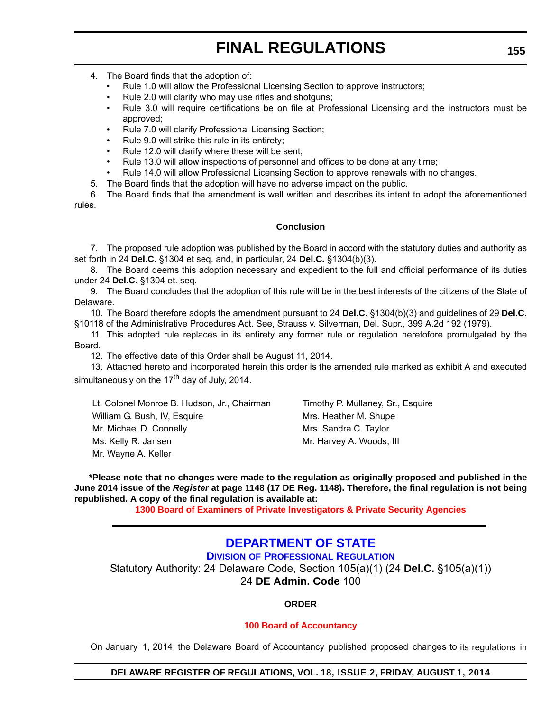- 4. The Board finds that the adoption of:
	- Rule 1.0 will allow the Professional Licensing Section to approve instructors;
	- Rule 2.0 will clarify who may use rifles and shotguns;
	- Rule 3.0 will require certifications be on file at Professional Licensing and the instructors must be approved;
	- Rule 7.0 will clarify Professional Licensing Section;
	- Rule 9.0 will strike this rule in its entirety;
	- Rule 12.0 will clarify where these will be sent;
	- Rule 13.0 will allow inspections of personnel and offices to be done at any time;
	- Rule 14.0 will allow Professional Licensing Section to approve renewals with no changes.
- 5. The Board finds that the adoption will have no adverse impact on the public.

6. The Board finds that the amendment is well written and describes its intent to adopt the aforementioned rules.

### **Conclusion**

7. The proposed rule adoption was published by the Board in accord with the statutory duties and authority as set forth in 24 **Del.C.** §1304 et seq. and, in particular, 24 **Del.C.** §1304(b)(3).

8. The Board deems this adoption necessary and expedient to the full and official performance of its duties under 24 **Del.C.** §1304 et. seq.

9. The Board concludes that the adoption of this rule will be in the best interests of the citizens of the State of Delaware.

10. The Board therefore adopts the amendment pursuant to 24 **Del.C.** §1304(b)(3) and guidelines of 29 **Del.C.** §10118 of the Administrative Procedures Act. See, Strauss v. Silverman, Del. Supr., 399 A.2d 192 (1979).

11. This adopted rule replaces in its entirety any former rule or regulation heretofore promulgated by the Board.

12. The effective date of this Order shall be August 11, 2014.

13. Attached hereto and incorporated herein this order is the amended rule marked as exhibit A and executed simultaneously on the  $17<sup>th</sup>$  day of July, 2014.

Lt. Colonel Monroe B. Hudson, Jr., Chairman Timothy P. Mullaney, Sr., Esquire William G. Bush, IV, Esquire Music Mrs. Heather M. Shupe Mr. Michael D. Connelly Mrs. Sandra C. Taylor Ms. Kelly R. Jansen Mr. Harvey A. Woods, III Mr. Wayne A. Keller

**\*Please note that no changes were made to the regulation as originally proposed and published in the June 2014 issue of the** *Register* **at page 1148 (17 DE Reg. 1148). Therefore, the final regulation is not being republished. A copy of the final regulation is available at:**

**[1300 Board of Examiners of Private Investigators & Private Security Agencies](http://regulations.delaware.gov/register/august2014/final/18 DE Reg 154 08-01-14.htm)**

## **[DEPARTMENT OF STATE](http://dpr.delaware.gov/)**

### **DIVISION OF PROFESSIONAL REGULATION**

Statutory Authority: 24 Delaware Code, Section 105(a)(1) (24 **Del.C.** §105(a)(1)) 24 **DE Admin. Code** 100

### **ORDER**

### **[100 Board of Accountancy](#page-4-0)**

On January 1, 2014, the Delaware Board of Accountancy published proposed changes to its regulations in

### **DELAWARE REGISTER OF REGULATIONS, VOL. 18, ISSUE 2, FRIDAY, AUGUST 1, 2014**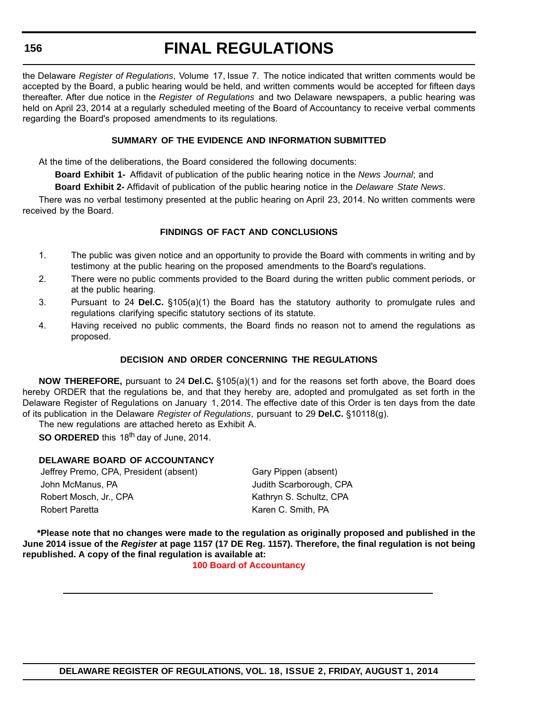the Delaware *Register of Regulations*, Volume 17, Issue 7. The notice indicated that written comments would be accepted by the Board, a public hearing would be held, and written comments would be accepted for fifteen days thereafter. After due notice in the *Register of Regulations* and two Delaware newspapers, a public hearing was held on April 23, 2014 at a regularly scheduled meeting of the Board of Accountancy to receive verbal comments regarding the Board's proposed amendments to its regulations.

### **SUMMARY OF THE EVIDENCE AND INFORMATION SUBMITTED**

At the time of the deliberations, the Board considered the following documents:

**Board Exhibit 1-** Affidavit of publication of the public hearing notice in the *News Journal*; and

**Board Exhibit 2-** Affidavit of publication of the public hearing notice in the *Delaware State News*.

There was no verbal testimony presented at the public hearing on April 23, 2014. No written comments were received by the Board.

### **FINDINGS OF FACT AND CONCLUSIONS**

- 1. The public was given notice and an opportunity to provide the Board with comments in writing and by testimony at the public hearing on the proposed amendments to the Board's regulations.
- 2. There were no public comments provided to the Board during the written public comment periods, or at the public hearing.
- 3. Pursuant to 24 **Del.C.** §105(a)(1) the Board has the statutory authority to promulgate rules and regulations clarifying specific statutory sections of its statute.
- 4. Having received no public comments, the Board finds no reason not to amend the regulations as proposed.

### **DECISION AND ORDER CONCERNING THE REGULATIONS**

**NOW THEREFORE,** pursuant to 24 **Del.C.** §105(a)(1) and for the reasons set forth above, the Board does hereby ORDER that the regulations be, and that they hereby are, adopted and promulgated as set forth in the Delaware Register of Regulations on January 1, 2014. The effective date of this Order is ten days from the date of its publication in the Delaware *Register of Regulations*, pursuant to 29 **Del.C.** §10118(g).

The new regulations are attached hereto as Exhibit A.

**SO ORDERED** this 18<sup>th</sup> day of June, 2014.

### **DELAWARE BOARD OF ACCOUNTANCY**

Jeffrey Premo, CPA, President (absent) Gary Pippen (absent) John McManus, PA **Judith Scarborough, CPA** Robert Mosch, Jr., CPA Kathryn S. Schultz, CPA Robert Paretta **Karen C. Smith, PA** 

**\*Please note that no changes were made to the regulation as originally proposed and published in the June 2014 issue of the** *Register* **at page 1157 (17 DE Reg. 1157). Therefore, the final regulation is not being republished. A copy of the final regulation is available at:**

**[100 Board of Accountancy](http://regulations.delaware.gov/register/august2014/final/18 DE Reg 155 08-01-14.htm)**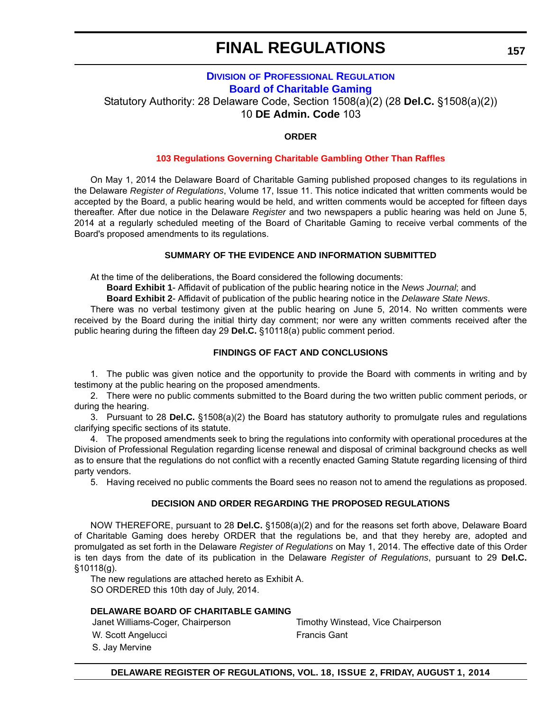# **FINAL REGULATIONS**

### **DIVISION [OF PROFESSIONAL REGULATION](http://dpr.delaware.gov/) Board of Charitable Gaming**

Statutory Authority: 28 Delaware Code, Section 1508(a)(2) (28 **Del.C.** §1508(a)(2)) 10 **DE Admin. Code** 103

### **ORDER**

### **[103 Regulations Governing Charitable Gambling Other Than Raffles](#page-4-0)**

On May 1, 2014 the Delaware Board of Charitable Gaming published proposed changes to its regulations in the Delaware *Register of Regulations*, Volume 17, Issue 11. This notice indicated that written comments would be accepted by the Board, a public hearing would be held, and written comments would be accepted for fifteen days thereafter. After due notice in the Delaware *Register* and two newspapers a public hearing was held on June 5, 2014 at a regularly scheduled meeting of the Board of Charitable Gaming to receive verbal comments of the Board's proposed amendments to its regulations.

### **SUMMARY OF THE EVIDENCE AND INFORMATION SUBMITTED**

At the time of the deliberations, the Board considered the following documents:

**Board Exhibit 1**- Affidavit of publication of the public hearing notice in the *News Journal*; and

**Board Exhibit 2**- Affidavit of publication of the public hearing notice in the *Delaware State News*.

There was no verbal testimony given at the public hearing on June 5, 2014. No written comments were received by the Board during the initial thirty day comment; nor were any written comments received after the public hearing during the fifteen day 29 **Del.C.** §10118(a) public comment period.

### **FINDINGS OF FACT AND CONCLUSIONS**

1. The public was given notice and the opportunity to provide the Board with comments in writing and by testimony at the public hearing on the proposed amendments.

2. There were no public comments submitted to the Board during the two written public comment periods, or during the hearing.

3. Pursuant to 28 **Del.C.** §1508(a)(2) the Board has statutory authority to promulgate rules and regulations clarifying specific sections of its statute.

4. The proposed amendments seek to bring the regulations into conformity with operational procedures at the Division of Professional Regulation regarding license renewal and disposal of criminal background checks as well as to ensure that the regulations do not conflict with a recently enacted Gaming Statute regarding licensing of third party vendors.

5. Having received no public comments the Board sees no reason not to amend the regulations as proposed.

### **DECISION AND ORDER REGARDING THE PROPOSED REGULATIONS**

NOW THEREFORE, pursuant to 28 **Del.C.** §1508(a)(2) and for the reasons set forth above, Delaware Board of Charitable Gaming does hereby ORDER that the regulations be, and that they hereby are, adopted and promulgated as set forth in the Delaware *Register of Regulations* on May 1, 2014. The effective date of this Order is ten days from the date of its publication in the Delaware *Register of Regulations*, pursuant to 29 **Del.C.** §10118(g).

The new regulations are attached hereto as Exhibit A. SO ORDERED this 10th day of July, 2014.

### **DELAWARE BOARD OF CHARITABLE GAMING**

W. Scott Angelucci **Example 2018** Francis Gant

S. Jay Mervine

Janet Williams-Coger, Chairperson Timothy Winstead, Vice Chairperson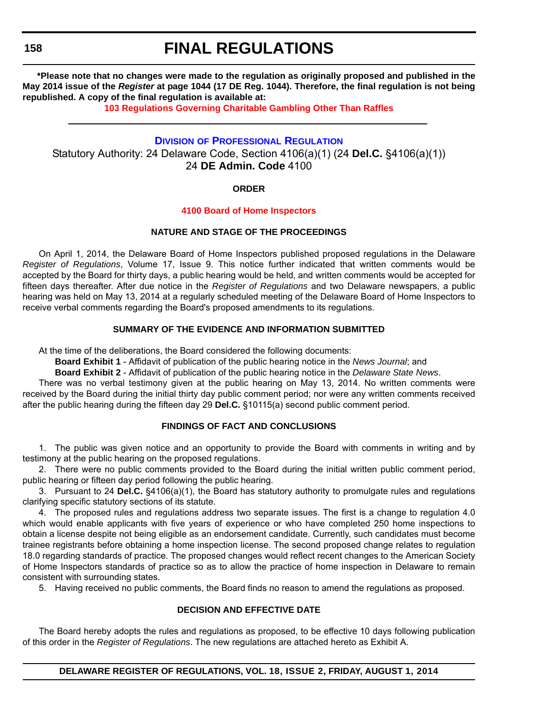**158**

# **FINAL REGULATIONS**

**\*Please note that no changes were made to the regulation as originally proposed and published in the May 2014 issue of the** *Register* **at page 1044 (17 DE Reg. 1044). Therefore, the final regulation is not being republished. A copy of the final regulation is available at:**

**[103 Regulations Governing Charitable Gambling Other Than Raffles](http://regulations.delaware.gov/register/august2014/final/18 DE Reg 157 08-01-14.htm)**

### **DIVISION [OF PROFESSIONAL REGULATION](http://dpr.delaware.gov/)**

Statutory Authority: 24 Delaware Code, Section 4106(a)(1) (24 **Del.C.** §4106(a)(1)) 24 **DE Admin. Code** 4100

### **ORDER**

### **[4100 Board of Home Inspectors](#page-4-0)**

### **NATURE AND STAGE OF THE PROCEEDINGS**

On April 1, 2014, the Delaware Board of Home Inspectors published proposed regulations in the Delaware *Register of Regulations*, Volume 17, Issue 9. This notice further indicated that written comments would be accepted by the Board for thirty days, a public hearing would be held, and written comments would be accepted for fifteen days thereafter. After due notice in the *Register of Regulations* and two Delaware newspapers, a public hearing was held on May 13, 2014 at a regularly scheduled meeting of the Delaware Board of Home Inspectors to receive verbal comments regarding the Board's proposed amendments to its regulations.

### **SUMMARY OF THE EVIDENCE AND INFORMATION SUBMITTED**

At the time of the deliberations, the Board considered the following documents:

**Board Exhibit 1** - Affidavit of publication of the public hearing notice in the *News Journal*; and

**Board Exhibit 2** - Affidavit of publication of the public hearing notice in the *Delaware State News*.

There was no verbal testimony given at the public hearing on May 13, 2014. No written comments were received by the Board during the initial thirty day public comment period; nor were any written comments received after the public hearing during the fifteen day 29 **Del.C.** §10115(a) second public comment period.

### **FINDINGS OF FACT AND CONCLUSIONS**

1. The public was given notice and an opportunity to provide the Board with comments in writing and by testimony at the public hearing on the proposed regulations.

2. There were no public comments provided to the Board during the initial written public comment period, public hearing or fifteen day period following the public hearing.

3. Pursuant to 24 **Del.C.** §4106(a)(1), the Board has statutory authority to promulgate rules and regulations clarifying specific statutory sections of its statute.

4. The proposed rules and regulations address two separate issues. The first is a change to regulation 4.0 which would enable applicants with five years of experience or who have completed 250 home inspections to obtain a license despite not being eligible as an endorsement candidate. Currently, such candidates must become trainee registrants before obtaining a home inspection license. The second proposed change relates to regulation 18.0 regarding standards of practice. The proposed changes would reflect recent changes to the American Society of Home Inspectors standards of practice so as to allow the practice of home inspection in Delaware to remain consistent with surrounding states.

5. Having received no public comments, the Board finds no reason to amend the regulations as proposed.

### **DECISION AND EFFECTIVE DATE**

The Board hereby adopts the rules and regulations as proposed, to be effective 10 days following publication of this order in the *Register of Regulations*. The new regulations are attached hereto as Exhibit A.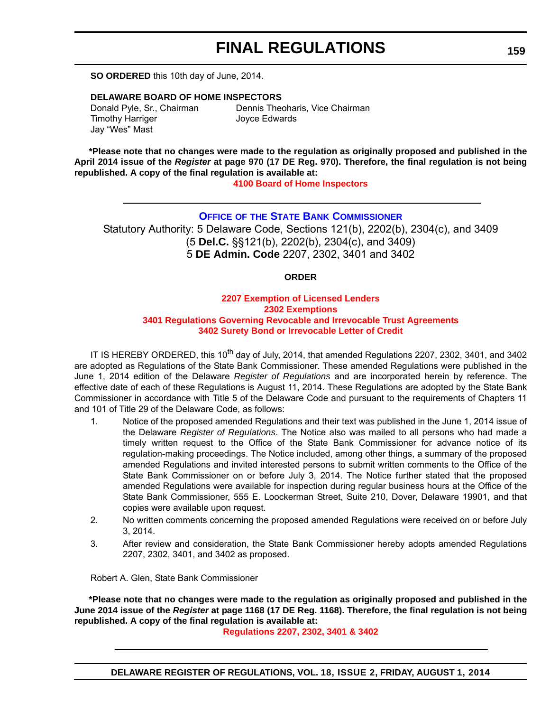## **FINAL REGULATIONS**

**SO ORDERED** this 10th day of June, 2014.

### **DELAWARE BOARD OF HOME INSPECTORS**

Timothy Harriger **Internal Studies** Joyce Edwards Jay "Wes" Mast

Donald Pyle, Sr., Chairman Dennis Theoharis, Vice Chairman

**\*Please note that no changes were made to the regulation as originally proposed and published in the April 2014 issue of the** *Register* **at page 970 (17 DE Reg. 970). Therefore, the final regulation is not being republished. A copy of the final regulation is available at:**

**[4100 Board of Home Inspectors](http://regulations.delaware.gov/register/august2014/final/18 DE Reg 158 08-01-14.htm)**

### **OFFICE OF [THE STATE BANK COMMISSIONER](http://banking.delaware.gov/)**

Statutory Authority: 5 Delaware Code, Sections 121(b), 2202(b), 2304(c), and 3409 (5 **Del.C.** §§121(b), 2202(b), 2304(c), and 3409) 5 **DE Admin. Code** 2207, 2302, 3401 and 3402

### **ORDER**

### **2207 Exemption of Licensed Lenders 2302 Exemptions [3401 Regulations Governing Revocable and Irrevocable Trust Agreements](#page-4-0) 3402 Surety Bond or Irrevocable Letter of Credit**

IT IS HEREBY ORDERED, this 10<sup>th</sup> day of July, 2014, that amended Regulations 2207, 2302, 3401, and 3402 are adopted as Regulations of the State Bank Commissioner. These amended Regulations were published in the June 1, 2014 edition of the Delaware *Register of Regulations* and are incorporated herein by reference. The effective date of each of these Regulations is August 11, 2014. These Regulations are adopted by the State Bank Commissioner in accordance with Title 5 of the Delaware Code and pursuant to the requirements of Chapters 11 and 101 of Title 29 of the Delaware Code, as follows:

- 1. Notice of the proposed amended Regulations and their text was published in the June 1, 2014 issue of the Delaware *Register of Regulations*. The Notice also was mailed to all persons who had made a timely written request to the Office of the State Bank Commissioner for advance notice of its regulation-making proceedings. The Notice included, among other things, a summary of the proposed amended Regulations and invited interested persons to submit written comments to the Office of the State Bank Commissioner on or before July 3, 2014. The Notice further stated that the proposed amended Regulations were available for inspection during regular business hours at the Office of the State Bank Commissioner, 555 E. Loockerman Street, Suite 210, Dover, Delaware 19901, and that copies were available upon request.
- 2. No written comments concerning the proposed amended Regulations were received on or before July 3, 2014.
- 3. After review and consideration, the State Bank Commissioner hereby adopts amended Regulations 2207, 2302, 3401, and 3402 as proposed.

Robert A. Glen, State Bank Commissioner

**\*Please note that no changes were made to the regulation as originally proposed and published in the June 2014 issue of the** *Register* **at page 1168 (17 DE Reg. 1168). Therefore, the final regulation is not being republished. A copy of the final regulation is available at:**

**[Regulations 2207, 2302, 3401 & 3402](http://regulations.delaware.gov/register/august2014/final/18 DE Reg 159 08-01-14.htm)**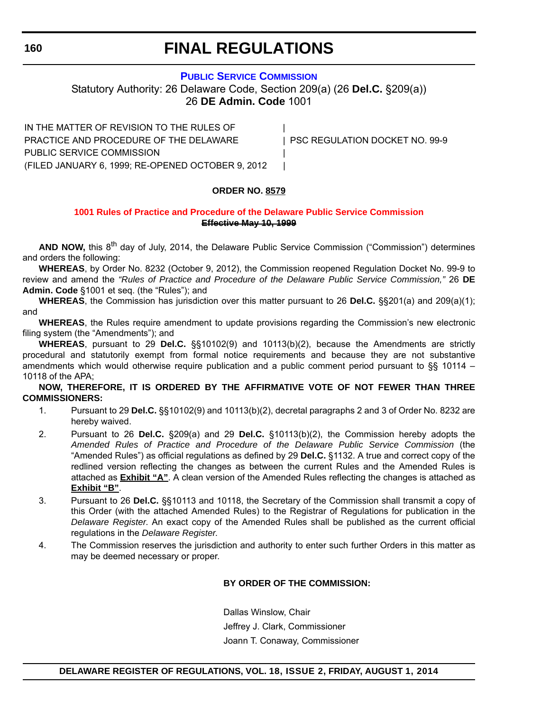### **160**

# **FINAL REGULATIONS**

### **[PUBLIC SERVICE COMMISSION](http://depsc.delaware.gov/)**

Statutory Authority: 26 Delaware Code, Section 209(a) (26 **Del.C.** §209(a)) 26 **DE Admin. Code** 1001

IN THE MATTER OF REVISION TO THE RULES OF PRACTICE AND PROCEDURE OF THE DELAWARE | PSC REGULATION DOCKET NO. 99-9 PUBLIC SERVICE COMMISSION | (FILED JANUARY 6, 1999; RE-OPENED OCTOBER 9, 2012 |

### **ORDER NO. 8579**

### **[1001 Rules of Practice and Procedure of the Delaware Public Service Commission](#page-4-0) Effective May 10, 1999**

AND NOW, this 8<sup>th</sup> day of July, 2014, the Delaware Public Service Commission ("Commission") determines and orders the following:

**WHEREAS**, by Order No. 8232 (October 9, 2012), the Commission reopened Regulation Docket No. 99-9 to review and amend the *"Rules of Practice and Procedure of the Delaware Public Service Commission,"* 26 **DE Admin. Code** §1001 et seq. (the "Rules"); and

**WHEREAS**, the Commission has jurisdiction over this matter pursuant to 26 **Del.C.** §§201(a) and 209(a)(1); and

**WHEREAS**, the Rules require amendment to update provisions regarding the Commission's new electronic filing system (the "Amendments"); and

**WHEREAS**, pursuant to 29 **Del.C.** §§10102(9) and 10113(b)(2), because the Amendments are strictly procedural and statutorily exempt from formal notice requirements and because they are not substantive amendments which would otherwise require publication and a public comment period pursuant to §§ 10114 – 10118 of the APA;

**NOW, THEREFORE, IT IS ORDERED BY THE AFFIRMATIVE VOTE OF NOT FEWER THAN THREE COMMISSIONERS:**

- 1. Pursuant to 29 **Del.C.** §§10102(9) and 10113(b)(2), decretal paragraphs 2 and 3 of Order No. 8232 are hereby waived.
- 2. Pursuant to 26 **Del.C.** §209(a) and 29 **Del.C.** §10113(b)(2), the Commission hereby adopts the *Amended Rules of Practice and Procedure of the Delaware Public Service Commission* (the "Amended Rules") as official regulations as defined by 29 **Del.C.** §1132. A true and correct copy of the redlined version reflecting the changes as between the current Rules and the Amended Rules is attached as **Exhibit "A"**. A clean version of the Amended Rules reflecting the changes is attached as **Exhibit "B"**.
- 3. Pursuant to 26 **Del.C.** §§10113 and 10118, the Secretary of the Commission shall transmit a copy of this Order (with the attached Amended Rules) to the Registrar of Regulations for publication in the *Delaware Register*. An exact copy of the Amended Rules shall be published as the current official regulations in the *Delaware Register*.
- 4. The Commission reserves the jurisdiction and authority to enter such further Orders in this matter as may be deemed necessary or proper.

### **BY ORDER OF THE COMMISSION:**

Dallas Winslow, Chair Jeffrey J. Clark, Commissioner Joann T. Conaway, Commissioner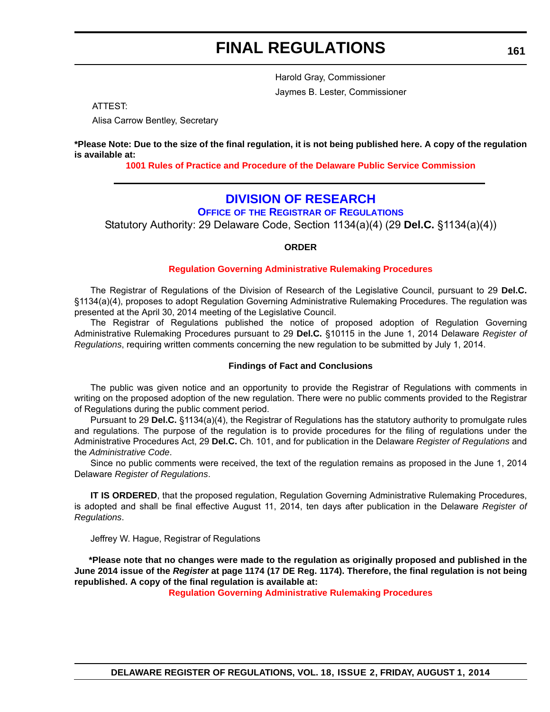# **FINAL REGULATIONS**

Harold Gray, Commissioner Jaymes B. Lester, Commissioner

ATTEST:

Alisa Carrow Bentley, Secretary

**\*Please Note: Due to the size of the final regulation, it is not being published here. A copy of the regulation is available at:**

**[1001 Rules of Practice and Procedure of the Delaware Public Service Commission](http://regulations.delaware.gov/register/august2014/final/18 DE Reg 160 08-01-14.htm)**

## **[DIVISION OF RESEARCH](http://regulations.delaware.gov/)**

**OFFICE OF THE REGISTRAR OF REGULATIONS**

Statutory Authority: 29 Delaware Code, Section 1134(a)(4) (29 **Del.C.** §1134(a)(4))

### **ORDER**

### **[Regulation Governing Administrative Rulemaking Procedures](#page-4-0)**

The Registrar of Regulations of the Division of Research of the Legislative Council, pursuant to 29 **Del.C.** §1134(a)(4), proposes to adopt Regulation Governing Administrative Rulemaking Procedures. The regulation was presented at the April 30, 2014 meeting of the Legislative Council.

The Registrar of Regulations published the notice of proposed adoption of Regulation Governing Administrative Rulemaking Procedures pursuant to 29 **Del.C.** §10115 in the June 1, 2014 Delaware *Register of Regulations*, requiring written comments concerning the new regulation to be submitted by July 1, 2014.

### **Findings of Fact and Conclusions**

The public was given notice and an opportunity to provide the Registrar of Regulations with comments in writing on the proposed adoption of the new regulation. There were no public comments provided to the Registrar of Regulations during the public comment period.

Pursuant to 29 **Del.C.** §1134(a)(4), the Registrar of Regulations has the statutory authority to promulgate rules and regulations. The purpose of the regulation is to provide procedures for the filing of regulations under the Administrative Procedures Act, 29 **Del.C.** Ch. 101, and for publication in the Delaware *Register of Regulations* and the *Administrative Code*.

Since no public comments were received, the text of the regulation remains as proposed in the June 1, 2014 Delaware *Register of Regulations*.

**IT IS ORDERED**, that the proposed regulation, Regulation Governing Administrative Rulemaking Procedures, is adopted and shall be final effective August 11, 2014, ten days after publication in the Delaware *Register of Regulations*.

Jeffrey W. Hague, Registrar of Regulations

**\*Please note that no changes were made to the regulation as originally proposed and published in the June 2014 issue of the** *Register* **at page 1174 (17 DE Reg. 1174). Therefore, the final regulation is not being republished. A copy of the final regulation is available at:**

**[Regulation Governing Administrative Rulemaking Procedures](http://regulations.delaware.gov/register/august2014/final/18 DE Reg 161 08-01-14.htm)**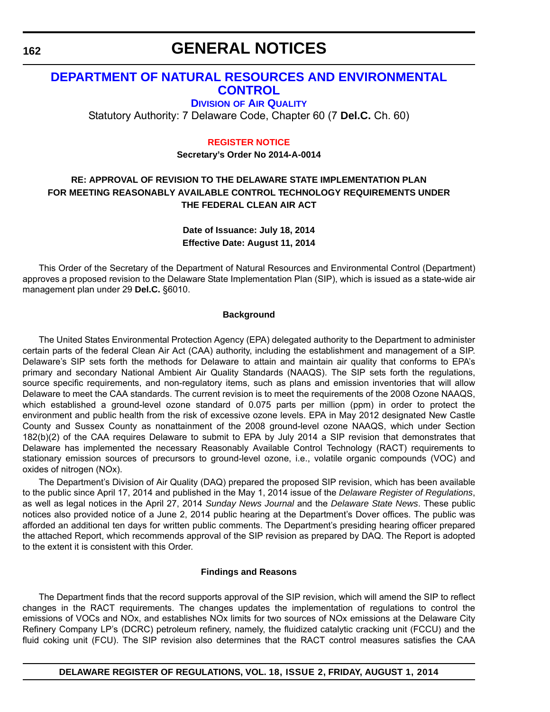## **[DEPARTMENT OF NATURAL RESOURCES AND ENVIRONMENTAL](http://www.dnrec.delaware.gov/Air/Pages/Air-Quality.aspx)  CONTROL**

**DIVISION OF AIR QUALITY**

Statutory Authority: 7 Delaware Code, Chapter 60 (7 **Del.C.** Ch. 60)

### **[REGISTER NOTICE](#page-4-0)**

**Secretary's Order No 2014-A-0014**

### **RE: APPROVAL OF REVISION TO THE DELAWARE STATE IMPLEMENTATION PLAN FOR MEETING REASONABLY AVAILABLE CONTROL TECHNOLOGY REQUIREMENTS UNDER THE FEDERAL CLEAN AIR ACT**

**Date of Issuance: July 18, 2014 Effective Date: August 11, 2014**

This Order of the Secretary of the Department of Natural Resources and Environmental Control (Department) approves a proposed revision to the Delaware State Implementation Plan (SIP), which is issued as a state-wide air management plan under 29 **Del.C.** §6010.

### **Background**

The United States Environmental Protection Agency (EPA) delegated authority to the Department to administer certain parts of the federal Clean Air Act (CAA) authority, including the establishment and management of a SIP. Delaware's SIP sets forth the methods for Delaware to attain and maintain air quality that conforms to EPA's primary and secondary National Ambient Air Quality Standards (NAAQS). The SIP sets forth the regulations, source specific requirements, and non-regulatory items, such as plans and emission inventories that will allow Delaware to meet the CAA standards. The current revision is to meet the requirements of the 2008 Ozone NAAQS, which established a ground-level ozone standard of 0.075 parts per million (ppm) in order to protect the environment and public health from the risk of excessive ozone levels. EPA in May 2012 designated New Castle County and Sussex County as nonattainment of the 2008 ground-level ozone NAAQS, which under Section 182(b)(2) of the CAA requires Delaware to submit to EPA by July 2014 a SIP revision that demonstrates that Delaware has implemented the necessary Reasonably Available Control Technology (RACT) requirements to stationary emission sources of precursors to ground-level ozone, i.e., volatile organic compounds (VOC) and oxides of nitrogen (NOx).

The Department's Division of Air Quality (DAQ) prepared the proposed SIP revision, which has been available to the public since April 17, 2014 and published in the May 1, 2014 issue of the *Delaware Register of Regulations*, as well as legal notices in the April 27, 2014 *Sunday News Journal* and the *Delaware State News*. These public notices also provided notice of a June 2, 2014 public hearing at the Department's Dover offices. The public was afforded an additional ten days for written public comments. The Department's presiding hearing officer prepared the attached Report, which recommends approval of the SIP revision as prepared by DAQ. The Report is adopted to the extent it is consistent with this Order.

### **Findings and Reasons**

The Department finds that the record supports approval of the SIP revision, which will amend the SIP to reflect changes in the RACT requirements. The changes updates the implementation of regulations to control the emissions of VOCs and NOx, and establishes NOx limits for two sources of NOx emissions at the Delaware City Refinery Company LP's (DCRC) petroleum refinery, namely, the fluidized catalytic cracking unit (FCCU) and the fluid coking unit (FCU). The SIP revision also determines that the RACT control measures satisfies the CAA

**162**

**DELAWARE REGISTER OF REGULATIONS, VOL. 18, ISSUE 2, FRIDAY, AUGUST 1, 2014**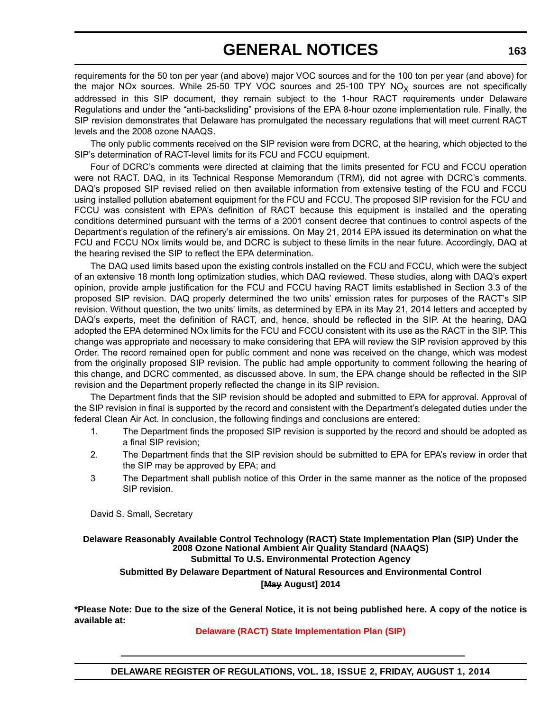requirements for the 50 ton per year (and above) major VOC sources and for the 100 ton per year (and above) for the major NOx sources. While 25-50 TPY VOC sources and 25-100 TPY NO<sub>x</sub> sources are not specifically addressed in this SIP document, they remain subject to the 1-hour RACT requirements under Delaware Regulations and under the "anti-backsliding" provisions of the EPA 8-hour ozone implementation rule. Finally, the SIP revision demonstrates that Delaware has promulgated the necessary regulations that will meet current RACT levels and the 2008 ozone NAAQS.

The only public comments received on the SIP revision were from DCRC, at the hearing, which objected to the SIP's determination of RACT-level limits for its FCU and FCCU equipment.

Four of DCRC's comments were directed at claiming that the limits presented for FCU and FCCU operation were not RACT. DAQ, in its Technical Response Memorandum (TRM), did not agree with DCRC's comments. DAQ's proposed SIP revised relied on then available information from extensive testing of the FCU and FCCU using installed pollution abatement equipment for the FCU and FCCU. The proposed SIP revision for the FCU and FCCU was consistent with EPA's definition of RACT because this equipment is installed and the operating conditions determined pursuant with the terms of a 2001 consent decree that continues to control aspects of the Department's regulation of the refinery's air emissions. On May 21, 2014 EPA issued its determination on what the FCU and FCCU NOx limits would be, and DCRC is subject to these limits in the near future. Accordingly, DAQ at the hearing revised the SIP to reflect the EPA determination.

The DAQ used limits based upon the existing controls installed on the FCU and FCCU, which were the subject of an extensive 18 month long optimization studies, which DAQ reviewed. These studies, along with DAQ's expert opinion, provide ample justification for the FCU and FCCU having RACT limits established in Section 3.3 of the proposed SIP revision. DAQ properly determined the two units' emission rates for purposes of the RACT's SIP revision. Without question, the two units' limits, as determined by EPA in its May 21, 2014 letters and accepted by DAQ's experts, meet the definition of RACT, and, hence, should be reflected in the SIP. At the hearing, DAQ adopted the EPA determined NOx limits for the FCU and FCCU consistent with its use as the RACT in the SIP. This change was appropriate and necessary to make considering that EPA will review the SIP revision approved by this Order. The record remained open for public comment and none was received on the change, which was modest from the originally proposed SIP revision. The public had ample opportunity to comment following the hearing of this change, and DCRC commented, as discussed above. In sum, the EPA change should be reflected in the SIP revision and the Department properly reflected the change in its SIP revision.

The Department finds that the SIP revision should be adopted and submitted to EPA for approval. Approval of the SIP revision in final is supported by the record and consistent with the Department's delegated duties under the federal Clean Air Act. In conclusion, the following findings and conclusions are entered:

- 1. The Department finds the proposed SIP revision is supported by the record and should be adopted as a final SIP revision;
- 2. The Department finds that the SIP revision should be submitted to EPA for EPA's review in order that the SIP may be approved by EPA; and
- 3 The Department shall publish notice of this Order in the same manner as the notice of the proposed SIP revision.

David S. Small, Secretary

### **Delaware Reasonably Available Control Technology (RACT) State Implementation Plan (SIP) Under the 2008 Ozone National Ambient Air Quality Standard (NAAQS) Submittal To U.S. Environmental Protection Agency Submitted By Delaware Department of Natural Resources and Environmental Control [May August] 2014**

**\*Please Note: Due to the size of the General Notice, it is not being published here. A copy of the notice is available at:**

**[Delaware \(RACT\) State Implementation Plan \(SIP\)](http://regulations.delaware.gov/register/august2014/general/18 DE Reg 162 08-01-14.htm)**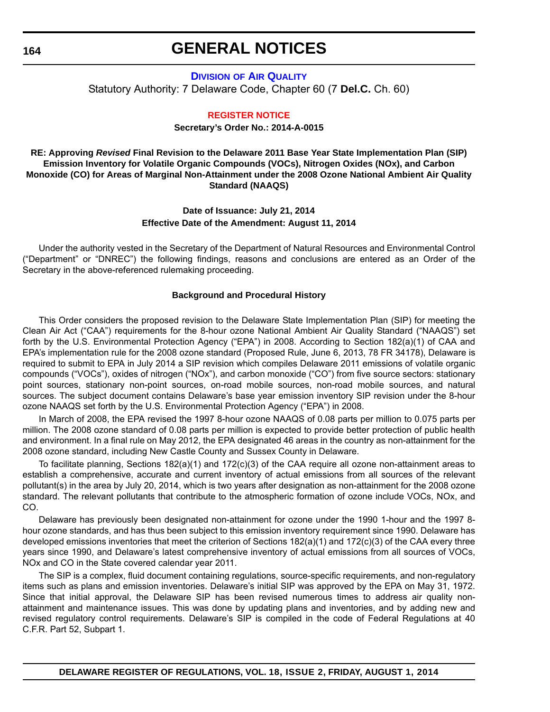### **DIVISION [OF AIR QUALITY](http://www.dnrec.delaware.gov/Air/Pages/Air-Quality.aspx)** Statutory Authority: 7 Delaware Code, Chapter 60 (7 **Del.C.** Ch. 60)

### **[REGISTER NOTICE](#page-4-0)**

**Secretary's Order No.: 2014-A-0015**

### **RE: Approving** *Revised* **Final Revision to the Delaware 2011 Base Year State Implementation Plan (SIP) Emission Inventory for Volatile Organic Compounds (VOCs), Nitrogen Oxides (NOx), and Carbon Monoxide (CO) for Areas of Marginal Non-Attainment under the 2008 Ozone National Ambient Air Quality Standard (NAAQS)**

### **Date of Issuance: July 21, 2014 Effective Date of the Amendment: August 11, 2014**

Under the authority vested in the Secretary of the Department of Natural Resources and Environmental Control ("Department" or "DNREC") the following findings, reasons and conclusions are entered as an Order of the Secretary in the above-referenced rulemaking proceeding.

### **Background and Procedural History**

This Order considers the proposed revision to the Delaware State Implementation Plan (SIP) for meeting the Clean Air Act ("CAA") requirements for the 8-hour ozone National Ambient Air Quality Standard ("NAAQS") set forth by the U.S. Environmental Protection Agency ("EPA") in 2008. According to Section 182(a)(1) of CAA and EPA's implementation rule for the 2008 ozone standard (Proposed Rule, June 6, 2013, 78 FR 34178), Delaware is required to submit to EPA in July 2014 a SIP revision which compiles Delaware 2011 emissions of volatile organic compounds ("VOCs"), oxides of nitrogen ("NOx"), and carbon monoxide ("CO") from five source sectors: stationary point sources, stationary non-point sources, on-road mobile sources, non-road mobile sources, and natural sources. The subject document contains Delaware's base year emission inventory SIP revision under the 8-hour ozone NAAQS set forth by the U.S. Environmental Protection Agency ("EPA") in 2008.

In March of 2008, the EPA revised the 1997 8-hour ozone NAAQS of 0.08 parts per million to 0.075 parts per million. The 2008 ozone standard of 0.08 parts per million is expected to provide better protection of public health and environment. In a final rule on May 2012, the EPA designated 46 areas in the country as non-attainment for the 2008 ozone standard, including New Castle County and Sussex County in Delaware.

To facilitate planning, Sections 182(a)(1) and 172(c)(3) of the CAA require all ozone non-attainment areas to establish a comprehensive, accurate and current inventory of actual emissions from all sources of the relevant pollutant(s) in the area by July 20, 2014, which is two years after designation as non-attainment for the 2008 ozone standard. The relevant pollutants that contribute to the atmospheric formation of ozone include VOCs, NOx, and CO.

Delaware has previously been designated non-attainment for ozone under the 1990 1-hour and the 1997 8 hour ozone standards, and has thus been subject to this emission inventory requirement since 1990. Delaware has developed emissions inventories that meet the criterion of Sections 182(a)(1) and 172(c)(3) of the CAA every three years since 1990, and Delaware's latest comprehensive inventory of actual emissions from all sources of VOCs, NOx and CO in the State covered calendar year 2011.

The SIP is a complex, fluid document containing regulations, source-specific requirements, and non-regulatory items such as plans and emission inventories. Delaware's initial SIP was approved by the EPA on May 31, 1972. Since that initial approval, the Delaware SIP has been revised numerous times to address air quality nonattainment and maintenance issues. This was done by updating plans and inventories, and by adding new and revised regulatory control requirements. Delaware's SIP is compiled in the code of Federal Regulations at 40 C.F.R. Part 52, Subpart 1.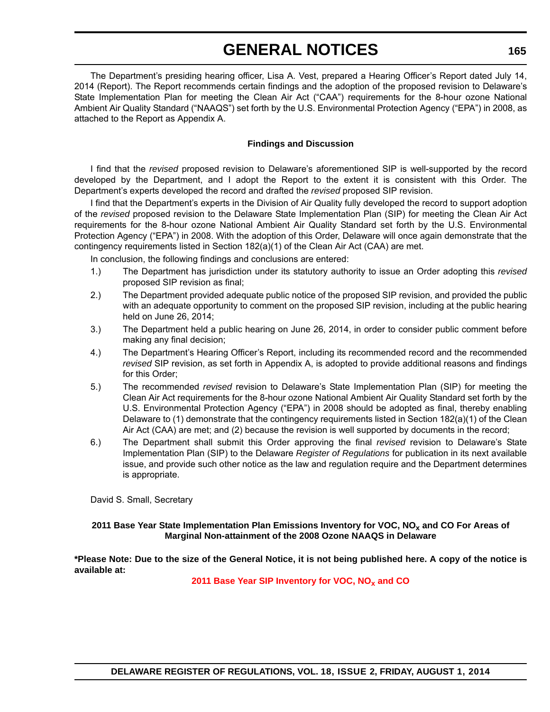The Department's presiding hearing officer, Lisa A. Vest, prepared a Hearing Officer's Report dated July 14, 2014 (Report). The Report recommends certain findings and the adoption of the proposed revision to Delaware's State Implementation Plan for meeting the Clean Air Act ("CAA") requirements for the 8-hour ozone National Ambient Air Quality Standard ("NAAQS") set forth by the U.S. Environmental Protection Agency ("EPA") in 2008, as attached to the Report as Appendix A.

### **Findings and Discussion**

I find that the *revised* proposed revision to Delaware's aforementioned SIP is well-supported by the record developed by the Department, and I adopt the Report to the extent it is consistent with this Order. The Department's experts developed the record and drafted the *revised* proposed SIP revision.

I find that the Department's experts in the Division of Air Quality fully developed the record to support adoption of the *revised* proposed revision to the Delaware State Implementation Plan (SIP) for meeting the Clean Air Act requirements for the 8-hour ozone National Ambient Air Quality Standard set forth by the U.S. Environmental Protection Agency ("EPA") in 2008. With the adoption of this Order, Delaware will once again demonstrate that the contingency requirements listed in Section 182(a)(1) of the Clean Air Act (CAA) are met.

In conclusion, the following findings and conclusions are entered:

- 1.) The Department has jurisdiction under its statutory authority to issue an Order adopting this *revised* proposed SIP revision as final;
- 2.) The Department provided adequate public notice of the proposed SIP revision, and provided the public with an adequate opportunity to comment on the proposed SIP revision, including at the public hearing held on June 26, 2014;
- 3.) The Department held a public hearing on June 26, 2014, in order to consider public comment before making any final decision;
- 4.) The Department's Hearing Officer's Report, including its recommended record and the recommended *revised* SIP revision, as set forth in Appendix A, is adopted to provide additional reasons and findings for this Order;
- 5.) The recommended *revised* revision to Delaware's State Implementation Plan (SIP) for meeting the Clean Air Act requirements for the 8-hour ozone National Ambient Air Quality Standard set forth by the U.S. Environmental Protection Agency ("EPA") in 2008 should be adopted as final, thereby enabling Delaware to (1) demonstrate that the contingency requirements listed in Section 182(a)(1) of the Clean Air Act (CAA) are met; and (2) because the revision is well supported by documents in the record;
- 6.) The Department shall submit this Order approving the final *revised* revision to Delaware's State Implementation Plan (SIP) to the Delaware *Register of Regulations* for publication in its next available issue, and provide such other notice as the law and regulation require and the Department determines is appropriate.

David S. Small, Secretary

### 2011 Base Year State Implementation Plan Emissions Inventory for VOC, NO<sub>v</sub> and CO For Areas of **Marginal Non-attainment of the 2008 Ozone NAAQS in Delaware**

**\*Please Note: Due to the size of the General Notice, it is not being published here. A copy of the notice is available at:**

2011 Base Year SIP Inventory for VOC, NO<sub>x</sub> and CO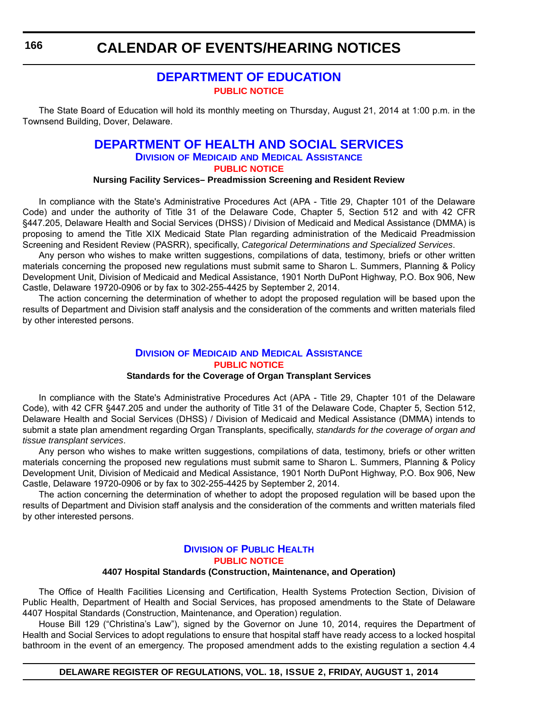**CALENDAR OF EVENTS/HEARING NOTICES**

## **[DEPARTMENT OF EDUCATION](http://www.doe.k12.de.us/) [PUBLIC NOTICE](#page-4-0)**

The State Board of Education will hold its monthly meeting on Thursday, August 21, 2014 at 1:00 p.m. in the Townsend Building, Dover, Delaware.

## **[DEPARTMENT OF HEALTH AND SOCIAL SERVICES](http://www.dhss.delaware.gov/dhss/dmma/)**

**DIVISION OF MEDICAID AND MEDICAL ASSISTANCE [PUBLIC NOTICE](#page-4-0)**

### **Nursing Facility Services– Preadmission Screening and Resident Review**

In compliance with the State's Administrative Procedures Act (APA - Title 29, Chapter 101 of the Delaware Code) and under the authority of Title 31 of the Delaware Code, Chapter 5, Section 512 and with 42 CFR §447.205, Delaware Health and Social Services (DHSS) / Division of Medicaid and Medical Assistance (DMMA) is proposing to amend the Title XIX Medicaid State Plan regarding administration of the Medicaid Preadmission Screening and Resident Review (PASRR), specifically, *Categorical Determinations and Specialized Services*.

Any person who wishes to make written suggestions, compilations of data, testimony, briefs or other written materials concerning the proposed new regulations must submit same to Sharon L. Summers, Planning & Policy Development Unit, Division of Medicaid and Medical Assistance, 1901 North DuPont Highway, P.O. Box 906, New Castle, Delaware 19720-0906 or by fax to 302-255-4425 by September 2, 2014.

The action concerning the determination of whether to adopt the proposed regulation will be based upon the results of Department and Division staff analysis and the consideration of the comments and written materials filed by other interested persons.

### **DIVISION OF MEDICAID [AND MEDICAL ASSISTANCE](http://www.dhss.delaware.gov/dhss/dmma/) [PUBLIC NOTICE](#page-4-0)**

### **Standards for the Coverage of Organ Transplant Services**

In compliance with the State's Administrative Procedures Act (APA - Title 29, Chapter 101 of the Delaware Code), with 42 CFR §447.205 and under the authority of Title 31 of the Delaware Code, Chapter 5, Section 512, Delaware Health and Social Services (DHSS) / Division of Medicaid and Medical Assistance (DMMA) intends to submit a state plan amendment regarding Organ Transplants, specifically, *standards for the coverage of organ and tissue transplant services*.

Any person who wishes to make written suggestions, compilations of data, testimony, briefs or other written materials concerning the proposed new regulations must submit same to Sharon L. Summers, Planning & Policy Development Unit, Division of Medicaid and Medical Assistance, 1901 North DuPont Highway, P.O. Box 906, New Castle, Delaware 19720-0906 or by fax to 302-255-4425 by September 2, 2014.

The action concerning the determination of whether to adopt the proposed regulation will be based upon the results of Department and Division staff analysis and the consideration of the comments and written materials filed by other interested persons.

### **DIVISION [OF PUBLIC HEALTH](http://www.dhss.delaware.gov/dhss/dph/index.html) [PUBLIC NOTICE](#page-4-0)**

### **4407 Hospital Standards (Construction, Maintenance, and Operation)**

The Office of Health Facilities Licensing and Certification, Health Systems Protection Section, Division of Public Health, Department of Health and Social Services, has proposed amendments to the State of Delaware 4407 Hospital Standards (Construction, Maintenance, and Operation) regulation.

House Bill 129 ("Christina's Law"), signed by the Governor on June 10, 2014, requires the Department of Health and Social Services to adopt regulations to ensure that hospital staff have ready access to a locked hospital bathroom in the event of an emergency. The proposed amendment adds to the existing regulation a section 4.4

**DELAWARE REGISTER OF REGULATIONS, VOL. 18, ISSUE 2, FRIDAY, AUGUST 1, 2014**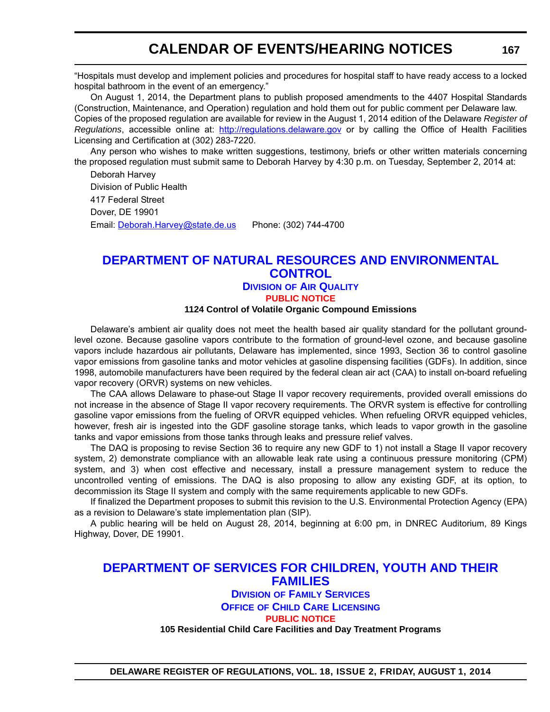## **CALENDAR OF EVENTS/HEARING NOTICES**

"Hospitals must develop and implement policies and procedures for hospital staff to have ready access to a locked hospital bathroom in the event of an emergency."

On August 1, 2014, the Department plans to publish proposed amendments to the 4407 Hospital Standards (Construction, Maintenance, and Operation) regulation and hold them out for public comment per Delaware law. Copies of the proposed regulation are available for review in the August 1, 2014 edition of the Delaware *Register of Regulations*, accessible online at: <http://regulations.delaware.gov> or by calling the Office of Health Facilities Licensing and Certification at (302) 283-7220.

Any person who wishes to make written suggestions, testimony, briefs or other written materials concerning the proposed regulation must submit same to Deborah Harvey by 4:30 p.m. on Tuesday, September 2, 2014 at:

Deborah Harvey Division of Public Health 417 Federal Street Dover, DE 19901 Email: [Deborah.Harvey@state.de.us](mailto:Deborah.Harvey@state.de.us) Phone: (302) 744-4700

### **[DEPARTMENT OF NATURAL RESOURCES AND ENVIRONMENTAL](http://www.dnrec.delaware.gov/Air/Pages/Air-Quality.aspx)  CONTROL DIVISION OF AIR QUALITY**

**[PUBLIC NOTICE](#page-4-0)**

### **1124 Control of Volatile Organic Compound Emissions**

Delaware's ambient air quality does not meet the health based air quality standard for the pollutant groundlevel ozone. Because gasoline vapors contribute to the formation of ground-level ozone, and because gasoline vapors include hazardous air pollutants, Delaware has implemented, since 1993, Section 36 to control gasoline vapor emissions from gasoline tanks and motor vehicles at gasoline dispensing facilities (GDFs). In addition, since 1998, automobile manufacturers have been required by the federal clean air act (CAA) to install on-board refueling vapor recovery (ORVR) systems on new vehicles.

The CAA allows Delaware to phase-out Stage II vapor recovery requirements, provided overall emissions do not increase in the absence of Stage II vapor recovery requirements. The ORVR system is effective for controlling gasoline vapor emissions from the fueling of ORVR equipped vehicles. When refueling ORVR equipped vehicles, however, fresh air is ingested into the GDF gasoline storage tanks, which leads to vapor growth in the gasoline tanks and vapor emissions from those tanks through leaks and pressure relief valves.

The DAQ is proposing to revise Section 36 to require any new GDF to 1) not install a Stage II vapor recovery system, 2) demonstrate compliance with an allowable leak rate using a continuous pressure monitoring (CPM) system, and 3) when cost effective and necessary, install a pressure management system to reduce the uncontrolled venting of emissions. The DAQ is also proposing to allow any existing GDF, at its option, to decommission its Stage II system and comply with the same requirements applicable to new GDFs.

If finalized the Department proposes to submit this revision to the U.S. Environmental Protection Agency (EPA) as a revision to Delaware's state implementation plan (SIP).

A public hearing will be held on August 28, 2014, beginning at 6:00 pm, in DNREC Auditorium, 89 Kings Highway, Dover, DE 19901.

## **[DEPARTMENT OF SERVICES FOR CHILDREN, YOUTH AND THEIR](http://kids.delaware.gov/fs/fs.shtml)  FAMILIES**

### **DIVISION OF FAMILY SERVICES OFFICE OF CHILD CARE LICENSING [PUBLIC NOTICE](#page-4-0) 105 Residential Child Care Facilities and Day Treatment Programs**

**DELAWARE REGISTER OF REGULATIONS, VOL. 18, ISSUE 2, FRIDAY, AUGUST 1, 2014**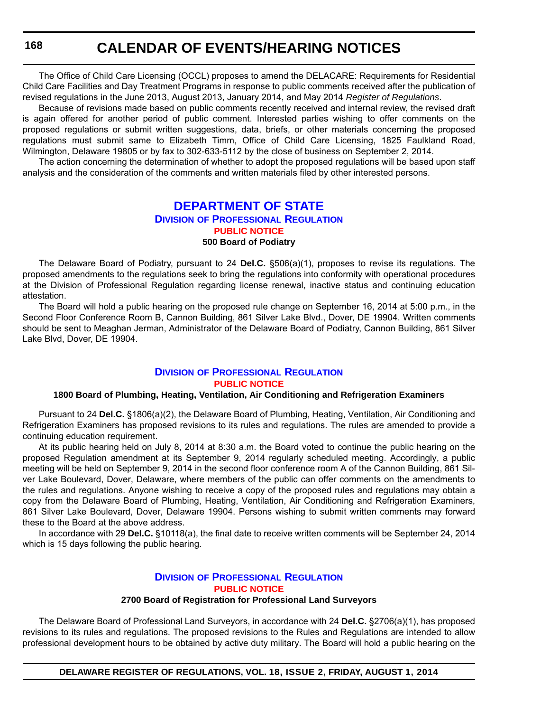The Office of Child Care Licensing (OCCL) proposes to amend the DELACARE: Requirements for Residential Child Care Facilities and Day Treatment Programs in response to public comments received after the publication of revised regulations in the June 2013, August 2013, January 2014, and May 2014 *Register of Regulations*.

Because of revisions made based on public comments recently received and internal review, the revised draft is again offered for another period of public comment. Interested parties wishing to offer comments on the proposed regulations or submit written suggestions, data, briefs, or other materials concerning the proposed regulations must submit same to Elizabeth Timm, Office of Child Care Licensing, 1825 Faulkland Road, Wilmington, Delaware 19805 or by fax to 302-633-5112 by the close of business on September 2, 2014.

The action concerning the determination of whether to adopt the proposed regulations will be based upon staff analysis and the consideration of the comments and written materials filed by other interested persons.

## **[DEPARTMENT OF STATE](http://dpr.delaware.gov/)**

## **DIVISION OF PROFESSIONAL REGULATION [PUBLIC NOTICE](#page-4-0)**

### **500 Board of Podiatry**

The Delaware Board of Podiatry, pursuant to 24 **Del.C.** §506(a)(1), proposes to revise its regulations. The proposed amendments to the regulations seek to bring the regulations into conformity with operational procedures at the Division of Professional Regulation regarding license renewal, inactive status and continuing education attestation.

The Board will hold a public hearing on the proposed rule change on September 16, 2014 at 5:00 p.m., in the Second Floor Conference Room B, Cannon Building, 861 Silver Lake Blvd., Dover, DE 19904. Written comments should be sent to Meaghan Jerman, Administrator of the Delaware Board of Podiatry, Cannon Building, 861 Silver Lake Blvd, Dover, DE 19904.

### **DIVISION [OF PROFESSIONAL REGULATION](http://dpr.delaware.gov/) [PUBLIC NOTICE](#page-4-0)**

### **1800 Board of Plumbing, Heating, Ventilation, Air Conditioning and Refrigeration Examiners**

Pursuant to 24 **Del.C.** §1806(a)(2), the Delaware Board of Plumbing, Heating, Ventilation, Air Conditioning and Refrigeration Examiners has proposed revisions to its rules and regulations. The rules are amended to provide a continuing education requirement.

At its public hearing held on July 8, 2014 at 8:30 a.m. the Board voted to continue the public hearing on the proposed Regulation amendment at its September 9, 2014 regularly scheduled meeting. Accordingly, a public meeting will be held on September 9, 2014 in the second floor conference room A of the Cannon Building, 861 Silver Lake Boulevard, Dover, Delaware, where members of the public can offer comments on the amendments to the rules and regulations. Anyone wishing to receive a copy of the proposed rules and regulations may obtain a copy from the Delaware Board of Plumbing, Heating, Ventilation, Air Conditioning and Refrigeration Examiners, 861 Silver Lake Boulevard, Dover, Delaware 19904. Persons wishing to submit written comments may forward these to the Board at the above address.

In accordance with 29 **Del.C.** §10118(a), the final date to receive written comments will be September 24, 2014 which is 15 days following the public hearing.

## **DIVISION [OF PROFESSIONAL REGULATION](http://dpr.delaware.gov/) [PUBLIC NOTICE](#page-4-0)**

### **2700 Board of Registration for Professional Land Surveyors**

The Delaware Board of Professional Land Surveyors, in accordance with 24 **Del.C.** §2706(a)(1), has proposed revisions to its rules and regulations. The proposed revisions to the Rules and Regulations are intended to allow professional development hours to be obtained by active duty military. The Board will hold a public hearing on the

**DELAWARE REGISTER OF REGULATIONS, VOL. 18, ISSUE 2, FRIDAY, AUGUST 1, 2014**